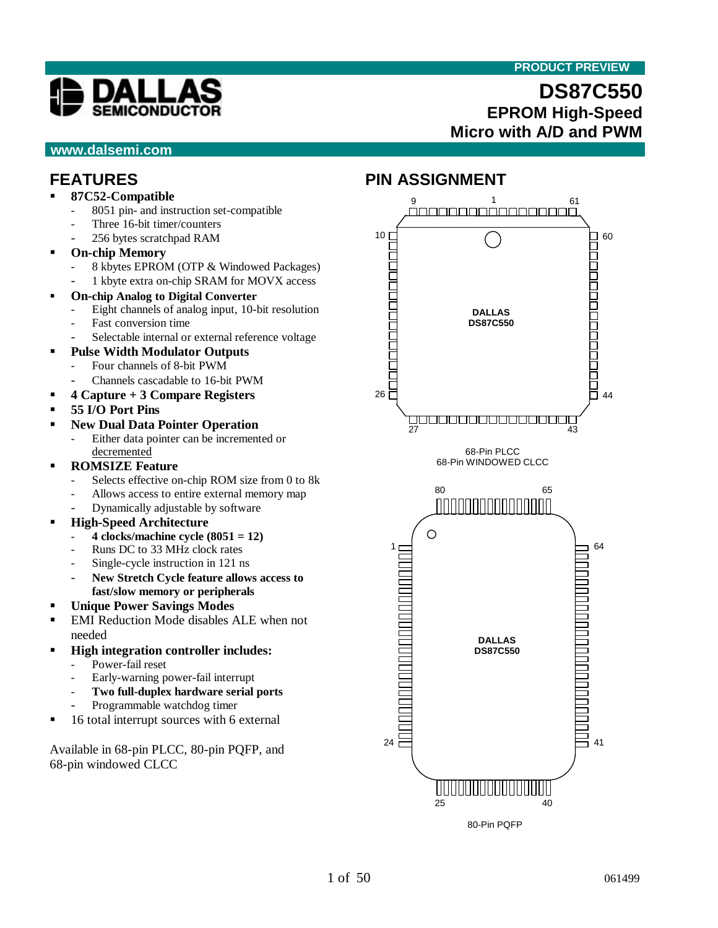#### **PRODUCT PREVIEW**



#### **www.dalsemi.com**

# **DS87C550 EPROM High-Speed Micro with A/D and PWM**

# **FEATURES**

- ß **87C52-Compatible**
	- 8051 pin- and instruction set-compatible
	- Three 16-bit timer/counters
	- 256 bytes scratchpad RAM
- ß **On-chip Memory**
	- 8 kbytes EPROM (OTP & Windowed Packages)
	- 1 kbyte extra on-chip SRAM for MOVX access
- ß **On-chip Analog to Digital Converter**
	- Eight channels of analog input, 10-bit resolution
	- Fast conversion time
	- Selectable internal or external reference voltage
- ß **Pulse Width Modulator Outputs**
	- Four channels of 8-bit PWM
		- Channels cascadable to 16-bit PWM
- ß **4 Capture + 3 Compare Registers**
- ß **55 I/O Port Pins**
- ß **New Dual Data Pointer Operation** Either data pointer can be incremented or decremented
- **ROMSIZE Feature** 
	- Selects effective on-chip ROM size from 0 to 8k
	- Allows access to entire external memory map
	- Dynamically adjustable by software
- ß **High-Speed Architecture**
	- **4 clocks/machine cycle (8051 = 12)**
	- Runs DC to 33 MHz clock rates
	- Single-cycle instruction in 121 ns
	- **New Stretch Cycle feature allows access to fast/slow memory or peripherals**
- ß **Unique Power Savings Modes**
- ß EMI Reduction Mode disables ALE when not needed
- ß **High integration controller includes:**
	- Power-fail reset
	- Early-warning power-fail interrupt
	- **Two full-duplex hardware serial ports**
	- Programmable watchdog timer
- ß 16 total interrupt sources with 6 external

Available in 68-pin PLCC, 80-pin PQFP, and 68-pin windowed CLCC

# **PIN ASSIGNMENT**



80-Pin PQFP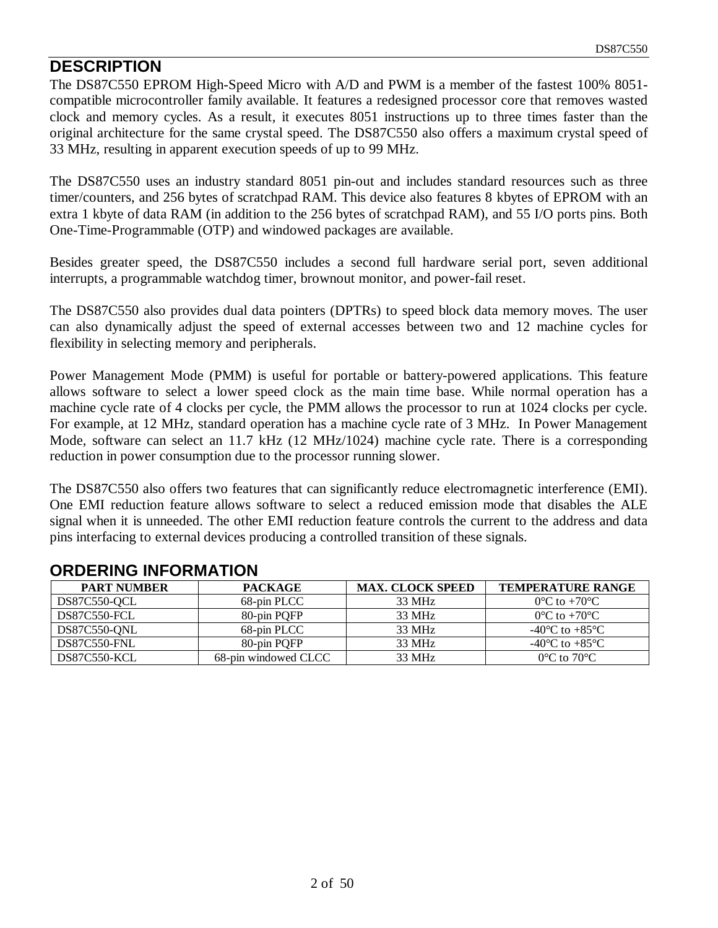#### **DESCRIPTION**

The DS87C550 EPROM High-Speed Micro with A/D and PWM is a member of the fastest 100% 8051 compatible microcontroller family available. It features a redesigned processor core that removes wasted clock and memory cycles. As a result, it executes 8051 instructions up to three times faster than the original architecture for the same crystal speed. The DS87C550 also offers a maximum crystal speed of 33 MHz, resulting in apparent execution speeds of up to 99 MHz.

The DS87C550 uses an industry standard 8051 pin-out and includes standard resources such as three timer/counters, and 256 bytes of scratchpad RAM. This device also features 8 kbytes of EPROM with an extra 1 kbyte of data RAM (in addition to the 256 bytes of scratchpad RAM), and 55 I/O ports pins. Both One-Time-Programmable (OTP) and windowed packages are available.

Besides greater speed, the DS87C550 includes a second full hardware serial port, seven additional interrupts, a programmable watchdog timer, brownout monitor, and power-fail reset.

The DS87C550 also provides dual data pointers (DPTRs) to speed block data memory moves. The user can also dynamically adjust the speed of external accesses between two and 12 machine cycles for flexibility in selecting memory and peripherals.

Power Management Mode (PMM) is useful for portable or battery-powered applications. This feature allows software to select a lower speed clock as the main time base. While normal operation has a machine cycle rate of 4 clocks per cycle, the PMM allows the processor to run at 1024 clocks per cycle. For example, at 12 MHz, standard operation has a machine cycle rate of 3 MHz. In Power Management Mode, software can select an 11.7 kHz (12 MHz/1024) machine cycle rate. There is a corresponding reduction in power consumption due to the processor running slower.

The DS87C550 also offers two features that can significantly reduce electromagnetic interference (EMI). One EMI reduction feature allows software to select a reduced emission mode that disables the ALE signal when it is unneeded. The other EMI reduction feature controls the current to the address and data pins interfacing to external devices producing a controlled transition of these signals.

| <b>PART NUMBER</b>  | <b>PACKAGE</b>       | <b>MAX. CLOCK SPEED</b> | <b>TEMPERATURE RANGE</b>             |
|---------------------|----------------------|-------------------------|--------------------------------------|
| DS87C550-OCL        | 68-pin PLCC          | 33 MHz                  | $0^{\circ}$ C to $+70^{\circ}$ C     |
| DS87C550-FCL        | 80-pin POFP          | 33 MHz                  | $0^{\circ}$ C to +70 $^{\circ}$ C    |
| DS87C550-ONL        | 68-pin PLCC          | 33 MHz                  | -40 $^{\circ}$ C to +85 $^{\circ}$ C |
| DS87C550-FNL        | 80-pin POFP          | 33 MHz                  | -40 $^{\circ}$ C to +85 $^{\circ}$ C |
| <b>DS87C550-KCL</b> | 68-pin windowed CLCC | 33 MHz                  | $0^{\circ}$ C to $70^{\circ}$ C      |

#### **ORDERING INFORMATION**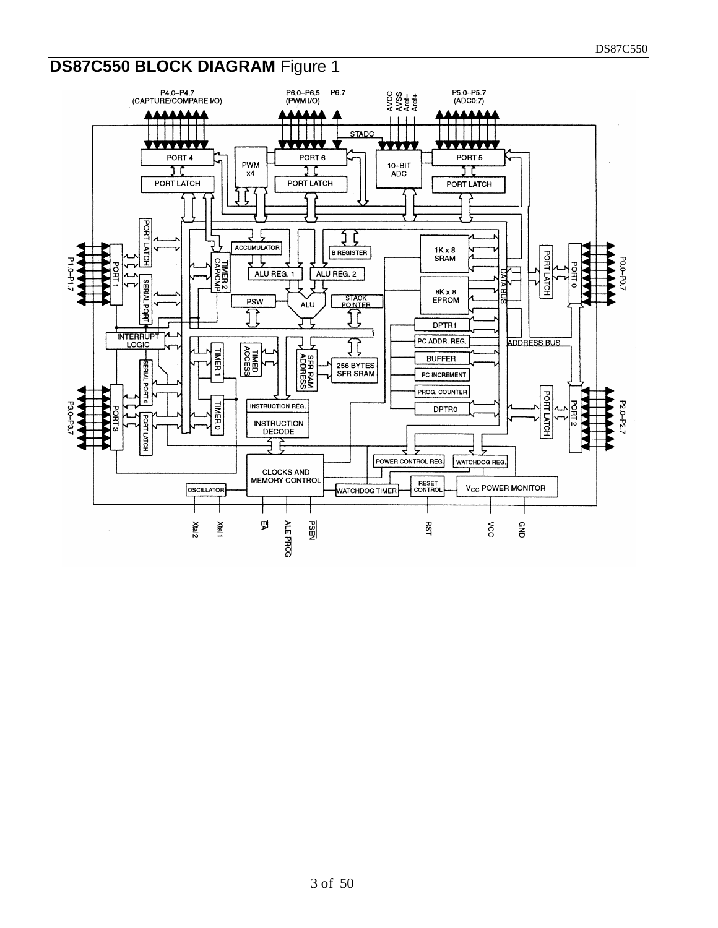# **DS87C550 BLOCK DIAGRAM** Figure 1

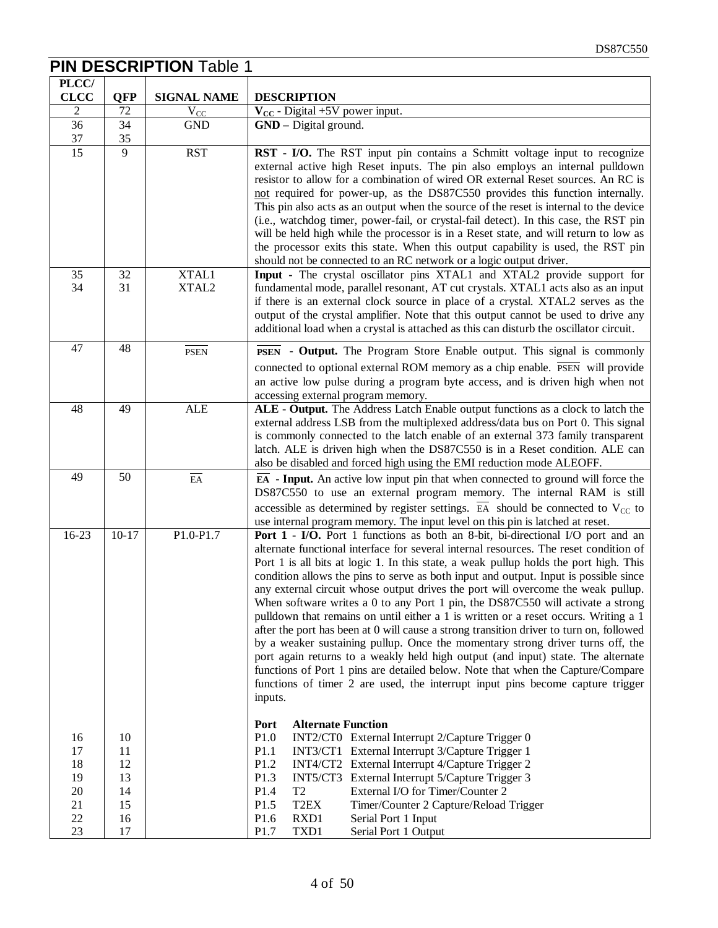|                                              |                                              | <b>PIN DESCRIPTION Table 1</b> |                                                                                                                                                                                                                                                                                                                                                                                                                                                                                                                                                                                                                                                                                                                                                                                                                                                                                                                                                                                                                                                                          |
|----------------------------------------------|----------------------------------------------|--------------------------------|--------------------------------------------------------------------------------------------------------------------------------------------------------------------------------------------------------------------------------------------------------------------------------------------------------------------------------------------------------------------------------------------------------------------------------------------------------------------------------------------------------------------------------------------------------------------------------------------------------------------------------------------------------------------------------------------------------------------------------------------------------------------------------------------------------------------------------------------------------------------------------------------------------------------------------------------------------------------------------------------------------------------------------------------------------------------------|
| PLCC/                                        |                                              |                                |                                                                                                                                                                                                                                                                                                                                                                                                                                                                                                                                                                                                                                                                                                                                                                                                                                                                                                                                                                                                                                                                          |
| <b>CLCC</b>                                  | <b>QFP</b>                                   | <b>SIGNAL NAME</b>             | <b>DESCRIPTION</b>                                                                                                                                                                                                                                                                                                                                                                                                                                                                                                                                                                                                                                                                                                                                                                                                                                                                                                                                                                                                                                                       |
| $\overline{2}$                               | 72                                           | $V_{CC}$                       | $V_{CC}$ - Digital +5V power input.                                                                                                                                                                                                                                                                                                                                                                                                                                                                                                                                                                                                                                                                                                                                                                                                                                                                                                                                                                                                                                      |
| 36                                           | 34                                           | <b>GND</b>                     | GND - Digital ground.                                                                                                                                                                                                                                                                                                                                                                                                                                                                                                                                                                                                                                                                                                                                                                                                                                                                                                                                                                                                                                                    |
| 37                                           | 35                                           |                                |                                                                                                                                                                                                                                                                                                                                                                                                                                                                                                                                                                                                                                                                                                                                                                                                                                                                                                                                                                                                                                                                          |
| 15                                           | $\overline{9}$                               | <b>RST</b>                     | RST - I/O. The RST input pin contains a Schmitt voltage input to recognize<br>external active high Reset inputs. The pin also employs an internal pulldown<br>resistor to allow for a combination of wired OR external Reset sources. An RC is<br>not required for power-up, as the DS87C550 provides this function internally.<br>This pin also acts as an output when the source of the reset is internal to the device<br>(i.e., watchdog timer, power-fail, or crystal-fail detect). In this case, the RST pin<br>will be held high while the processor is in a Reset state, and will return to low as<br>the processor exits this state. When this output capability is used, the RST pin<br>should not be connected to an RC network or a logic output driver.                                                                                                                                                                                                                                                                                                     |
| 35<br>34                                     | 32<br>31                                     | XTAL1<br>XTAL2                 | Input - The crystal oscillator pins XTAL1 and XTAL2 provide support for<br>fundamental mode, parallel resonant, AT cut crystals. XTAL1 acts also as an input<br>if there is an external clock source in place of a crystal. XTAL2 serves as the<br>output of the crystal amplifier. Note that this output cannot be used to drive any<br>additional load when a crystal is attached as this can disturb the oscillator circuit.                                                                                                                                                                                                                                                                                                                                                                                                                                                                                                                                                                                                                                          |
| 47                                           | 48                                           | <b>PSEN</b>                    | <b>PSEN</b> - Output. The Program Store Enable output. This signal is commonly                                                                                                                                                                                                                                                                                                                                                                                                                                                                                                                                                                                                                                                                                                                                                                                                                                                                                                                                                                                           |
|                                              |                                              |                                | connected to optional external ROM memory as a chip enable. PSEN will provide<br>an active low pulse during a program byte access, and is driven high when not<br>accessing external program memory.                                                                                                                                                                                                                                                                                                                                                                                                                                                                                                                                                                                                                                                                                                                                                                                                                                                                     |
| 48                                           | 49                                           | <b>ALE</b>                     | ALE - Output. The Address Latch Enable output functions as a clock to latch the<br>external address LSB from the multiplexed address/data bus on Port 0. This signal<br>is commonly connected to the latch enable of an external 373 family transparent<br>latch. ALE is driven high when the DS87C550 is in a Reset condition. ALE can<br>also be disabled and forced high using the EMI reduction mode ALEOFF.                                                                                                                                                                                                                                                                                                                                                                                                                                                                                                                                                                                                                                                         |
| 49                                           | 50                                           | $E\overline{A}$                | $\overline{EA}$ - Input. An active low input pin that when connected to ground will force the<br>DS87C550 to use an external program memory. The internal RAM is still<br>accessible as determined by register settings. $\overline{EA}$ should be connected to V <sub>CC</sub> to<br>use internal program memory. The input level on this pin is latched at reset.                                                                                                                                                                                                                                                                                                                                                                                                                                                                                                                                                                                                                                                                                                      |
| $16-23$                                      | $10 - 17$                                    | P1.0-P1.7                      | Port 1 - I/O. Port 1 functions as both an 8-bit, bi-directional I/O port and an<br>alternate functional interface for several internal resources. The reset condition of<br>Port 1 is all bits at logic 1. In this state, a weak pullup holds the port high. This<br>condition allows the pins to serve as both input and output. Input is possible since<br>any external circuit whose output drives the port will overcome the weak pullup.<br>When software writes a 0 to any Port 1 pin, the DS87C550 will activate a strong<br>pulldown that remains on until either a 1 is written or a reset occurs. Writing a 1<br>after the port has been at 0 will cause a strong transition driver to turn on, followed<br>by a weaker sustaining pullup. Once the momentary strong driver turns off, the<br>port again returns to a weakly held high output (and input) state. The alternate<br>functions of Port 1 pins are detailed below. Note that when the Capture/Compare<br>functions of timer 2 are used, the interrupt input pins become capture trigger<br>inputs. |
| 16<br>17<br>18<br>19<br>20<br>21<br>22<br>23 | 10<br>11<br>12<br>13<br>14<br>15<br>16<br>17 |                                | <b>Alternate Function</b><br>Port<br>P1.0<br>INT2/CT0 External Interrupt 2/Capture Trigger 0<br>P1.1<br>INT3/CT1 External Interrupt 3/Capture Trigger 1<br>P1.2<br>INT4/CT2 External Interrupt 4/Capture Trigger 2<br>P1.3<br>INT5/CT3 External Interrupt 5/Capture Trigger 3<br>P1.4<br>External I/O for Timer/Counter 2<br>T <sub>2</sub><br>T <sub>2</sub> EX<br>P1.5<br>Timer/Counter 2 Capture/Reload Trigger<br>P1.6<br>RXD1<br>Serial Port 1 Input<br>P1.7<br>TXD1<br>Serial Port 1 Output                                                                                                                                                                                                                                                                                                                                                                                                                                                                                                                                                                        |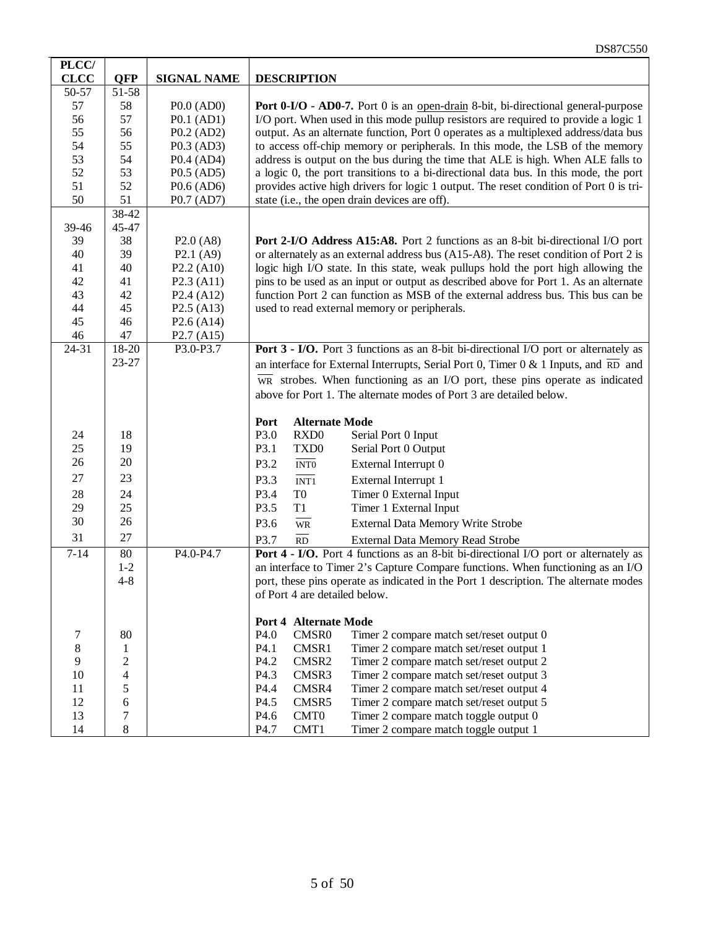| PLCC/       |                |                                     |                                                                                                    |  |  |
|-------------|----------------|-------------------------------------|----------------------------------------------------------------------------------------------------|--|--|
| <b>CLCC</b> | <b>QFP</b>     | <b>SIGNAL NAME</b>                  | <b>DESCRIPTION</b>                                                                                 |  |  |
| 50-57       | 51-58          |                                     |                                                                                                    |  |  |
| 57          | 58             | $P0.0$ (AD0)                        | <b>Port 0-I/O - AD0-7.</b> Port 0 is an <u>open-drain</u> 8-bit, bi-directional general-purpose    |  |  |
| 56          | 57             | $P0.1$ (AD1)                        | I/O port. When used in this mode pullup resistors are required to provide a logic 1                |  |  |
| 55          | 56             | $P0.2$ (AD2)                        | output. As an alternate function, Port 0 operates as a multiplexed address/data bus                |  |  |
| 54          | 55             | $P0.3$ (AD3)                        | to access off-chip memory or peripherals. In this mode, the LSB of the memory                      |  |  |
| 53          | 54             | $P0.4$ (AD4)                        | address is output on the bus during the time that ALE is high. When ALE falls to                   |  |  |
| 52          | 53             | $P0.5$ (AD5)                        | a logic 0, the port transitions to a bi-directional data bus. In this mode, the port               |  |  |
| 51          | 52             | P0.6 (AD6)                          | provides active high drivers for logic 1 output. The reset condition of Port 0 is tri-             |  |  |
| 50          | 51             | P0.7 (AD7)                          | state (i.e., the open drain devices are off).                                                      |  |  |
|             | 38-42          |                                     |                                                                                                    |  |  |
| 39-46       | 45-47          |                                     |                                                                                                    |  |  |
| 39          | 38             | P2.0(A8)                            | Port 2-I/O Address A15:A8. Port 2 functions as an 8-bit bi-directional I/O port                    |  |  |
| 40          | 39             | P2.1(A9)                            | or alternately as an external address bus (A15-A8). The reset condition of Port 2 is               |  |  |
| 41          | 40             | $P2.2$ (A10)                        | logic high I/O state. In this state, weak pullups hold the port high allowing the                  |  |  |
| 42          | 41             | P2.3 (A11)                          | pins to be used as an input or output as described above for Port 1. As an alternate               |  |  |
| 43          | 42             | P2.4 (A12)                          | function Port 2 can function as MSB of the external address bus. This bus can be                   |  |  |
| 44          | 45             | $P2.5$ (A13)                        | used to read external memory or peripherals.                                                       |  |  |
| 45          | 46             | $P2.6$ (A14)                        |                                                                                                    |  |  |
| 46          | 47             | P <sub>2.7</sub> (A <sub>15</sub> ) |                                                                                                    |  |  |
| 24-31       | 18-20          | P3.0-P3.7                           | Port 3 - I/O. Port 3 functions as an 8-bit bi-directional I/O port or alternately as               |  |  |
|             | 23-27          |                                     | an interface for External Interrupts, Serial Port 0, Timer $0 < 1$ Inputs, and $\overline{RD}$ and |  |  |
|             |                |                                     | $\overline{WR}$ strobes. When functioning as an I/O port, these pins operate as indicated          |  |  |
|             |                |                                     | above for Port 1. The alternate modes of Port 3 are detailed below.                                |  |  |
|             |                |                                     |                                                                                                    |  |  |
|             |                |                                     | <b>Alternate Mode</b><br>Port                                                                      |  |  |
| 24          | 18             |                                     | P3.0<br>RXD <sub>0</sub><br>Serial Port 0 Input                                                    |  |  |
| 25          | 19             |                                     | P3.1<br>TXD <sub>0</sub><br>Serial Port 0 Output                                                   |  |  |
| 26          | 20             |                                     | P3.2<br>$\overline{\text{INT0}}$<br>External Interrupt 0                                           |  |  |
| 27          | 23             |                                     | P3.3<br>External Interrupt 1<br>$\overline{\text{INT1}}$                                           |  |  |
| 28          | 24             |                                     | P3.4<br>Timer 0 External Input<br>T <sub>0</sub>                                                   |  |  |
| 29          | 25             |                                     | P3.5<br>T1<br>Timer 1 External Input                                                               |  |  |
| 30          | 26             |                                     |                                                                                                    |  |  |
|             |                |                                     | P3.6<br>$\overline{\text{WR}}$<br>External Data Memory Write Strobe                                |  |  |
| 31          | 27             |                                     | P3.7<br>External Data Memory Read Strobe<br>RD                                                     |  |  |
| $7 - 14$    | 80             | P4.0-P4.7                           | Port 4 - I/O. Port 4 functions as an 8-bit bi-directional I/O port or alternately as               |  |  |
|             | $1 - 2$        |                                     | an interface to Timer 2's Capture Compare functions. When functioning as an I/O                    |  |  |
|             | $4 - 8$        |                                     | port, these pins operate as indicated in the Port 1 description. The alternate modes               |  |  |
|             |                |                                     | of Port 4 are detailed below.                                                                      |  |  |
|             |                |                                     |                                                                                                    |  |  |
|             |                |                                     | <b>Port 4 Alternate Mode</b>                                                                       |  |  |
| 7           | 80             |                                     | P4.0<br>CMSR0<br>Timer 2 compare match set/reset output 0                                          |  |  |
| 8<br>9      | 1              |                                     | Timer 2 compare match set/reset output 1<br>P4.1<br>CMSR1                                          |  |  |
|             | $\overline{c}$ |                                     | P4.2<br>CMSR2<br>Timer 2 compare match set/reset output 2<br>P4.3                                  |  |  |
| 10<br>11    | 4<br>5         |                                     | Timer 2 compare match set/reset output 3<br>CMSR3<br>CMSR4<br>P4.4                                 |  |  |
| 12          | 6              |                                     | Timer 2 compare match set/reset output 4<br>P4.5<br>CMSR5                                          |  |  |
| 13          | 7              |                                     | Timer 2 compare match set/reset output 5<br>CMT <sub>0</sub><br>P4.6                               |  |  |
| 14          | 8              |                                     | Timer 2 compare match toggle output 0<br>CMT1<br>P4.7                                              |  |  |
|             |                |                                     | Timer 2 compare match toggle output 1                                                              |  |  |

DS87C550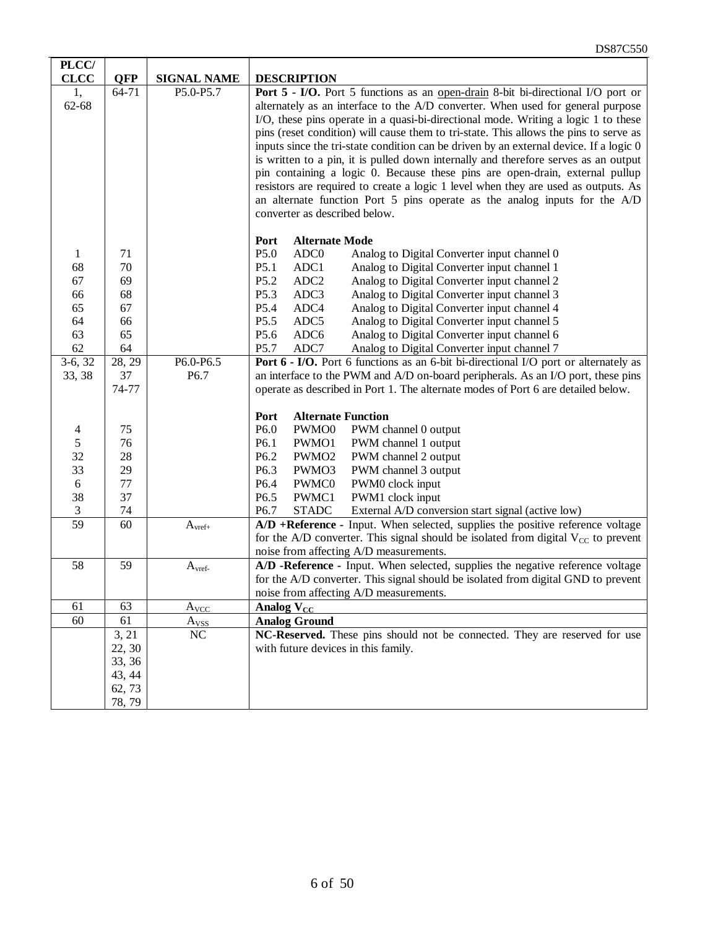| PLCC/                       |                      |                    |                                                                                                                                                                                                                                                                                                                                                                                                                                                                                                                                                                                                                                                                                                                                                                                                                          |  |  |
|-----------------------------|----------------------|--------------------|--------------------------------------------------------------------------------------------------------------------------------------------------------------------------------------------------------------------------------------------------------------------------------------------------------------------------------------------------------------------------------------------------------------------------------------------------------------------------------------------------------------------------------------------------------------------------------------------------------------------------------------------------------------------------------------------------------------------------------------------------------------------------------------------------------------------------|--|--|
| <b>CLCC</b>                 | <b>QFP</b>           | <b>SIGNAL NAME</b> | <b>DESCRIPTION</b>                                                                                                                                                                                                                                                                                                                                                                                                                                                                                                                                                                                                                                                                                                                                                                                                       |  |  |
| 1,<br>62-68                 | 64-71                | P5.0-P5.7          | Port 5 - I/O. Port 5 functions as an open-drain 8-bit bi-directional I/O port or<br>alternately as an interface to the A/D converter. When used for general purpose<br>I/O, these pins operate in a quasi-bi-directional mode. Writing a logic 1 to these<br>pins (reset condition) will cause them to tri-state. This allows the pins to serve as<br>inputs since the tri-state condition can be driven by an external device. If a logic 0<br>is written to a pin, it is pulled down internally and therefore serves as an output<br>pin containing a logic 0. Because these pins are open-drain, external pullup<br>resistors are required to create a logic 1 level when they are used as outputs. As<br>an alternate function Port 5 pins operate as the analog inputs for the A/D<br>converter as described below. |  |  |
|                             |                      |                    | Port<br><b>Alternate Mode</b>                                                                                                                                                                                                                                                                                                                                                                                                                                                                                                                                                                                                                                                                                                                                                                                            |  |  |
| 1                           | 71                   |                    | P5.0<br>ADC <sub>0</sub><br>Analog to Digital Converter input channel 0                                                                                                                                                                                                                                                                                                                                                                                                                                                                                                                                                                                                                                                                                                                                                  |  |  |
| 68                          | 70                   |                    | P5.1<br>ADC1<br>Analog to Digital Converter input channel 1                                                                                                                                                                                                                                                                                                                                                                                                                                                                                                                                                                                                                                                                                                                                                              |  |  |
| 67                          | 69                   |                    | P5.2<br>ADC <sub>2</sub><br>Analog to Digital Converter input channel 2                                                                                                                                                                                                                                                                                                                                                                                                                                                                                                                                                                                                                                                                                                                                                  |  |  |
| 66                          | 68                   |                    | P5.3<br>ADC3<br>Analog to Digital Converter input channel 3                                                                                                                                                                                                                                                                                                                                                                                                                                                                                                                                                                                                                                                                                                                                                              |  |  |
| 65                          | 67                   |                    | P5.4<br>ADC4<br>Analog to Digital Converter input channel 4                                                                                                                                                                                                                                                                                                                                                                                                                                                                                                                                                                                                                                                                                                                                                              |  |  |
| 64                          | 66                   |                    | P5.5<br>ADC5<br>Analog to Digital Converter input channel 5                                                                                                                                                                                                                                                                                                                                                                                                                                                                                                                                                                                                                                                                                                                                                              |  |  |
| 63                          | 65                   |                    | P5.6<br>ADC6<br>Analog to Digital Converter input channel 6                                                                                                                                                                                                                                                                                                                                                                                                                                                                                                                                                                                                                                                                                                                                                              |  |  |
| 62                          | 64                   |                    | P <sub>5.7</sub><br>ADC7<br>Analog to Digital Converter input channel 7                                                                                                                                                                                                                                                                                                                                                                                                                                                                                                                                                                                                                                                                                                                                                  |  |  |
| $3-6, 32$                   | $\overline{28}$ , 29 | P6.0-P6.5          | Port 6 - I/O. Port 6 functions as an 6-bit bi-directional I/O port or alternately as                                                                                                                                                                                                                                                                                                                                                                                                                                                                                                                                                                                                                                                                                                                                     |  |  |
| 33, 38                      | 37                   | P6.7               | an interface to the PWM and A/D on-board peripherals. As an I/O port, these pins                                                                                                                                                                                                                                                                                                                                                                                                                                                                                                                                                                                                                                                                                                                                         |  |  |
|                             | 74-77                |                    | operate as described in Port 1. The alternate modes of Port 6 are detailed below.                                                                                                                                                                                                                                                                                                                                                                                                                                                                                                                                                                                                                                                                                                                                        |  |  |
|                             |                      |                    |                                                                                                                                                                                                                                                                                                                                                                                                                                                                                                                                                                                                                                                                                                                                                                                                                          |  |  |
|                             |                      |                    | Port<br><b>Alternate Function</b>                                                                                                                                                                                                                                                                                                                                                                                                                                                                                                                                                                                                                                                                                                                                                                                        |  |  |
| $\overline{4}$              | 75                   |                    | P6.0<br>PWM channel 0 output<br>PWMO0                                                                                                                                                                                                                                                                                                                                                                                                                                                                                                                                                                                                                                                                                                                                                                                    |  |  |
| 5                           | 76                   |                    | P6.1<br>PWMO1<br>PWM channel 1 output                                                                                                                                                                                                                                                                                                                                                                                                                                                                                                                                                                                                                                                                                                                                                                                    |  |  |
| 32                          | 28                   |                    | P6.2<br>PWM channel 2 output<br>PWMO <sub>2</sub>                                                                                                                                                                                                                                                                                                                                                                                                                                                                                                                                                                                                                                                                                                                                                                        |  |  |
| 33                          | 29                   |                    | P6.3<br>PWMO3<br>PWM channel 3 output                                                                                                                                                                                                                                                                                                                                                                                                                                                                                                                                                                                                                                                                                                                                                                                    |  |  |
| 6                           | 77                   |                    | P6.4<br>PWMC0<br>PWM0 clock input                                                                                                                                                                                                                                                                                                                                                                                                                                                                                                                                                                                                                                                                                                                                                                                        |  |  |
| 38                          | 37                   |                    | P6.5<br>PWMC1<br>PWM1 clock input                                                                                                                                                                                                                                                                                                                                                                                                                                                                                                                                                                                                                                                                                                                                                                                        |  |  |
| $\ensuremath{\mathfrak{Z}}$ | 74                   |                    | P6.7<br><b>STADC</b><br>External A/D conversion start signal (active low)                                                                                                                                                                                                                                                                                                                                                                                                                                                                                                                                                                                                                                                                                                                                                |  |  |
| 59                          | 60                   | $A_{\rm vref+}$    | A/D +Reference - Input. When selected, supplies the positive reference voltage                                                                                                                                                                                                                                                                                                                                                                                                                                                                                                                                                                                                                                                                                                                                           |  |  |
|                             |                      |                    | for the A/D converter. This signal should be isolated from digital $V_{CC}$ to prevent                                                                                                                                                                                                                                                                                                                                                                                                                                                                                                                                                                                                                                                                                                                                   |  |  |
|                             |                      |                    | noise from affecting A/D measurements.                                                                                                                                                                                                                                                                                                                                                                                                                                                                                                                                                                                                                                                                                                                                                                                   |  |  |
| 58                          | 59                   | A <sub>verb</sub>  | A/D -Reference - Input. When selected, supplies the negative reference voltage                                                                                                                                                                                                                                                                                                                                                                                                                                                                                                                                                                                                                                                                                                                                           |  |  |
|                             |                      |                    | for the A/D converter. This signal should be isolated from digital GND to prevent                                                                                                                                                                                                                                                                                                                                                                                                                                                                                                                                                                                                                                                                                                                                        |  |  |
|                             |                      |                    | noise from affecting A/D measurements.                                                                                                                                                                                                                                                                                                                                                                                                                                                                                                                                                                                                                                                                                                                                                                                   |  |  |
| 61                          | 63                   | $A_{VCC}$          | Analog $V_{CC}$                                                                                                                                                                                                                                                                                                                                                                                                                                                                                                                                                                                                                                                                                                                                                                                                          |  |  |
| 60                          | 61                   | $A_{VSS}$          | <b>Analog Ground</b>                                                                                                                                                                                                                                                                                                                                                                                                                                                                                                                                                                                                                                                                                                                                                                                                     |  |  |
|                             | 3, 21                | NC                 | NC-Reserved. These pins should not be connected. They are reserved for use                                                                                                                                                                                                                                                                                                                                                                                                                                                                                                                                                                                                                                                                                                                                               |  |  |
|                             | 22, 30               |                    | with future devices in this family.                                                                                                                                                                                                                                                                                                                                                                                                                                                                                                                                                                                                                                                                                                                                                                                      |  |  |
|                             | 33, 36               |                    |                                                                                                                                                                                                                                                                                                                                                                                                                                                                                                                                                                                                                                                                                                                                                                                                                          |  |  |
|                             | 43, 44               |                    |                                                                                                                                                                                                                                                                                                                                                                                                                                                                                                                                                                                                                                                                                                                                                                                                                          |  |  |
|                             | 62, 73               |                    |                                                                                                                                                                                                                                                                                                                                                                                                                                                                                                                                                                                                                                                                                                                                                                                                                          |  |  |
|                             | 78, 79               |                    |                                                                                                                                                                                                                                                                                                                                                                                                                                                                                                                                                                                                                                                                                                                                                                                                                          |  |  |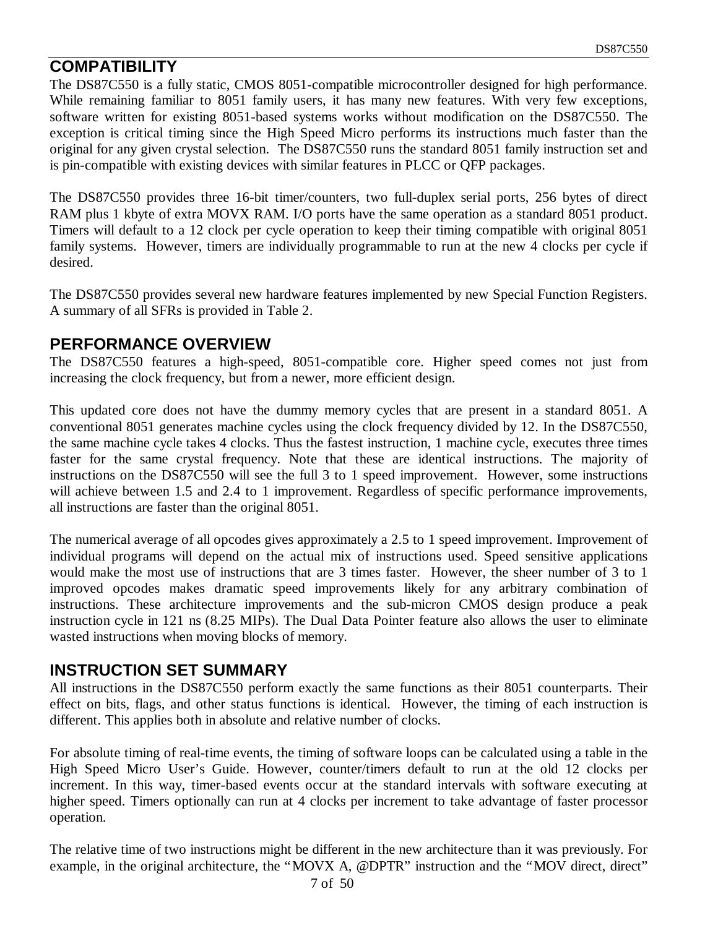## **COMPATIBILITY**

The DS87C550 is a fully static, CMOS 8051-compatible microcontroller designed for high performance. While remaining familiar to 8051 family users, it has many new features. With very few exceptions, software written for existing 8051-based systems works without modification on the DS87C550. The exception is critical timing since the High Speed Micro performs its instructions much faster than the original for any given crystal selection. The DS87C550 runs the standard 8051 family instruction set and is pin-compatible with existing devices with similar features in PLCC or QFP packages.

The DS87C550 provides three 16-bit timer/counters, two full-duplex serial ports, 256 bytes of direct RAM plus 1 kbyte of extra MOVX RAM. I/O ports have the same operation as a standard 8051 product. Timers will default to a 12 clock per cycle operation to keep their timing compatible with original 8051 family systems. However, timers are individually programmable to run at the new 4 clocks per cycle if desired.

The DS87C550 provides several new hardware features implemented by new Special Function Registers. A summary of all SFRs is provided in Table 2.

#### **PERFORMANCE OVERVIEW**

The DS87C550 features a high-speed, 8051-compatible core. Higher speed comes not just from increasing the clock frequency, but from a newer, more efficient design.

This updated core does not have the dummy memory cycles that are present in a standard 8051. A conventional 8051 generates machine cycles using the clock frequency divided by 12. In the DS87C550, the same machine cycle takes 4 clocks. Thus the fastest instruction, 1 machine cycle, executes three times faster for the same crystal frequency. Note that these are identical instructions. The majority of instructions on the DS87C550 will see the full 3 to 1 speed improvement. However, some instructions will achieve between 1.5 and 2.4 to 1 improvement. Regardless of specific performance improvements, all instructions are faster than the original 8051.

The numerical average of all opcodes gives approximately a 2.5 to 1 speed improvement. Improvement of individual programs will depend on the actual mix of instructions used. Speed sensitive applications would make the most use of instructions that are 3 times faster. However, the sheer number of 3 to 1 improved opcodes makes dramatic speed improvements likely for any arbitrary combination of instructions. These architecture improvements and the sub-micron CMOS design produce a peak instruction cycle in 121 ns (8.25 MIPs). The Dual Data Pointer feature also allows the user to eliminate wasted instructions when moving blocks of memory.

#### **INSTRUCTION SET SUMMARY**

All instructions in the DS87C550 perform exactly the same functions as their 8051 counterparts. Their effect on bits, flags, and other status functions is identical. However, the timing of each instruction is different. This applies both in absolute and relative number of clocks.

For absolute timing of real-time events, the timing of software loops can be calculated using a table in the High Speed Micro User's Guide. However, counter/timers default to run at the old 12 clocks per increment. In this way, timer-based events occur at the standard intervals with software executing at higher speed. Timers optionally can run at 4 clocks per increment to take advantage of faster processor operation.

The relative time of two instructions might be different in the new architecture than it was previously. For example, in the original architecture, the "MOVX A, @DPTR" instruction and the "MOV direct, direct"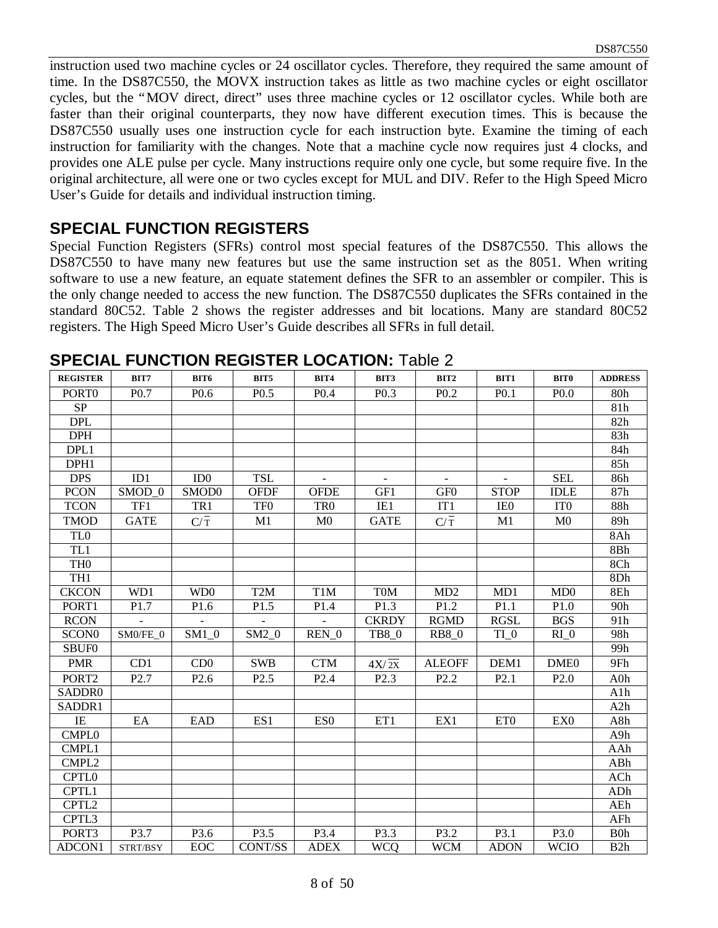instruction used two machine cycles or 24 oscillator cycles. Therefore, they required the same amount of time. In the DS87C550, the MOVX instruction takes as little as two machine cycles or eight oscillator cycles, but the "MOV direct, direct" uses three machine cycles or 12 oscillator cycles. While both are faster than their original counterparts, they now have different execution times. This is because the DS87C550 usually uses one instruction cycle for each instruction byte. Examine the timing of each instruction for familiarity with the changes. Note that a machine cycle now requires just 4 clocks, and provides one ALE pulse per cycle. Many instructions require only one cycle, but some require five. In the original architecture, all were one or two cycles except for MUL and DIV. Refer to the High Speed Micro User's Guide for details and individual instruction timing.

#### **SPECIAL FUNCTION REGISTERS**

Special Function Registers (SFRs) control most special features of the DS87C550. This allows the DS87C550 to have many new features but use the same instruction set as the 8051. When writing software to use a new feature, an equate statement defines the SFR to an assembler or compiler. This is the only change needed to access the new function. The DS87C550 duplicates the SFRs contained in the standard 80C52. Table 2 shows the register addresses and bit locations. Many are standard 80C52 registers. The High Speed Micro User's Guide describes all SFRs in full detail.

| <b>REGISTER</b>   | BIT7              | BIT6             | BIT5             | <b>BIT4</b>      | BIT3               | BIT2             | BIT1             | <b>BIT0</b>      | <b>ADDRESS</b>   |
|-------------------|-------------------|------------------|------------------|------------------|--------------------|------------------|------------------|------------------|------------------|
| PORT <sub>0</sub> | P <sub>0.7</sub>  | P <sub>0.6</sub> | P <sub>0.5</sub> | P <sub>0.4</sub> | P <sub>0.3</sub>   | P <sub>0.2</sub> | P <sub>0.1</sub> | P <sub>0.0</sub> | 80h              |
| SP                |                   |                  |                  |                  |                    |                  |                  |                  | 81h              |
| <b>DPL</b>        |                   |                  |                  |                  |                    |                  |                  |                  | 82h              |
| <b>DPH</b>        |                   |                  |                  |                  |                    |                  |                  |                  | 83h              |
| DPL1              |                   |                  |                  |                  |                    |                  |                  |                  | 84h              |
| DPH1              |                   |                  |                  |                  |                    |                  |                  |                  | 85h              |
| <b>DPS</b>        | ID1               | ID0              | <b>TSL</b>       |                  |                    |                  |                  | <b>SEL</b>       | 86h              |
| <b>PCON</b>       | SMOD <sub>0</sub> | SMOD0            | <b>OFDF</b>      | <b>OFDE</b>      | GF1                | GF <sub>0</sub>  | <b>STOP</b>      | <b>IDLE</b>      | 87h              |
| <b>TCON</b>       | TF1               | TR1              | TF <sub>0</sub>  | TR <sub>0</sub>  | IE1                | IT1              | IE <sub>0</sub>  | IT <sub>0</sub>  | 88h              |
| <b>TMOD</b>       | <b>GATE</b>       | $C/\overline{T}$ | M1               | M <sub>0</sub>   | <b>GATE</b>        | $C/\overline{T}$ | M1               | M <sub>0</sub>   | 89h              |
| TL <sub>0</sub>   |                   |                  |                  |                  |                    |                  |                  |                  | 8Ah              |
| TL1               |                   |                  |                  |                  |                    |                  |                  |                  | 8Bh              |
| TH <sub>0</sub>   |                   |                  |                  |                  |                    |                  |                  |                  | 8Ch              |
| TH <sub>1</sub>   |                   |                  |                  |                  |                    |                  |                  |                  | 8Dh              |
| <b>CKCON</b>      | WD1               | WD <sub>0</sub>  | T <sub>2</sub> M | T <sub>1</sub> M | T <sub>0</sub> M   | MD2              | MD1              | MD0              | 8Eh              |
| PORT1             | P <sub>1.7</sub>  | P1.6             | P <sub>1.5</sub> | P1.4             | P <sub>1.3</sub>   | P1.2             | P1.1             | P1.0             | 90h              |
| <b>RCON</b>       | $\overline{a}$    | $\overline{a}$   | $\overline{a}$   | $\overline{a}$   | <b>CKRDY</b>       | <b>RGMD</b>      | <b>RGSL</b>      | <b>BGS</b>       | 91h              |
| SCON <sub>0</sub> | SM0/FE_0          | $SM1_0$          | $SM2_0$          | $REN_0$          | TB8_0              | <b>RB8_0</b>     | $TI_0$           | $RI_0$           | 98h              |
| <b>SBUF0</b>      |                   |                  |                  |                  |                    |                  |                  |                  | 99h              |
| <b>PMR</b>        | CD1               | CD <sub>0</sub>  | <b>SWB</b>       | <b>CTM</b>       | $4X/\overline{2X}$ | <b>ALEOFF</b>    | DEM1             | DME <sub>0</sub> | 9Fh              |
| PORT <sub>2</sub> | P <sub>2.7</sub>  | P <sub>2.6</sub> | P <sub>2.5</sub> | P <sub>2.4</sub> | P <sub>2.3</sub>   | P <sub>2.2</sub> | P <sub>2.1</sub> | P2.0             | A0h              |
| SADDR0            |                   |                  |                  |                  |                    |                  |                  |                  | A1h              |
| SADDR1            |                   |                  |                  |                  |                    |                  |                  |                  | A2h              |
| IE                | EA                | EAD              | ES1              | ES <sub>0</sub>  | ET1                | EX1              | ET <sub>0</sub>  | EX <sub>0</sub>  | A8h              |
| <b>CMPL0</b>      |                   |                  |                  |                  |                    |                  |                  |                  | A9h              |
| CMPL1             |                   |                  |                  |                  |                    |                  |                  |                  | AAh              |
| CMPL <sub>2</sub> |                   |                  |                  |                  |                    |                  |                  |                  | ABh              |
| CPTL <sub>0</sub> |                   |                  |                  |                  |                    |                  |                  |                  | ACh              |
| CPTL1             |                   |                  |                  |                  |                    |                  |                  |                  | ADh              |
| CPTL2             |                   |                  |                  |                  |                    |                  |                  |                  | AEh              |
| CPTL3             |                   |                  |                  |                  |                    |                  |                  |                  | AFh              |
| PORT3             | P3.7              | P3.6             | P3.5             | P3.4             | P3.3               | P3.2             | P3.1             | P3.0             | B <sub>0</sub> h |
| <b>ADCON1</b>     | STRT/BSY          | EOC              | <b>CONT/SS</b>   | <b>ADEX</b>      | <b>WCQ</b>         | <b>WCM</b>       | <b>ADON</b>      | <b>WCIO</b>      | B2h              |

**SPECIAL FUNCTION REGISTER LOCATION:** Table 2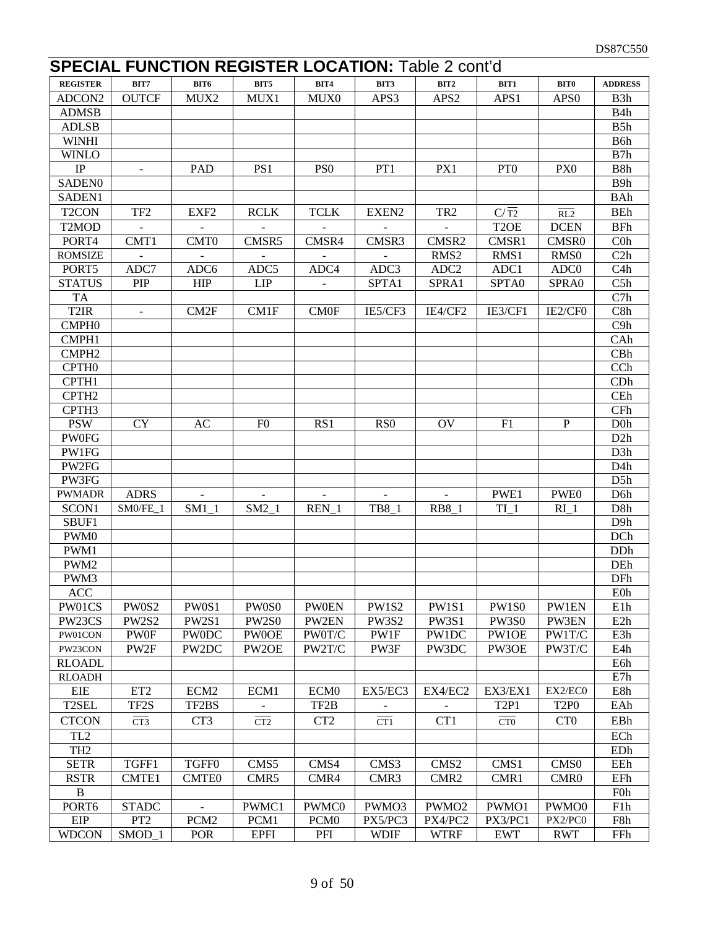# **SPECIAL FUNCTION REGISTER LOCATION: Table 2 cont'd**

| <b>REGISTER</b>    | BIT7                     | BIT6             | BIT5            | <b>BIT4</b>      | BIT3            | BIT2              | BIT1              | <b>BIT0</b>                  | <b>ADDRESS</b>   |
|--------------------|--------------------------|------------------|-----------------|------------------|-----------------|-------------------|-------------------|------------------------------|------------------|
| ADCON2             | <b>OUTCF</b>             | MUX2             | MUX1            | MUX0             | APS3            | APS <sub>2</sub>  | APS1              | APS <sub>0</sub>             | B3h              |
| <b>ADMSB</b>       |                          |                  |                 |                  |                 |                   |                   |                              | B <sub>4</sub> h |
| <b>ADLSB</b>       |                          |                  |                 |                  |                 |                   |                   |                              | B5h              |
| <b>WINHI</b>       |                          |                  |                 |                  |                 |                   |                   |                              | B6h              |
| <b>WINLO</b>       |                          |                  |                 |                  |                 |                   |                   |                              | B7h              |
| IP                 | $\overline{\phantom{a}}$ | <b>PAD</b>       | PS1             | PS <sub>0</sub>  | PT1             | PX1               | PT <sub>0</sub>   | PX <sub>0</sub>              | B8h              |
| SADEN <sub>0</sub> |                          |                  |                 |                  |                 |                   |                   |                              | B <sub>9</sub> h |
| SADEN1             |                          |                  |                 |                  |                 |                   |                   |                              | <b>BAh</b>       |
| T <sub>2</sub> CON | TF <sub>2</sub>          | EXF <sub>2</sub> | <b>RCLK</b>     | <b>TCLK</b>      | EXEN2           | TR <sub>2</sub>   | $C/\overline{T2}$ | RL2                          | <b>BEh</b>       |
| T <sub>2</sub> MOD |                          |                  |                 |                  |                 |                   | T <sub>2</sub> OE | <b>DCEN</b>                  | <b>BFh</b>       |
| PORT4              | CMT1                     | CMT <sub>0</sub> | CMSR5           | CMSR4            | CMSR3           | CMSR2             | CMSR1             | CMSR0                        | $C0$ h           |
| <b>ROMSIZE</b>     |                          |                  |                 |                  |                 | RMS <sub>2</sub>  | RMS1              | RMS <sub>0</sub>             | C2h              |
| PORT5              | ADC7                     | ADC6             | ADC5            | ADC4             | ADC3            | ADC <sub>2</sub>  | ADC1              | ADC <sub>0</sub>             | C4h              |
| <b>STATUS</b>      | <b>PIP</b>               | <b>HIP</b>       | <b>LIP</b>      |                  | SPTA1           | SPRA1             | SPTA0             | SPRA0                        | C5h              |
| <b>TA</b>          |                          |                  |                 |                  |                 |                   |                   |                              | C7h              |
| T <sub>2</sub> IR  |                          | CM <sub>2F</sub> | CM1F            | <b>CMOF</b>      | IE5/CF3         | IE4/CF2           | IE3/CF1           | IE2/CF0                      | C8h              |
| CMPH <sub>0</sub>  |                          |                  |                 |                  |                 |                   |                   |                              | C9h              |
| CMPH1              |                          |                  |                 |                  |                 |                   |                   |                              | CAh              |
| CMPH <sub>2</sub>  |                          |                  |                 |                  |                 |                   |                   |                              | CBh              |
| CPTH <sub>0</sub>  |                          |                  |                 |                  |                 |                   |                   |                              | CCh              |
| CPTH1              |                          |                  |                 |                  |                 |                   |                   |                              | CDh              |
| CPTH <sub>2</sub>  |                          |                  |                 |                  |                 |                   |                   |                              | CEh              |
| CPTH3              |                          |                  |                 |                  |                 |                   |                   |                              | CFh              |
| <b>PSW</b>         | <b>CY</b>                | AC               | F <sub>0</sub>  | RS1              | RS <sub>0</sub> | OV                | F1                | ${\bf P}$                    | D <sub>0</sub>   |
| <b>PW0FG</b>       |                          |                  |                 |                  |                 |                   |                   |                              | D2h              |
| PW1FG              |                          |                  |                 |                  |                 |                   |                   |                              | D3h              |
| PW2FG              |                          |                  |                 |                  |                 |                   |                   |                              | D <sub>4</sub> h |
| PW3FG              |                          |                  |                 |                  |                 |                   |                   |                              | D5h              |
| <b>PWMADR</b>      | <b>ADRS</b>              |                  |                 |                  |                 |                   | PWE1              | PWE0                         | D <sub>6</sub> h |
| SCON1              | SM0/FE_1                 | SM1 1            | $SM2_1$         | $REN_1$          | TB8_1           | <b>RB8</b> 1      | $TI$ 1            | $RI_1$                       | D8h              |
| SBUF1              |                          |                  |                 |                  |                 |                   |                   |                              | D <sub>9</sub> h |
| PWM0               |                          |                  |                 |                  |                 |                   |                   |                              | DCh              |
| PWM1               |                          |                  |                 |                  |                 |                   |                   |                              | DDh              |
| PWM2               |                          |                  |                 |                  |                 |                   |                   |                              | DEh              |
| PWM3               |                          |                  |                 |                  |                 |                   |                   |                              | DFh              |
| <b>ACC</b>         |                          |                  |                 |                  |                 |                   |                   |                              | <b>E0h</b>       |
| PW01CS             | PW0S2                    | PW0S1            | PW0S0           | <b>PW0EN</b>     | PW1S2           | PW1S1             | PW1S0             | PW1EN                        | E1h              |
| PW23CS             | <b>PW2S2</b>             | PW2S1            | <b>PW2S0</b>    | PW2EN            | <b>PW3S2</b>    | <b>PW3S1</b>      | <b>PW3S0</b>      | PW3EN                        | E2h              |
| PW01CON            | <b>PW0F</b>              | <b>PWODC</b>     | <b>PW0OE</b>    | PW0T/C           | PW1F            | PW1DC             | PW1OE             | PW1T/C                       | E3h              |
| PW23CON            | PW2F                     | PW2DC            | PW2OE           | PW2T/C           | PW3F            | PW3DC             | PW3OE             | PW3T/C                       | E4h              |
| <b>RLOADL</b>      |                          |                  |                 |                  |                 |                   |                   |                              | E6h              |
| <b>RLOADH</b>      |                          |                  |                 |                  |                 |                   |                   |                              | E7h              |
| <b>EIE</b>         | ET <sub>2</sub>          | ECM <sub>2</sub> | ECM1            | ECM <sub>0</sub> | EX5/EC3         | EX4/EC2           | EX3/EX1           | EX2/EC0                      | E8h              |
| T <sub>2</sub> SEL | TF2S                     | TF2BS            |                 | TF2B             |                 |                   | T <sub>2P1</sub>  | T <sub>2P</sub> <sub>0</sub> | EAh              |
| <b>CTCON</b>       | CT3                      | CT <sub>3</sub>  | CT <sub>2</sub> | CT <sub>2</sub>  | CT1             | CT1               | CT <sub>0</sub>   | CT <sub>0</sub>              | EBh              |
| TL <sub>2</sub>    |                          |                  |                 |                  |                 |                   |                   |                              | ECh              |
| TH <sub>2</sub>    |                          |                  |                 |                  |                 |                   |                   |                              | EDh              |
| <b>SETR</b>        | TGFF1                    | TGFF0            | CMS5            | CMS4             | CMS3            | CMS <sub>2</sub>  | CMS1              | CMS <sub>0</sub>             | EEh              |
| <b>RSTR</b>        | CMTE1                    | <b>CMTE0</b>     | CMR5            | CMR4             | CMR3            | CMR <sub>2</sub>  | CMR1              | CMR <sub>0</sub>             | EFh              |
| $\mathbf{B}$       |                          |                  |                 |                  |                 |                   |                   |                              | F <sub>0</sub> h |
| PORT6              | <b>STADC</b>             |                  | PWMC1           | PWMC0            | PWMO3           | PWMO <sub>2</sub> | PWMO1             | PWMO0                        | F1h              |
| EIP                | PT <sub>2</sub>          | PCM <sub>2</sub> | PCM1            | PCM <sub>0</sub> | PX5/PC3         | PX4/PC2           | PX3/PC1           | PX2/PC0                      | F8h              |
| <b>WDCON</b>       | SMOD_1                   | POR              | <b>EPFI</b>     | PFI              | <b>WDIF</b>     | <b>WTRF</b>       | <b>EWT</b>        | <b>RWT</b>                   | FFh              |
|                    |                          |                  |                 |                  |                 |                   |                   |                              |                  |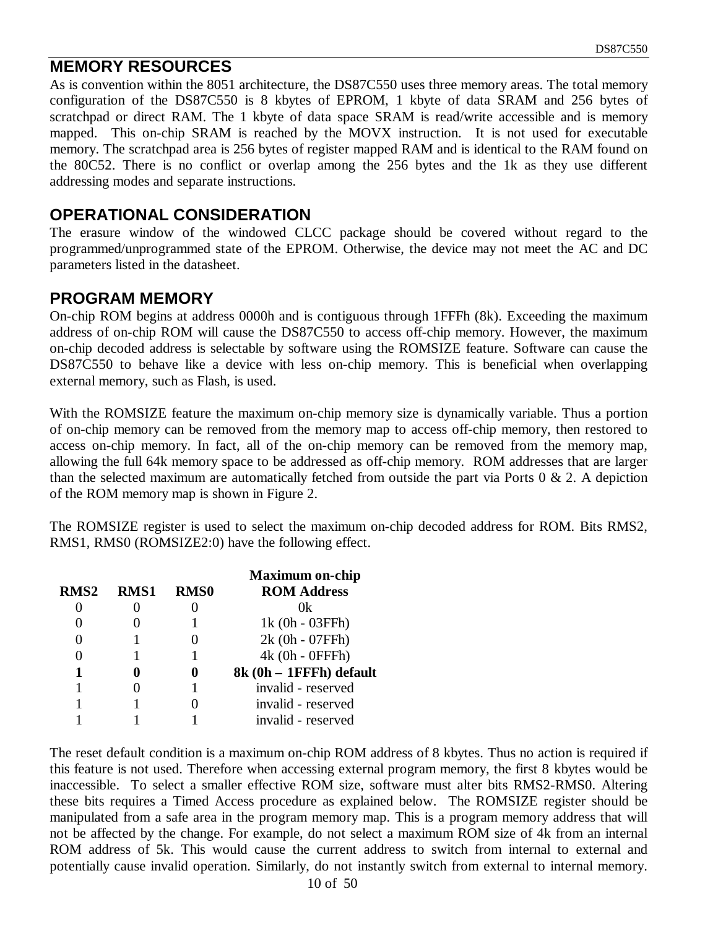#### **MEMORY RESOURCES**

As is convention within the 8051 architecture, the DS87C550 uses three memory areas. The total memory configuration of the DS87C550 is 8 kbytes of EPROM, 1 kbyte of data SRAM and 256 bytes of scratchpad or direct RAM. The 1 kbyte of data space SRAM is read/write accessible and is memory mapped. This on-chip SRAM is reached by the MOVX instruction. It is not used for executable memory. The scratchpad area is 256 bytes of register mapped RAM and is identical to the RAM found on the 80C52. There is no conflict or overlap among the 256 bytes and the 1k as they use different addressing modes and separate instructions.

#### **OPERATIONAL CONSIDERATION**

The erasure window of the windowed CLCC package should be covered without regard to the programmed/unprogrammed state of the EPROM. Otherwise, the device may not meet the AC and DC parameters listed in the datasheet.

#### **PROGRAM MEMORY**

On-chip ROM begins at address 0000h and is contiguous through 1FFFh (8k). Exceeding the maximum address of on-chip ROM will cause the DS87C550 to access off-chip memory. However, the maximum on-chip decoded address is selectable by software using the ROMSIZE feature. Software can cause the DS87C550 to behave like a device with less on-chip memory. This is beneficial when overlapping external memory, such as Flash, is used.

With the ROMSIZE feature the maximum on-chip memory size is dynamically variable. Thus a portion of on-chip memory can be removed from the memory map to access off-chip memory, then restored to access on-chip memory. In fact, all of the on-chip memory can be removed from the memory map, allowing the full 64k memory space to be addressed as off-chip memory. ROM addresses that are larger than the selected maximum are automatically fetched from outside the part via Ports  $0 \& 2$ . A depiction of the ROM memory map is shown in Figure 2.

The ROMSIZE register is used to select the maximum on-chip decoded address for ROM. Bits RMS2, RMS1, RMS0 (ROMSIZE2:0) have the following effect.

|                  |             |             | <b>Maximum on-chip</b>  |
|------------------|-------------|-------------|-------------------------|
| RMS <sub>2</sub> | <b>RMS1</b> | <b>RMS0</b> | <b>ROM Address</b>      |
|                  |             |             | 0k                      |
|                  |             |             | 1k (0h - 03FFh)         |
|                  |             |             | 2k (0h - 07FFh)         |
|                  |             |             | 4k (0h - 0FFFh)         |
| 1                |             |             | 8k (0h - 1FFFh) default |
|                  |             |             | invalid - reserved      |
|                  |             |             | invalid - reserved      |
|                  |             |             | invalid - reserved      |

The reset default condition is a maximum on-chip ROM address of 8 kbytes. Thus no action is required if this feature is not used. Therefore when accessing external program memory, the first 8 kbytes would be inaccessible. To select a smaller effective ROM size, software must alter bits RMS2-RMS0. Altering these bits requires a Timed Access procedure as explained below. The ROMSIZE register should be manipulated from a safe area in the program memory map. This is a program memory address that will not be affected by the change. For example, do not select a maximum ROM size of 4k from an internal ROM address of 5k. This would cause the current address to switch from internal to external and potentially cause invalid operation. Similarly, do not instantly switch from external to internal memory.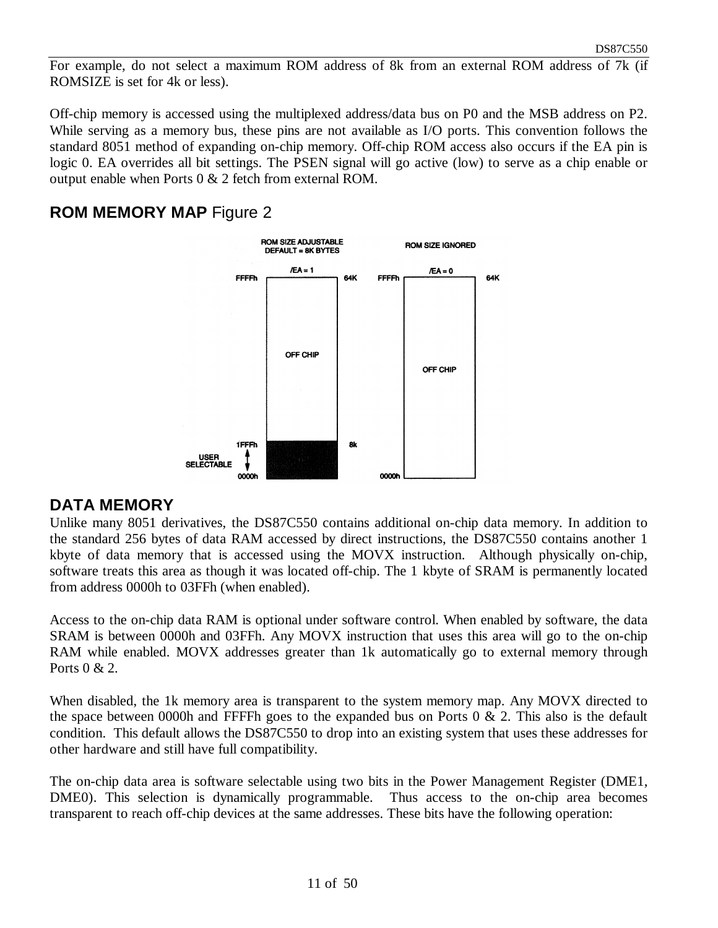For example, do not select a maximum ROM address of 8k from an external ROM address of 7k (if ROMSIZE is set for 4k or less).

Off-chip memory is accessed using the multiplexed address/data bus on P0 and the MSB address on P2. While serving as a memory bus, these pins are not available as I/O ports. This convention follows the standard 8051 method of expanding on-chip memory. Off-chip ROM access also occurs if the EA pin is logic 0. EA overrides all bit settings. The PSEN signal will go active (low) to serve as a chip enable or output enable when Ports 0 & 2 fetch from external ROM.

#### **ROM MEMORY MAP** Figure 2



#### **DATA MEMORY**

Unlike many 8051 derivatives, the DS87C550 contains additional on-chip data memory. In addition to the standard 256 bytes of data RAM accessed by direct instructions, the DS87C550 contains another 1 kbyte of data memory that is accessed using the MOVX instruction. Although physically on-chip, software treats this area as though it was located off-chip. The 1 kbyte of SRAM is permanently located from address 0000h to 03FFh (when enabled).

Access to the on-chip data RAM is optional under software control. When enabled by software, the data SRAM is between 0000h and 03FFh. Any MOVX instruction that uses this area will go to the on-chip RAM while enabled. MOVX addresses greater than 1k automatically go to external memory through Ports 0 & 2.

When disabled, the 1k memory area is transparent to the system memory map. Any MOVX directed to the space between 0000h and FFFFh goes to the expanded bus on Ports  $0 \& 2$ . This also is the default condition. This default allows the DS87C550 to drop into an existing system that uses these addresses for other hardware and still have full compatibility.

The on-chip data area is software selectable using two bits in the Power Management Register (DME1, DME0). This selection is dynamically programmable. Thus access to the on-chip area becomes transparent to reach off-chip devices at the same addresses. These bits have the following operation: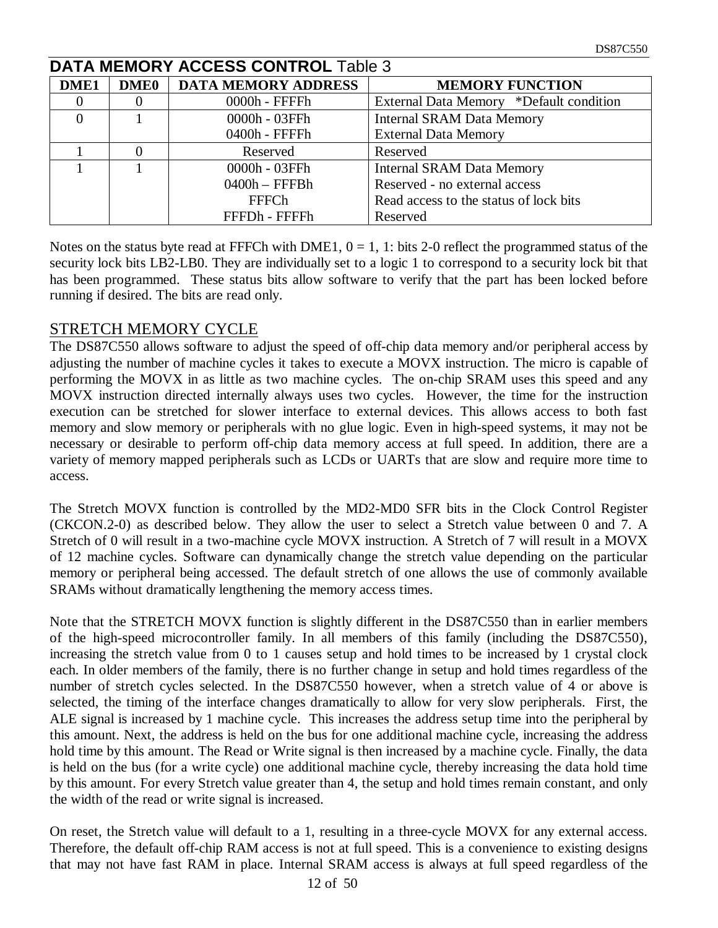| <b>DATA MEMORY ACCESS CONTROL Table 3</b> |             |                            |                                         |  |  |  |  |
|-------------------------------------------|-------------|----------------------------|-----------------------------------------|--|--|--|--|
| DME1                                      | <b>DME0</b> | <b>DATA MEMORY ADDRESS</b> | <b>MEMORY FUNCTION</b>                  |  |  |  |  |
|                                           |             | $0000h$ - FFFF $h$         | External Data Memory *Default condition |  |  |  |  |
|                                           |             | 0000h - 03FFh              | <b>Internal SRAM Data Memory</b>        |  |  |  |  |
|                                           |             | 0400h - FFFFh              | <b>External Data Memory</b>             |  |  |  |  |
|                                           |             | Reserved                   | Reserved                                |  |  |  |  |
|                                           |             | 0000h - 03FFh              | <b>Internal SRAM Data Memory</b>        |  |  |  |  |
|                                           |             | $0400h - FFFBh$            | Reserved - no external access           |  |  |  |  |
|                                           |             | <b>FFFCh</b>               | Read access to the status of lock bits  |  |  |  |  |
|                                           |             | FFFDh - FFFFh              | Reserved                                |  |  |  |  |

Notes on the status byte read at FFFCh with DME1,  $0 = 1$ , 1: bits 2-0 reflect the programmed status of the security lock bits LB2-LB0. They are individually set to a logic 1 to correspond to a security lock bit that has been programmed. These status bits allow software to verify that the part has been locked before running if desired. The bits are read only.

#### STRETCH MEMORY CYCLE

The DS87C550 allows software to adjust the speed of off-chip data memory and/or peripheral access by adjusting the number of machine cycles it takes to execute a MOVX instruction. The micro is capable of performing the MOVX in as little as two machine cycles. The on-chip SRAM uses this speed and any MOVX instruction directed internally always uses two cycles. However, the time for the instruction execution can be stretched for slower interface to external devices. This allows access to both fast memory and slow memory or peripherals with no glue logic. Even in high-speed systems, it may not be necessary or desirable to perform off-chip data memory access at full speed. In addition, there are a variety of memory mapped peripherals such as LCDs or UARTs that are slow and require more time to access.

The Stretch MOVX function is controlled by the MD2-MD0 SFR bits in the Clock Control Register (CKCON.2-0) as described below. They allow the user to select a Stretch value between 0 and 7. A Stretch of 0 will result in a two-machine cycle MOVX instruction. A Stretch of 7 will result in a MOVX of 12 machine cycles. Software can dynamically change the stretch value depending on the particular memory or peripheral being accessed. The default stretch of one allows the use of commonly available SRAMs without dramatically lengthening the memory access times.

Note that the STRETCH MOVX function is slightly different in the DS87C550 than in earlier members of the high-speed microcontroller family. In all members of this family (including the DS87C550), increasing the stretch value from 0 to 1 causes setup and hold times to be increased by 1 crystal clock each. In older members of the family, there is no further change in setup and hold times regardless of the number of stretch cycles selected. In the DS87C550 however, when a stretch value of 4 or above is selected, the timing of the interface changes dramatically to allow for very slow peripherals. First, the ALE signal is increased by 1 machine cycle. This increases the address setup time into the peripheral by this amount. Next, the address is held on the bus for one additional machine cycle, increasing the address hold time by this amount. The Read or Write signal is then increased by a machine cycle. Finally, the data is held on the bus (for a write cycle) one additional machine cycle, thereby increasing the data hold time by this amount. For every Stretch value greater than 4, the setup and hold times remain constant, and only the width of the read or write signal is increased.

On reset, the Stretch value will default to a 1, resulting in a three-cycle MOVX for any external access. Therefore, the default off-chip RAM access is not at full speed. This is a convenience to existing designs that may not have fast RAM in place. Internal SRAM access is always at full speed regardless of the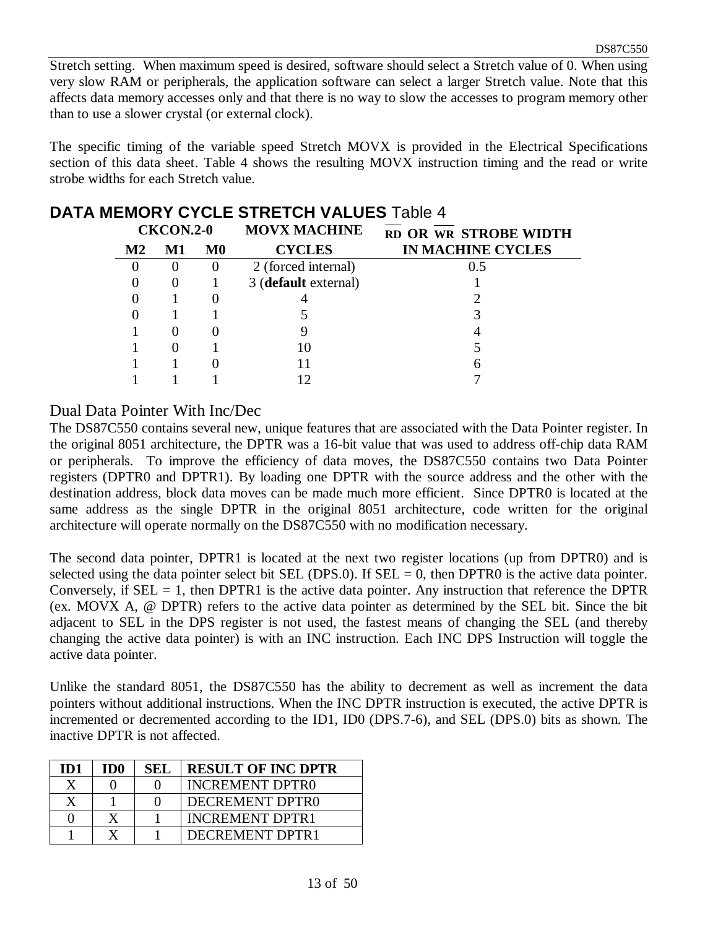Stretch setting. When maximum speed is desired, software should select a Stretch value of 0. When using very slow RAM or peripherals, the application software can select a larger Stretch value. Note that this affects data memory accesses only and that there is no way to slow the accesses to program memory other than to use a slower crystal (or external clock).

The specific timing of the variable speed Stretch MOVX is provided in the Electrical Specifications section of this data sheet. Table 4 shows the resulting MOVX instruction timing and the read or write strobe widths for each Stretch value.

| MEMONT CTOLE STRETCH VALUES TADIC 4 |                          |                      |                                 |          |  |  |  |  |
|-------------------------------------|--------------------------|----------------------|---------------------------------|----------|--|--|--|--|
|                                     | RD OR WR STROBE WIDTH    | <b>MOVX MACHINE</b>  | CKCON.2-0                       |          |  |  |  |  |
|                                     | <b>IN MACHINE CYCLES</b> | <b>CYCLES</b>        | $\bf M0$<br>$\mathbf{M2}$<br>M1 |          |  |  |  |  |
|                                     | 0.5                      | 2 (forced internal)  | $\theta$                        | $\theta$ |  |  |  |  |
|                                     |                          | 3 (default external) |                                 | O        |  |  |  |  |
|                                     |                          |                      |                                 |          |  |  |  |  |
|                                     |                          |                      |                                 |          |  |  |  |  |
|                                     |                          |                      |                                 |          |  |  |  |  |
|                                     |                          | 10                   |                                 |          |  |  |  |  |
|                                     |                          |                      |                                 |          |  |  |  |  |
|                                     |                          |                      |                                 |          |  |  |  |  |
|                                     |                          |                      |                                 |          |  |  |  |  |

# **DATA MEMORY CYCLE STRETCH VALUES** Table 4

#### Dual Data Pointer With Inc/Dec

The DS87C550 contains several new, unique features that are associated with the Data Pointer register. In the original 8051 architecture, the DPTR was a 16-bit value that was used to address off-chip data RAM or peripherals. To improve the efficiency of data moves, the DS87C550 contains two Data Pointer registers (DPTR0 and DPTR1). By loading one DPTR with the source address and the other with the destination address, block data moves can be made much more efficient. Since DPTR0 is located at the same address as the single DPTR in the original 8051 architecture, code written for the original architecture will operate normally on the DS87C550 with no modification necessary.

The second data pointer, DPTR1 is located at the next two register locations (up from DPTR0) and is selected using the data pointer select bit SEL (DPS.0). If SEL  $= 0$ , then DPTR0 is the active data pointer. Conversely, if  $SEL = 1$ , then DPTR1 is the active data pointer. Any instruction that reference the DPTR (ex. MOVX A, @ DPTR) refers to the active data pointer as determined by the SEL bit. Since the bit adjacent to SEL in the DPS register is not used, the fastest means of changing the SEL (and thereby changing the active data pointer) is with an INC instruction. Each INC DPS Instruction will toggle the active data pointer.

Unlike the standard 8051, the DS87C550 has the ability to decrement as well as increment the data pointers without additional instructions. When the INC DPTR instruction is executed, the active DPTR is incremented or decremented according to the ID1, ID0 (DPS.7-6), and SEL (DPS.0) bits as shown. The inactive DPTR is not affected.

| ID1 | TD0 | SEL | <b>RESULT OF INC DPTR</b> |
|-----|-----|-----|---------------------------|
| X   |     |     | <b>INCREMENT DPTR0</b>    |
|     |     |     | DECREMENT DPTR0           |
|     |     |     | <b>INCREMENT DPTR1</b>    |
|     |     |     | DECREMENT DPTR1           |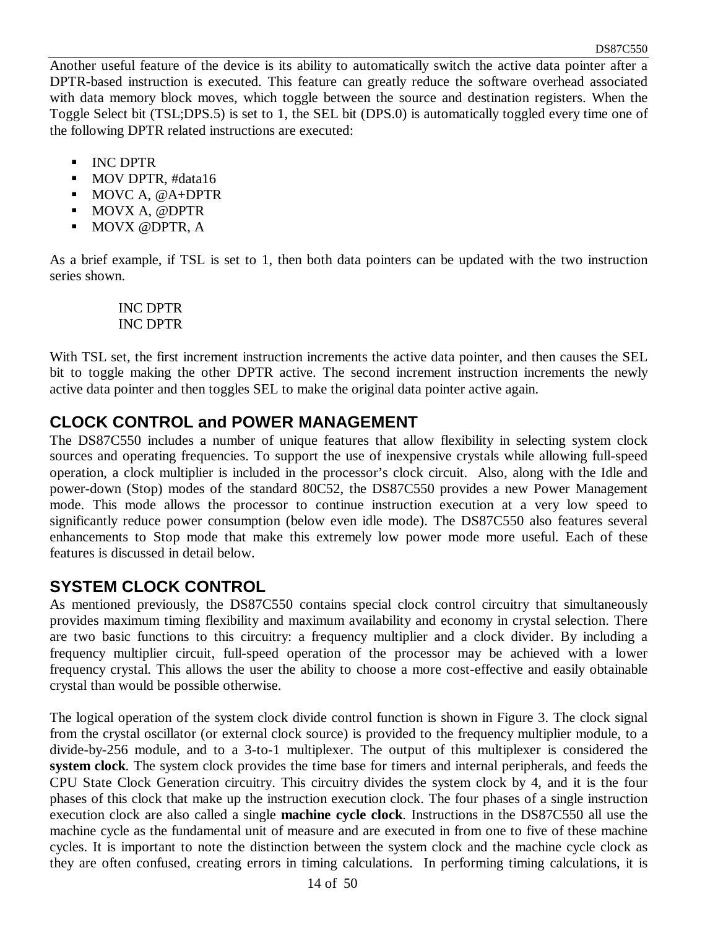Another useful feature of the device is its ability to automatically switch the active data pointer after a DPTR-based instruction is executed. This feature can greatly reduce the software overhead associated with data memory block moves, which toggle between the source and destination registers. When the Toggle Select bit (TSL;DPS.5) is set to 1, the SEL bit (DPS.0) is automatically toggled every time one of the following DPTR related instructions are executed:

- **INC DPTR**
- $\blacksquare$  MOV DPTR, #data16
- $MOVC A, @A+DPTR$
- **MOVX A, @DPTR**
- **MOVX @DPTR, A**

As a brief example, if TSL is set to 1, then both data pointers can be updated with the two instruction series shown.

> INC DPTR INC DPTR

With TSL set, the first increment instruction increments the active data pointer, and then causes the SEL bit to toggle making the other DPTR active. The second increment instruction increments the newly active data pointer and then toggles SEL to make the original data pointer active again.

## **CLOCK CONTROL and POWER MANAGEMENT**

The DS87C550 includes a number of unique features that allow flexibility in selecting system clock sources and operating frequencies. To support the use of inexpensive crystals while allowing full-speed operation, a clock multiplier is included in the processor's clock circuit. Also, along with the Idle and power-down (Stop) modes of the standard 80C52, the DS87C550 provides a new Power Management mode. This mode allows the processor to continue instruction execution at a very low speed to significantly reduce power consumption (below even idle mode). The DS87C550 also features several enhancements to Stop mode that make this extremely low power mode more useful. Each of these features is discussed in detail below.

## **SYSTEM CLOCK CONTROL**

As mentioned previously, the DS87C550 contains special clock control circuitry that simultaneously provides maximum timing flexibility and maximum availability and economy in crystal selection. There are two basic functions to this circuitry: a frequency multiplier and a clock divider. By including a frequency multiplier circuit, full-speed operation of the processor may be achieved with a lower frequency crystal. This allows the user the ability to choose a more cost-effective and easily obtainable crystal than would be possible otherwise.

The logical operation of the system clock divide control function is shown in Figure 3. The clock signal from the crystal oscillator (or external clock source) is provided to the frequency multiplier module, to a divide-by-256 module, and to a 3-to-1 multiplexer. The output of this multiplexer is considered the **system clock**. The system clock provides the time base for timers and internal peripherals, and feeds the CPU State Clock Generation circuitry. This circuitry divides the system clock by 4, and it is the four phases of this clock that make up the instruction execution clock. The four phases of a single instruction execution clock are also called a single **machine cycle clock**. Instructions in the DS87C550 all use the machine cycle as the fundamental unit of measure and are executed in from one to five of these machine cycles. It is important to note the distinction between the system clock and the machine cycle clock as they are often confused, creating errors in timing calculations. In performing timing calculations, it is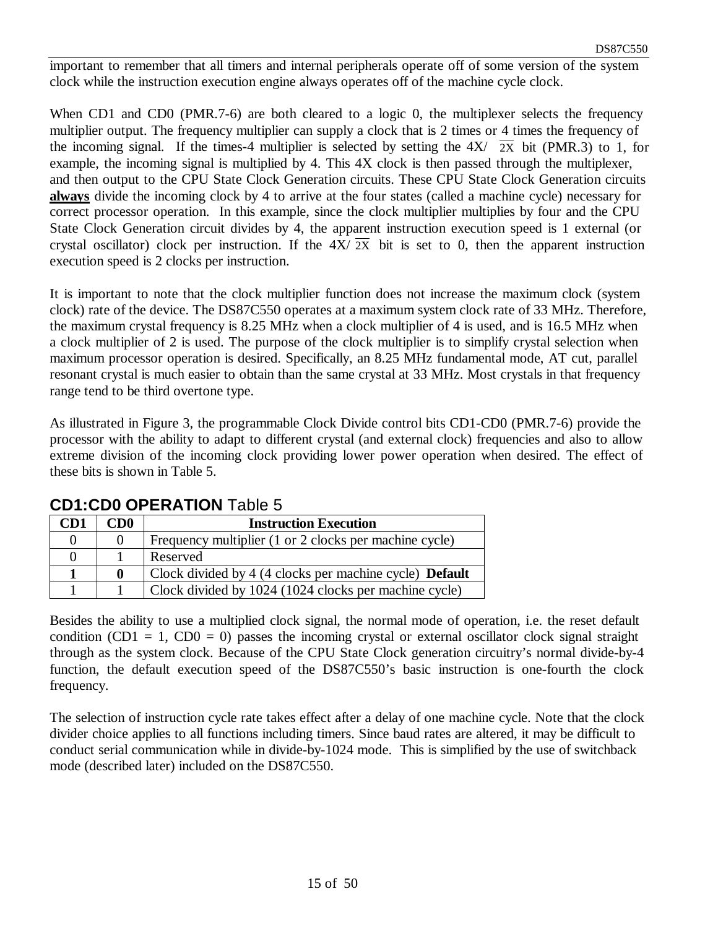important to remember that all timers and internal peripherals operate off of some version of the system clock while the instruction execution engine always operates off of the machine cycle clock.

When CD1 and CD0 (PMR.7-6) are both cleared to a logic 0, the multiplexer selects the frequency multiplier output. The frequency multiplier can supply a clock that is 2 times or 4 times the frequency of the incoming signal. If the times-4 multiplier is selected by setting the  $4X/\sqrt{2X}$  bit (PMR.3) to 1, for example, the incoming signal is multiplied by 4. This 4X clock is then passed through the multiplexer, and then output to the CPU State Clock Generation circuits. These CPU State Clock Generation circuits **always** divide the incoming clock by 4 to arrive at the four states (called a machine cycle) necessary for correct processor operation. In this example, since the clock multiplier multiplies by four and the CPU State Clock Generation circuit divides by 4, the apparent instruction execution speed is 1 external (or crystal oscillator) clock per instruction. If the  $4X/\overline{2X}$  bit is set to 0, then the apparent instruction execution speed is 2 clocks per instruction.

It is important to note that the clock multiplier function does not increase the maximum clock (system clock) rate of the device. The DS87C550 operates at a maximum system clock rate of 33 MHz. Therefore, the maximum crystal frequency is 8.25 MHz when a clock multiplier of 4 is used, and is 16.5 MHz when a clock multiplier of 2 is used. The purpose of the clock multiplier is to simplify crystal selection when maximum processor operation is desired. Specifically, an 8.25 MHz fundamental mode, AT cut, parallel resonant crystal is much easier to obtain than the same crystal at 33 MHz. Most crystals in that frequency range tend to be third overtone type.

As illustrated in Figure 3, the programmable Clock Divide control bits CD1-CD0 (PMR.7-6) provide the processor with the ability to adapt to different crystal (and external clock) frequencies and also to allow extreme division of the incoming clock providing lower power operation when desired. The effect of these bits is shown in Table 5.

| <b>ODI.ODV OF ERATION TADIO O</b> |                 |                                                                |  |  |  |
|-----------------------------------|-----------------|----------------------------------------------------------------|--|--|--|
| CD1                               | CD <sub>0</sub> | <b>Instruction Execution</b>                                   |  |  |  |
|                                   |                 | Frequency multiplier (1 or 2 clocks per machine cycle)         |  |  |  |
|                                   |                 | Reserved                                                       |  |  |  |
|                                   |                 | Clock divided by 4 (4 clocks per machine cycle) <b>Default</b> |  |  |  |
|                                   |                 | Clock divided by 1024 (1024 clocks per machine cycle)          |  |  |  |

#### **CD1:CD0 OPERATION** Table 5

Besides the ability to use a multiplied clock signal, the normal mode of operation, i.e. the reset default condition (CD1 = 1, CD0 = 0) passes the incoming crystal or external oscillator clock signal straight through as the system clock. Because of the CPU State Clock generation circuitry's normal divide-by-4 function, the default execution speed of the DS87C550's basic instruction is one-fourth the clock frequency.

The selection of instruction cycle rate takes effect after a delay of one machine cycle. Note that the clock divider choice applies to all functions including timers. Since baud rates are altered, it may be difficult to conduct serial communication while in divide-by-1024 mode. This is simplified by the use of switchback mode (described later) included on the DS87C550.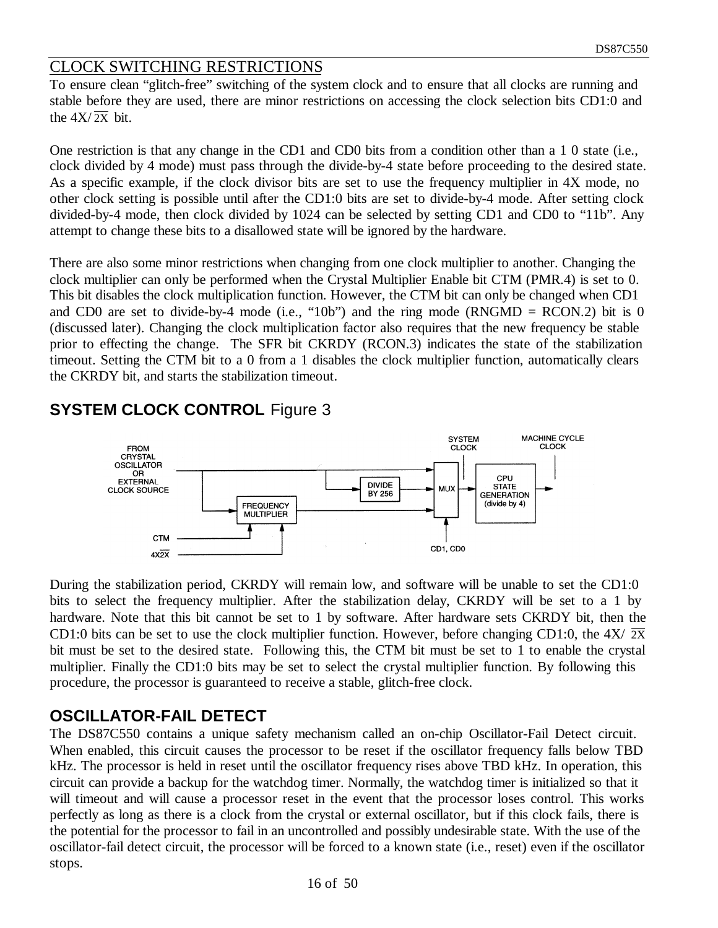#### CLOCK SWITCHING RESTRICTIONS

To ensure clean "glitch-free" switching of the system clock and to ensure that all clocks are running and stable before they are used, there are minor restrictions on accessing the clock selection bits CD1:0 and the  $4X/\overline{2X}$  bit.

One restriction is that any change in the CD1 and CD0 bits from a condition other than a 1 0 state (i.e., clock divided by 4 mode) must pass through the divide-by-4 state before proceeding to the desired state. As a specific example, if the clock divisor bits are set to use the frequency multiplier in 4X mode, no other clock setting is possible until after the CD1:0 bits are set to divide-by-4 mode. After setting clock divided-by-4 mode, then clock divided by 1024 can be selected by setting CD1 and CD0 to "11b". Any attempt to change these bits to a disallowed state will be ignored by the hardware.

There are also some minor restrictions when changing from one clock multiplier to another. Changing the clock multiplier can only be performed when the Crystal Multiplier Enable bit CTM (PMR.4) is set to 0. This bit disables the clock multiplication function. However, the CTM bit can only be changed when CD1 and CD0 are set to divide-by-4 mode (i.e., "10b") and the ring mode (RNGMD = RCON.2) bit is 0 (discussed later). Changing the clock multiplication factor also requires that the new frequency be stable prior to effecting the change. The SFR bit CKRDY (RCON.3) indicates the state of the stabilization timeout. Setting the CTM bit to a 0 from a 1 disables the clock multiplier function, automatically clears the CKRDY bit, and starts the stabilization timeout.



## **SYSTEM CLOCK CONTROL** Figure 3

During the stabilization period, CKRDY will remain low, and software will be unable to set the CD1:0 bits to select the frequency multiplier. After the stabilization delay, CKRDY will be set to a 1 by hardware. Note that this bit cannot be set to 1 by software. After hardware sets CKRDY bit, then the CD1:0 bits can be set to use the clock multiplier function. However, before changing CD1:0, the 4X/ 2X bit must be set to the desired state. Following this, the CTM bit must be set to 1 to enable the crystal multiplier. Finally the CD1:0 bits may be set to select the crystal multiplier function. By following this procedure, the processor is guaranteed to receive a stable, glitch-free clock.

## **OSCILLATOR-FAIL DETECT**

The DS87C550 contains a unique safety mechanism called an on-chip Oscillator-Fail Detect circuit. When enabled, this circuit causes the processor to be reset if the oscillator frequency falls below TBD kHz. The processor is held in reset until the oscillator frequency rises above TBD kHz. In operation, this circuit can provide a backup for the watchdog timer. Normally, the watchdog timer is initialized so that it will timeout and will cause a processor reset in the event that the processor loses control. This works perfectly as long as there is a clock from the crystal or external oscillator, but if this clock fails, there is the potential for the processor to fail in an uncontrolled and possibly undesirable state. With the use of the oscillator-fail detect circuit, the processor will be forced to a known state (i.e., reset) even if the oscillator stops.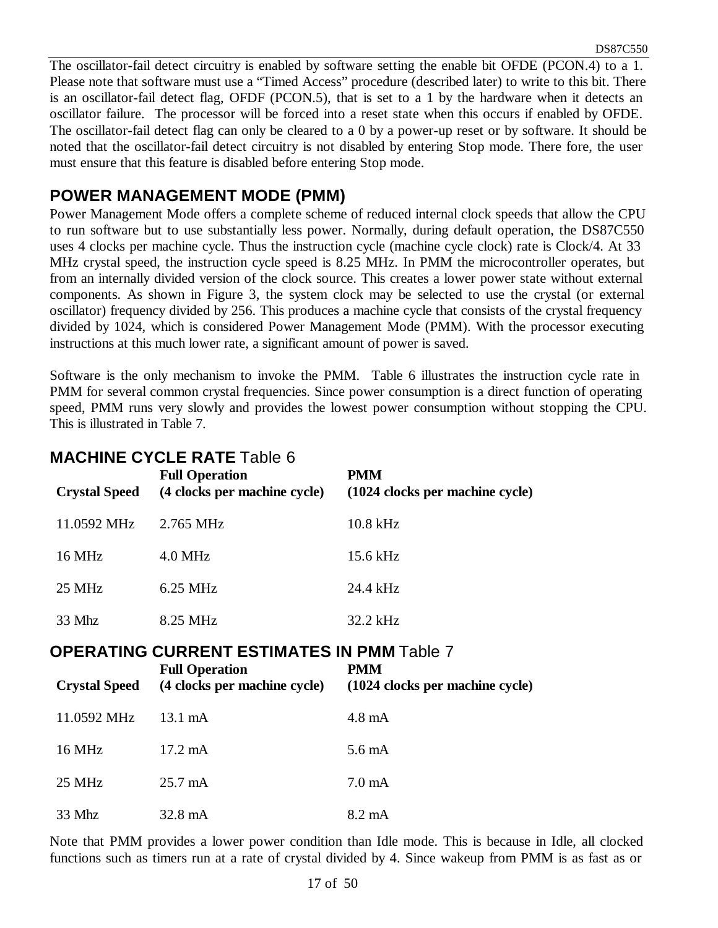The oscillator-fail detect circuitry is enabled by software setting the enable bit OFDE (PCON.4) to a 1. Please note that software must use a "Timed Access" procedure (described later) to write to this bit. There is an oscillator-fail detect flag, OFDF (PCON.5), that is set to a 1 by the hardware when it detects an oscillator failure. The processor will be forced into a reset state when this occurs if enabled by OFDE. The oscillator-fail detect flag can only be cleared to a 0 by a power-up reset or by software. It should be noted that the oscillator-fail detect circuitry is not disabled by entering Stop mode. There fore, the user must ensure that this feature is disabled before entering Stop mode.

#### **POWER MANAGEMENT MODE (PMM)**

Power Management Mode offers a complete scheme of reduced internal clock speeds that allow the CPU to run software but to use substantially less power. Normally, during default operation, the DS87C550 uses 4 clocks per machine cycle. Thus the instruction cycle (machine cycle clock) rate is Clock/4. At 33 MHz crystal speed, the instruction cycle speed is 8.25 MHz. In PMM the microcontroller operates, but from an internally divided version of the clock source. This creates a lower power state without external components. As shown in Figure 3, the system clock may be selected to use the crystal (or external oscillator) frequency divided by 256. This produces a machine cycle that consists of the crystal frequency divided by 1024, which is considered Power Management Mode (PMM). With the processor executing instructions at this much lower rate, a significant amount of power is saved.

Software is the only mechanism to invoke the PMM. Table 6 illustrates the instruction cycle rate in PMM for several common crystal frequencies. Since power consumption is a direct function of operating speed, PMM runs very slowly and provides the lowest power consumption without stopping the CPU. This is illustrated in Table 7.

| MAYIJINE VTVEE INATE TADIC 0<br>PMM<br><b>Full Operation</b> |                              |                                 |  |  |  |  |  |  |
|--------------------------------------------------------------|------------------------------|---------------------------------|--|--|--|--|--|--|
| <b>Crystal Speed</b>                                         | (4 clocks per machine cycle) | (1024 clocks per machine cycle) |  |  |  |  |  |  |
| 11.0592 MHz                                                  | 2.765 MHz                    | 10.8 kHz                        |  |  |  |  |  |  |
| 16 MHz                                                       | $4.0$ MHz                    | 15.6 kHz                        |  |  |  |  |  |  |
| 25 MHz                                                       | $6.25$ MHz                   | 24.4 kHz                        |  |  |  |  |  |  |
| 33 Mhz                                                       | 8.25 MHz                     | 32.2 kHz                        |  |  |  |  |  |  |

# **MACHINE CYCLE RATE** Table 6

#### **OPERATING CURRENT ESTIMATES IN PMM** Table 7

| <b>Crystal Speed</b> | <b>Full Operation</b><br>(4 clocks per machine cycle) | PMM<br>(1024 clocks per machine cycle) |
|----------------------|-------------------------------------------------------|----------------------------------------|
| 11.0592 MHz          | $13.1 \text{ mA}$                                     | $4.8 \text{ mA}$                       |
| 16 MHz               | $17.2 \text{ mA}$                                     | $5.6 \text{ mA}$                       |
| 25 MHz               | $25.7 \text{ mA}$                                     | $7.0 \text{ mA}$                       |
| 33 Mhz               | $32.8 \text{ mA}$                                     | $8.2 \text{ mA}$                       |

Note that PMM provides a lower power condition than Idle mode. This is because in Idle, all clocked functions such as timers run at a rate of crystal divided by 4. Since wakeup from PMM is as fast as or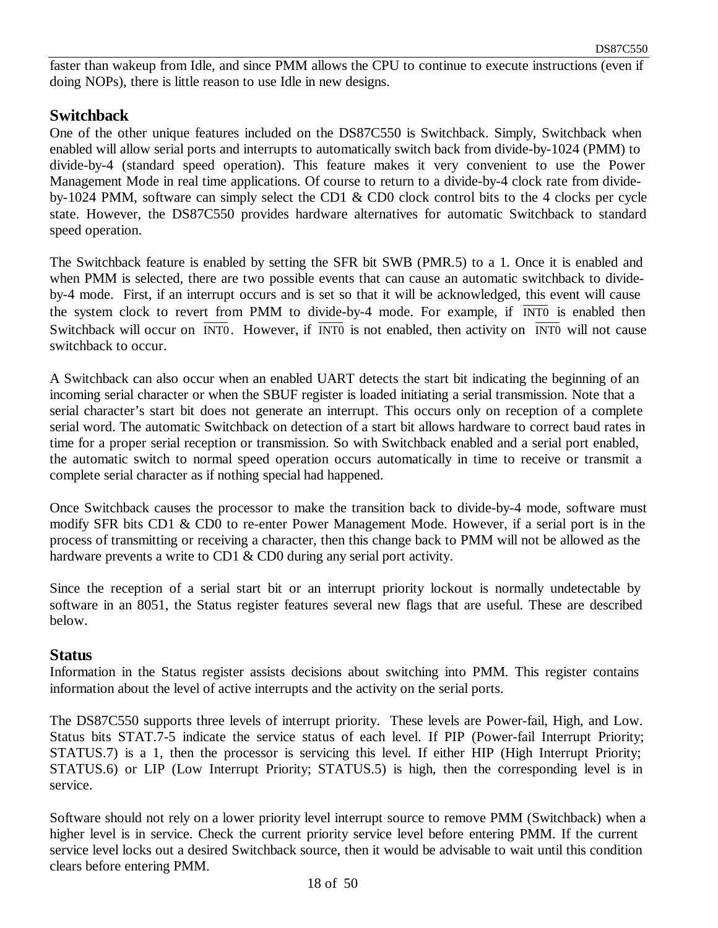faster than wakeup from Idle, and since PMM allows the CPU to continue to execute instructions (even if doing NOPs), there is little reason to use Idle in new designs.

#### **Switchback**

One of the other unique features included on the DS87C550 is Switchback. Simply, Switchback when enabled will allow serial ports and interrupts to automatically switch back from divide-by-1024 (PMM) to divide-by-4 (standard speed operation). This feature makes it very convenient to use the Power Management Mode in real time applications. Of course to return to a divide-by-4 clock rate from divideby-1024 PMM, software can simply select the CD1 & CD0 clock control bits to the 4 clocks per cycle state. However, the DS87C550 provides hardware alternatives for automatic Switchback to standard speed operation.

The Switchback feature is enabled by setting the SFR bit SWB (PMR.5) to a 1. Once it is enabled and when PMM is selected, there are two possible events that can cause an automatic switchback to divideby-4 mode. First, if an interrupt occurs and is set so that it will be acknowledged, this event will cause the system clock to revert from PMM to divide-by-4 mode. For example, if  $\overline{INT0}$  is enabled then Switchback will occur on  $\overline{INT0}$ . However, if  $\overline{INT0}$  is not enabled, then activity on  $\overline{INT0}$  will not cause switchback to occur.

A Switchback can also occur when an enabled UART detects the start bit indicating the beginning of an incoming serial character or when the SBUF register is loaded initiating a serial transmission. Note that a serial character's start bit does not generate an interrupt. This occurs only on reception of a complete serial word. The automatic Switchback on detection of a start bit allows hardware to correct baud rates in time for a proper serial reception or transmission. So with Switchback enabled and a serial port enabled, the automatic switch to normal speed operation occurs automatically in time to receive or transmit a complete serial character as if nothing special had happened.

Once Switchback causes the processor to make the transition back to divide-by-4 mode, software must modify SFR bits CD1 & CD0 to re-enter Power Management Mode. However, if a serial port is in the process of transmitting or receiving a character, then this change back to PMM will not be allowed as the hardware prevents a write to CD1 & CD0 during any serial port activity.

Since the reception of a serial start bit or an interrupt priority lockout is normally undetectable by software in an 8051, the Status register features several new flags that are useful. These are described below.

#### **Status**

Information in the Status register assists decisions about switching into PMM. This register contains information about the level of active interrupts and the activity on the serial ports.

The DS87C550 supports three levels of interrupt priority. These levels are Power-fail, High, and Low. Status bits STAT.7-5 indicate the service status of each level. If PIP (Power-fail Interrupt Priority; STATUS.7) is a 1, then the processor is servicing this level. If either HIP (High Interrupt Priority; STATUS.6) or LIP (Low Interrupt Priority; STATUS.5) is high, then the corresponding level is in service.

Software should not rely on a lower priority level interrupt source to remove PMM (Switchback) when a higher level is in service. Check the current priority service level before entering PMM. If the current service level locks out a desired Switchback source, then it would be advisable to wait until this condition clears before entering PMM.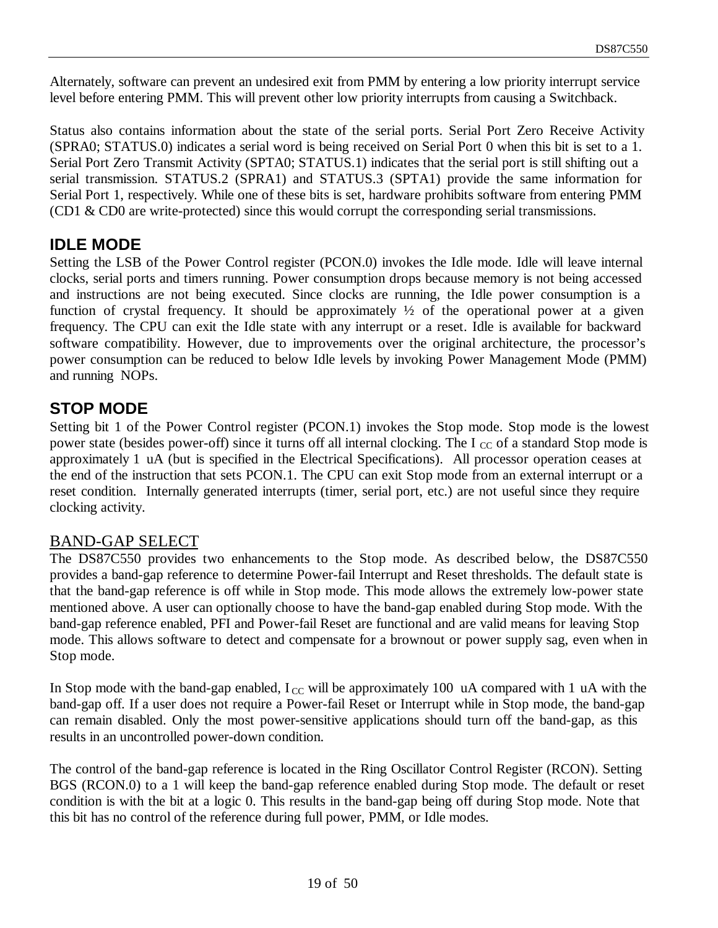Alternately, software can prevent an undesired exit from PMM by entering a low priority interrupt service level before entering PMM. This will prevent other low priority interrupts from causing a Switchback.

Status also contains information about the state of the serial ports. Serial Port Zero Receive Activity (SPRA0; STATUS.0) indicates a serial word is being received on Serial Port 0 when this bit is set to a 1. Serial Port Zero Transmit Activity (SPTA0; STATUS.1) indicates that the serial port is still shifting out a serial transmission. STATUS.2 (SPRA1) and STATUS.3 (SPTA1) provide the same information for Serial Port 1, respectively. While one of these bits is set, hardware prohibits software from entering PMM (CD1 & CD0 are write-protected) since this would corrupt the corresponding serial transmissions.

#### **IDLE MODE**

Setting the LSB of the Power Control register (PCON.0) invokes the Idle mode. Idle will leave internal clocks, serial ports and timers running. Power consumption drops because memory is not being accessed and instructions are not being executed. Since clocks are running, the Idle power consumption is a function of crystal frequency. It should be approximately  $\frac{1}{2}$  of the operational power at a given frequency. The CPU can exit the Idle state with any interrupt or a reset. Idle is available for backward software compatibility. However, due to improvements over the original architecture, the processor's power consumption can be reduced to below Idle levels by invoking Power Management Mode (PMM) and running NOPs.

#### **STOP MODE**

Setting bit 1 of the Power Control register (PCON.1) invokes the Stop mode. Stop mode is the lowest power state (besides power-off) since it turns off all internal clocking. The I  $_{\rm CC}$  of a standard Stop mode is approximately 1 uA (but is specified in the Electrical Specifications). All processor operation ceases at the end of the instruction that sets PCON.1. The CPU can exit Stop mode from an external interrupt or a reset condition. Internally generated interrupts (timer, serial port, etc.) are not useful since they require clocking activity.

#### BAND-GAP SELECT

The DS87C550 provides two enhancements to the Stop mode. As described below, the DS87C550 provides a band-gap reference to determine Power-fail Interrupt and Reset thresholds. The default state is that the band-gap reference is off while in Stop mode. This mode allows the extremely low-power state mentioned above. A user can optionally choose to have the band-gap enabled during Stop mode. With the band-gap reference enabled, PFI and Power-fail Reset are functional and are valid means for leaving Stop mode. This allows software to detect and compensate for a brownout or power supply sag, even when in Stop mode.

In Stop mode with the band-gap enabled,  $I_{\text{CC}}$  will be approximately 100 uA compared with 1 uA with the band-gap off. If a user does not require a Power-fail Reset or Interrupt while in Stop mode, the band-gap can remain disabled. Only the most power-sensitive applications should turn off the band-gap, as this results in an uncontrolled power-down condition.

The control of the band-gap reference is located in the Ring Oscillator Control Register (RCON). Setting BGS (RCON.0) to a 1 will keep the band-gap reference enabled during Stop mode. The default or reset condition is with the bit at a logic 0. This results in the band-gap being off during Stop mode. Note that this bit has no control of the reference during full power, PMM, or Idle modes.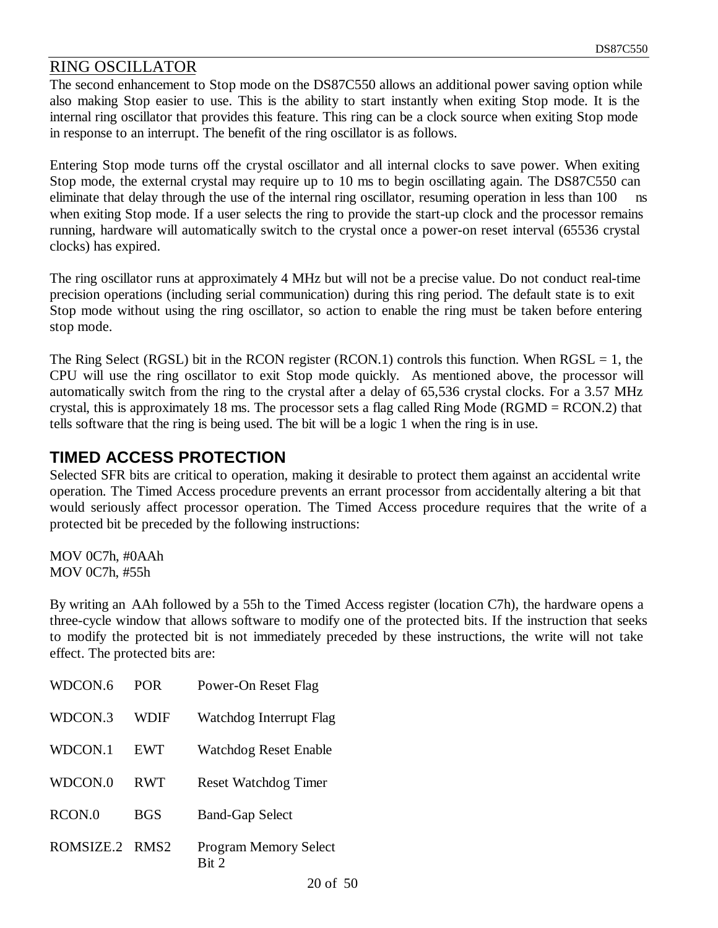#### RING OSCILLATOR

The second enhancement to Stop mode on the DS87C550 allows an additional power saving option while also making Stop easier to use. This is the ability to start instantly when exiting Stop mode. It is the internal ring oscillator that provides this feature. This ring can be a clock source when exiting Stop mode in response to an interrupt. The benefit of the ring oscillator is as follows.

Entering Stop mode turns off the crystal oscillator and all internal clocks to save power. When exiting Stop mode, the external crystal may require up to 10 ms to begin oscillating again. The DS87C550 can eliminate that delay through the use of the internal ring oscillator, resuming operation in less than 100 ns when exiting Stop mode. If a user selects the ring to provide the start-up clock and the processor remains running, hardware will automatically switch to the crystal once a power-on reset interval (65536 crystal clocks) has expired.

The ring oscillator runs at approximately 4 MHz but will not be a precise value. Do not conduct real-time precision operations (including serial communication) during this ring period. The default state is to exit Stop mode without using the ring oscillator, so action to enable the ring must be taken before entering stop mode.

The Ring Select (RGSL) bit in the RCON register (RCON.1) controls this function. When  $RGSL = 1$ , the CPU will use the ring oscillator to exit Stop mode quickly. As mentioned above, the processor will automatically switch from the ring to the crystal after a delay of 65,536 crystal clocks. For a 3.57 MHz crystal, this is approximately 18 ms. The processor sets a flag called Ring Mode (RGMD = RCON.2) that tells software that the ring is being used. The bit will be a logic 1 when the ring is in use.

#### **TIMED ACCESS PROTECTION**

Selected SFR bits are critical to operation, making it desirable to protect them against an accidental write operation. The Timed Access procedure prevents an errant processor from accidentally altering a bit that would seriously affect processor operation. The Timed Access procedure requires that the write of a protected bit be preceded by the following instructions:

MOV 0C7h, #0AAh MOV 0C7h, #55h

By writing an AAh followed by a 55h to the Timed Access register (location C7h), the hardware opens a three-cycle window that allows software to modify one of the protected bits. If the instruction that seeks to modify the protected bit is not immediately preceded by these instructions, the write will not take effect. The protected bits are:

| WDCON.6   | <b>POR</b>       | Power-On Reset Flag                                    |
|-----------|------------------|--------------------------------------------------------|
| WDCON.3   | WDIF             | Watchdog Interrupt Flag                                |
| WDCON.1   | <b>EWT</b>       | Watchdog Reset Enable                                  |
| WDCON.0   | <b>RWT</b>       | <b>Reset Watchdog Timer</b>                            |
| RCON.0    | BGS              | <b>Band-Gap Select</b>                                 |
| ROMSIZE.2 | RMS <sub>2</sub> | <b>Program Memory Select</b><br>$\operatorname{Rit} 2$ |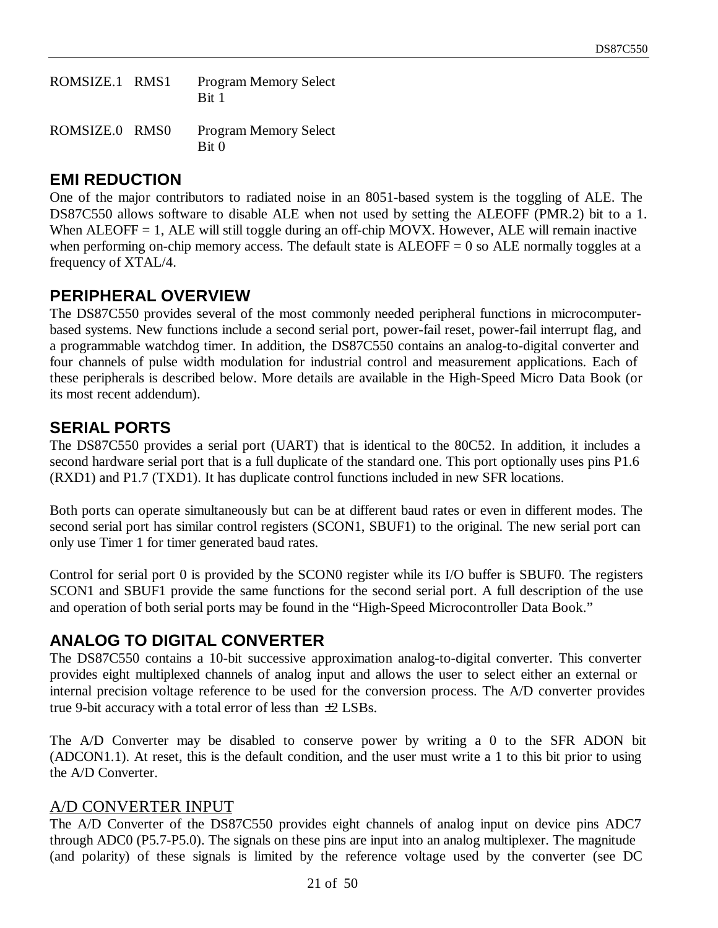| ROMSIZE.1 RMS1 | <b>Program Memory Select</b><br>Bit 1            |
|----------------|--------------------------------------------------|
| ROMSIZE.0 RMS0 | <b>Program Memory Select</b><br>Bit <sub>0</sub> |

## **EMI REDUCTION**

One of the major contributors to radiated noise in an 8051-based system is the toggling of ALE. The DS87C550 allows software to disable ALE when not used by setting the ALEOFF (PMR.2) bit to a 1. When ALEOFF = 1, ALE will still toggle during an off-chip MOVX. However, ALE will remain inactive when performing on-chip memory access. The default state is  $ALEOFF = 0$  so  $ALE$  normally toggles at a frequency of XTAL/4.

## **PERIPHERAL OVERVIEW**

The DS87C550 provides several of the most commonly needed peripheral functions in microcomputerbased systems. New functions include a second serial port, power-fail reset, power-fail interrupt flag, and a programmable watchdog timer. In addition, the DS87C550 contains an analog-to-digital converter and four channels of pulse width modulation for industrial control and measurement applications. Each of these peripherals is described below. More details are available in the High-Speed Micro Data Book (or its most recent addendum).

## **SERIAL PORTS**

The DS87C550 provides a serial port (UART) that is identical to the 80C52. In addition, it includes a second hardware serial port that is a full duplicate of the standard one. This port optionally uses pins P1.6 (RXD1) and P1.7 (TXD1). It has duplicate control functions included in new SFR locations.

Both ports can operate simultaneously but can be at different baud rates or even in different modes. The second serial port has similar control registers (SCON1, SBUF1) to the original. The new serial port can only use Timer 1 for timer generated baud rates.

Control for serial port 0 is provided by the SCON0 register while its I/O buffer is SBUF0. The registers SCON1 and SBUF1 provide the same functions for the second serial port. A full description of the use and operation of both serial ports may be found in the "High-Speed Microcontroller Data Book."

# **ANALOG TO DIGITAL CONVERTER**

The DS87C550 contains a 10-bit successive approximation analog-to-digital converter. This converter provides eight multiplexed channels of analog input and allows the user to select either an external or internal precision voltage reference to be used for the conversion process. The A/D converter provides true 9-bit accuracy with a total error of less than ±2 LSBs.

The A/D Converter may be disabled to conserve power by writing a 0 to the SFR ADON bit (ADCON1.1). At reset, this is the default condition, and the user must write a 1 to this bit prior to using the A/D Converter.

#### A/D CONVERTER INPUT

The A/D Converter of the DS87C550 provides eight channels of analog input on device pins ADC7 through ADC0 (P5.7-P5.0). The signals on these pins are input into an analog multiplexer. The magnitude (and polarity) of these signals is limited by the reference voltage used by the converter (see DC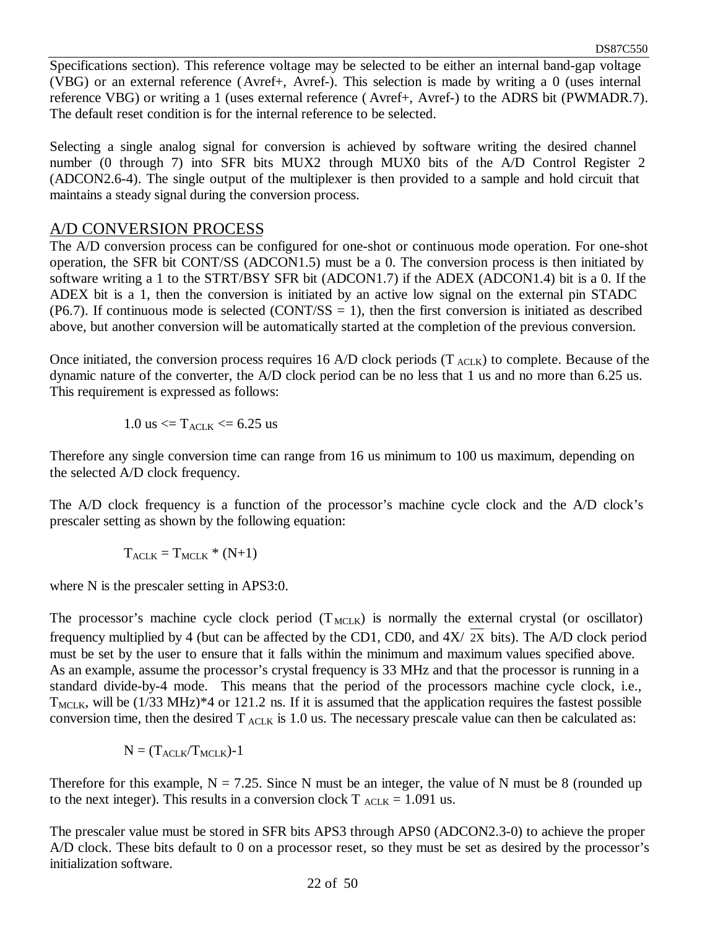Specifications section). This reference voltage may be selected to be either an internal band-gap voltage (VBG) or an external reference (Avref+, Avref-). This selection is made by writing a 0 (uses internal reference VBG) or writing a 1 (uses external reference ( Avref+, Avref-) to the ADRS bit (PWMADR.7). The default reset condition is for the internal reference to be selected.

Selecting a single analog signal for conversion is achieved by software writing the desired channel number (0 through 7) into SFR bits MUX2 through MUX0 bits of the A/D Control Register 2 (ADCON2.6-4). The single output of the multiplexer is then provided to a sample and hold circuit that maintains a steady signal during the conversion process.

#### A/D CONVERSION PROCESS

The A/D conversion process can be configured for one-shot or continuous mode operation. For one-shot operation, the SFR bit CONT/SS (ADCON1.5) must be a 0. The conversion process is then initiated by software writing a 1 to the STRT/BSY SFR bit (ADCON1.7) if the ADEX (ADCON1.4) bit is a 0. If the ADEX bit is a 1, then the conversion is initiated by an active low signal on the external pin STADC (P6.7). If continuous mode is selected (CONT/SS  $= 1$ ), then the first conversion is initiated as described above, but another conversion will be automatically started at the completion of the previous conversion.

Once initiated, the conversion process requires 16 A/D clock periods  $(T_{\text{ACK}})$  to complete. Because of the dynamic nature of the converter, the A/D clock period can be no less that 1 us and no more than 6.25 us. This requirement is expressed as follows:

$$
1.0~us <= T_{ACLK} <= 6.25~us
$$

Therefore any single conversion time can range from 16 us minimum to 100 us maximum, depending on the selected A/D clock frequency.

The A/D clock frequency is a function of the processor's machine cycle clock and the A/D clock's prescaler setting as shown by the following equation:

$$
T_{\text{ACLK}} = T_{\text{MCLK}} * (N+1)
$$

where N is the prescaler setting in APS3:0.

The processor's machine cycle clock period  $(T_{MCLK})$  is normally the external crystal (or oscillator) frequency multiplied by 4 (but can be affected by the CD1, CD0, and 4X/ 2X bits). The A/D clock period must be set by the user to ensure that it falls within the minimum and maximum values specified above. As an example, assume the processor's crystal frequency is 33 MHz and that the processor is running in a standard divide-by-4 mode. This means that the period of the processors machine cycle clock, i.e.,  $T_{MLLK}$ , will be (1/33 MHz)\*4 or 121.2 ns. If it is assumed that the application requires the fastest possible conversion time, then the desired  $T_{\text{ACK}}$  is 1.0 us. The necessary prescale value can then be calculated as:

$$
N=(T_{\mathrm{ACLK}}/T_{\mathrm{MCLK}})\text{-}1
$$

Therefore for this example,  $N = 7.25$ . Since N must be an integer, the value of N must be 8 (rounded up to the next integer). This results in a conversion clock  $T_{\text{ACLK}} = 1.091$  us.

The prescaler value must be stored in SFR bits APS3 through APS0 (ADCON2.3-0) to achieve the proper A/D clock. These bits default to 0 on a processor reset, so they must be set as desired by the processor's initialization software.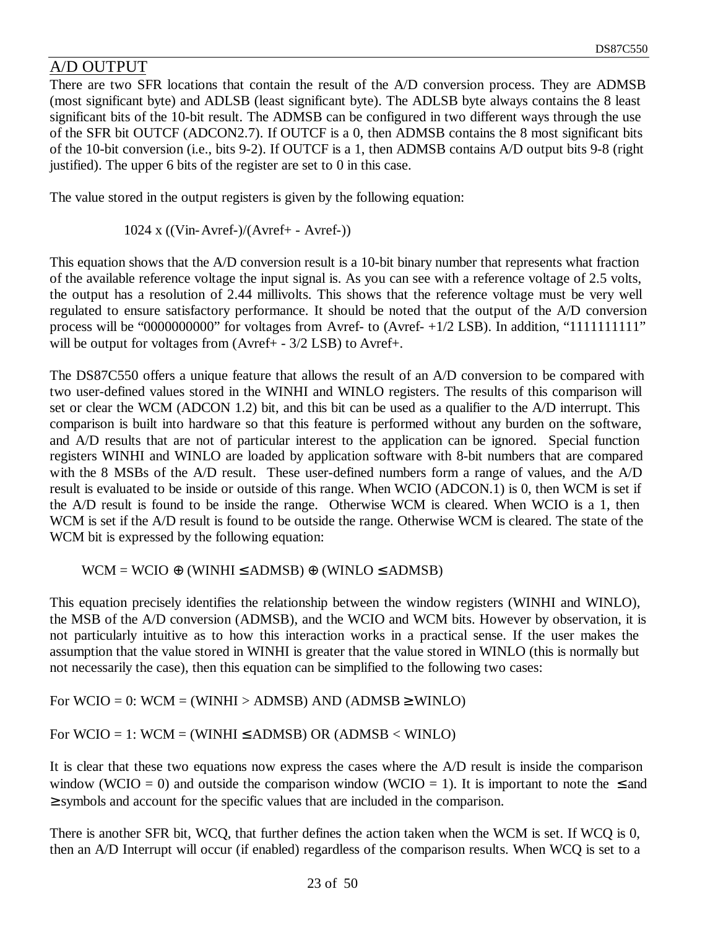## A/D OUTPUT

There are two SFR locations that contain the result of the A/D conversion process. They are ADMSB (most significant byte) and ADLSB (least significant byte). The ADLSB byte always contains the 8 least significant bits of the 10-bit result. The ADMSB can be configured in two different ways through the use of the SFR bit OUTCF (ADCON2.7). If OUTCF is a 0, then ADMSB contains the 8 most significant bits of the 10-bit conversion (i.e., bits 9-2). If OUTCF is a 1, then ADMSB contains A/D output bits 9-8 (right justified). The upper 6 bits of the register are set to 0 in this case.

The value stored in the output registers is given by the following equation:

1024 x ((Vin-Avref-)/(Avref+ - Avref-))

This equation shows that the A/D conversion result is a 10-bit binary number that represents what fraction of the available reference voltage the input signal is. As you can see with a reference voltage of 2.5 volts, the output has a resolution of 2.44 millivolts. This shows that the reference voltage must be very well regulated to ensure satisfactory performance. It should be noted that the output of the A/D conversion process will be "0000000000" for voltages from Avref- to (Avref- +1/2 LSB). In addition, "11111111111" will be output for voltages from (Avref+ - 3/2 LSB) to Avref+.

The DS87C550 offers a unique feature that allows the result of an A/D conversion to be compared with two user-defined values stored in the WINHI and WINLO registers. The results of this comparison will set or clear the WCM (ADCON 1.2) bit, and this bit can be used as a qualifier to the A/D interrupt. This comparison is built into hardware so that this feature is performed without any burden on the software, and A/D results that are not of particular interest to the application can be ignored. Special function registers WINHI and WINLO are loaded by application software with 8-bit numbers that are compared with the 8 MSBs of the A/D result. These user-defined numbers form a range of values, and the A/D result is evaluated to be inside or outside of this range. When WCIO (ADCON.1) is 0, then WCM is set if the A/D result is found to be inside the range. Otherwise WCM is cleared. When WCIO is a 1, then WCM is set if the A/D result is found to be outside the range. Otherwise WCM is cleared. The state of the WCM bit is expressed by the following equation:

 $WCM = WCIO \oplus (WINHI \leq ADMSB) \oplus (WINLO \leq ADMSB)$ 

This equation precisely identifies the relationship between the window registers (WINHI and WINLO), the MSB of the A/D conversion (ADMSB), and the WCIO and WCM bits. However by observation, it is not particularly intuitive as to how this interaction works in a practical sense. If the user makes the assumption that the value stored in WINHI is greater that the value stored in WINLO (this is normally but not necessarily the case), then this equation can be simplified to the following two cases:

For  $WCIO = 0$ :  $WCM = (WINHI > ADMSB)$  AND (ADMSB  $\geq$  WINLO)

For  $WCIO = 1$ :  $WCM = (WINHI \leq ADMSB) OR (ADMSB < WINLO)$ 

It is clear that these two equations now express the cases where the A/D result is inside the comparison window (WCIO = 0) and outside the comparison window (WCIO = 1). It is important to note the  $\leq$  and ≥ symbols and account for the specific values that are included in the comparison.

There is another SFR bit, WCQ, that further defines the action taken when the WCM is set. If WCQ is 0, then an A/D Interrupt will occur (if enabled) regardless of the comparison results. When WCQ is set to a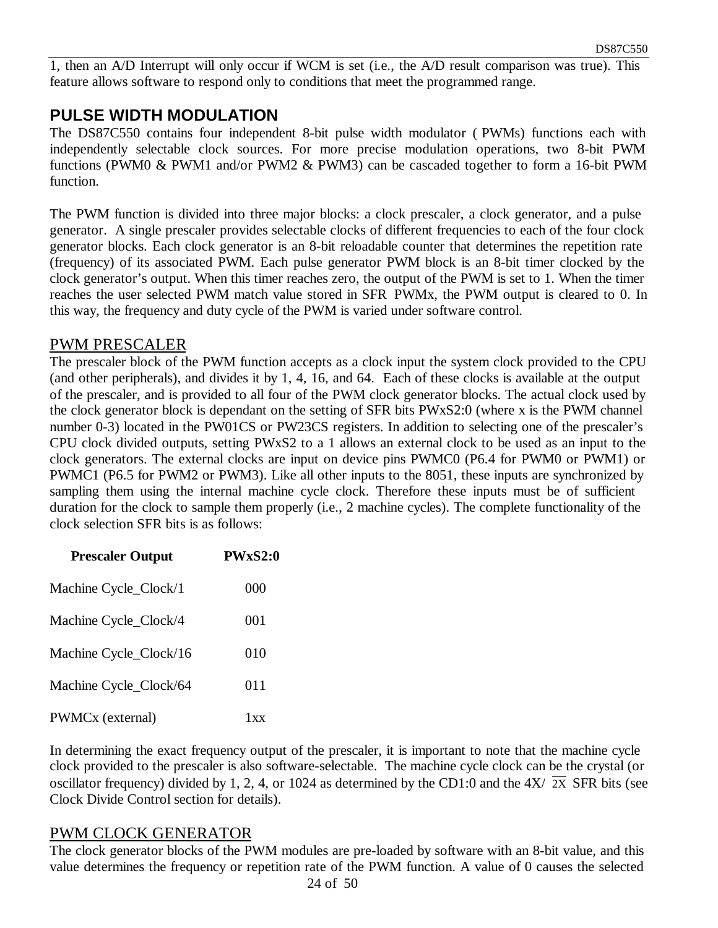1, then an A/D Interrupt will only occur if WCM is set (i.e., the A/D result comparison was true). This feature allows software to respond only to conditions that meet the programmed range.

#### **PULSE WIDTH MODULATION**

The DS87C550 contains four independent 8-bit pulse width modulator ( PWMs) functions each with independently selectable clock sources. For more precise modulation operations, two 8-bit PWM functions (PWM0 & PWM1 and/or PWM2 & PWM3) can be cascaded together to form a 16-bit PWM function.

The PWM function is divided into three major blocks: a clock prescaler, a clock generator, and a pulse generator. A single prescaler provides selectable clocks of different frequencies to each of the four clock generator blocks. Each clock generator is an 8-bit reloadable counter that determines the repetition rate (frequency) of its associated PWM. Each pulse generator PWM block is an 8-bit timer clocked by the clock generator's output. When this timer reaches zero, the output of the PWM is set to 1. When the timer reaches the user selected PWM match value stored in SFR PWMx, the PWM output is cleared to 0. In this way, the frequency and duty cycle of the PWM is varied under software control.

#### PWM PRESCALER

The prescaler block of the PWM function accepts as a clock input the system clock provided to the CPU (and other peripherals), and divides it by 1, 4, 16, and 64. Each of these clocks is available at the output of the prescaler, and is provided to all four of the PWM clock generator blocks. The actual clock used by the clock generator block is dependant on the setting of SFR bits PWxS2:0 (where x is the PWM channel number 0-3) located in the PW01CS or PW23CS registers. In addition to selecting one of the prescaler's CPU clock divided outputs, setting PWxS2 to a 1 allows an external clock to be used as an input to the clock generators. The external clocks are input on device pins PWMC0 (P6.4 for PWM0 or PWM1) or PWMC1 (P6.5 for PWM2 or PWM3). Like all other inputs to the 8051, these inputs are synchronized by sampling them using the internal machine cycle clock. Therefore these inputs must be of sufficient duration for the clock to sample them properly (i.e., 2 machine cycles). The complete functionality of the clock selection SFR bits is as follows:

| <b>Prescaler Output</b> | PWxS2:0 |
|-------------------------|---------|
| Machine Cycle_Clock/1   | 000     |
| Machine Cycle_Clock/4   | 001     |
| Machine Cycle_Clock/16  | 010     |
| Machine Cycle_Clock/64  | 011     |
| PWMCx (external)        | 1xx     |

In determining the exact frequency output of the prescaler, it is important to note that the machine cycle clock provided to the prescaler is also software-selectable. The machine cycle clock can be the crystal (or oscillator frequency) divided by 1, 2, 4, or 1024 as determined by the CD1:0 and the  $4X/\overline{2X}$  SFR bits (see Clock Divide Control section for details).

#### PWM CLOCK GENERATOR

The clock generator blocks of the PWM modules are pre-loaded by software with an 8-bit value, and this value determines the frequency or repetition rate of the PWM function. A value of 0 causes the selected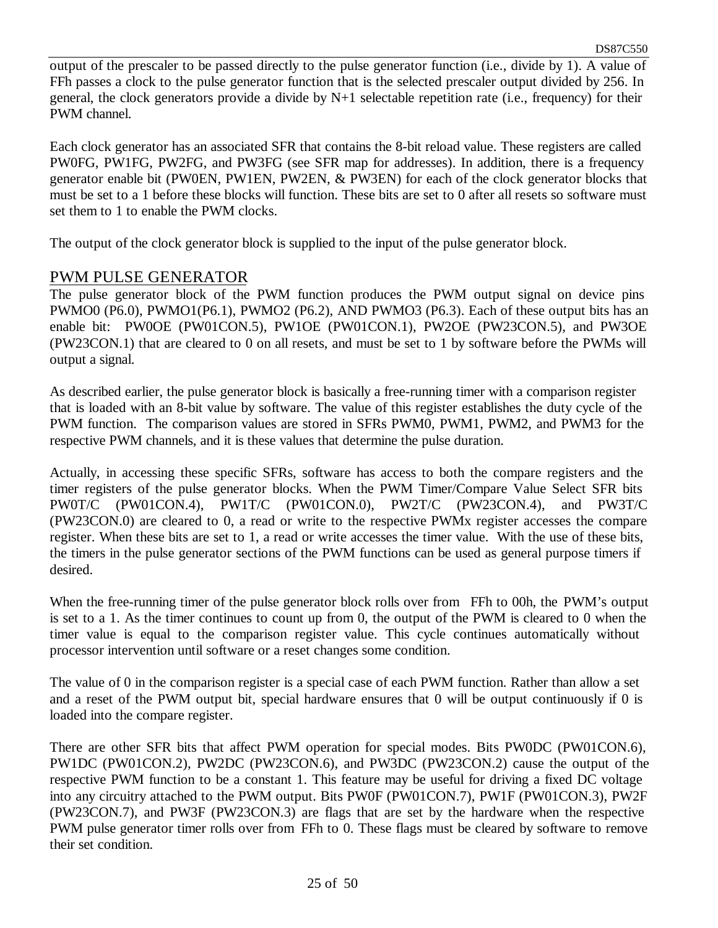output of the prescaler to be passed directly to the pulse generator function (i.e., divide by 1). A value of FFh passes a clock to the pulse generator function that is the selected prescaler output divided by 256. In general, the clock generators provide a divide by  $N+1$  selectable repetition rate (i.e., frequency) for their PWM channel.

Each clock generator has an associated SFR that contains the 8-bit reload value. These registers are called PW0FG, PW1FG, PW2FG, and PW3FG (see SFR map for addresses). In addition, there is a frequency generator enable bit (PW0EN, PW1EN, PW2EN, & PW3EN) for each of the clock generator blocks that must be set to a 1 before these blocks will function. These bits are set to 0 after all resets so software must set them to 1 to enable the PWM clocks.

The output of the clock generator block is supplied to the input of the pulse generator block.

#### PWM PULSE GENERATOR

The pulse generator block of the PWM function produces the PWM output signal on device pins PWMO0 (P6.0), PWMO1(P6.1), PWMO2 (P6.2), AND PWMO3 (P6.3). Each of these output bits has an enable bit: PW0OE (PW01CON.5), PW1OE (PW01CON.1), PW2OE (PW23CON.5), and PW3OE (PW23CON.1) that are cleared to 0 on all resets, and must be set to 1 by software before the PWMs will output a signal.

As described earlier, the pulse generator block is basically a free-running timer with a comparison register that is loaded with an 8-bit value by software. The value of this register establishes the duty cycle of the PWM function. The comparison values are stored in SFRs PWM0, PWM1, PWM2, and PWM3 for the respective PWM channels, and it is these values that determine the pulse duration.

Actually, in accessing these specific SFRs, software has access to both the compare registers and the timer registers of the pulse generator blocks. When the PWM Timer/Compare Value Select SFR bits PW0T/C (PW01CON.4), PW1T/C (PW01CON.0), PW2T/C (PW23CON.4), and PW3T/C (PW23CON.0) are cleared to 0, a read or write to the respective PWMx register accesses the compare register. When these bits are set to 1, a read or write accesses the timer value. With the use of these bits, the timers in the pulse generator sections of the PWM functions can be used as general purpose timers if desired.

When the free-running timer of the pulse generator block rolls over from FFh to 00h, the PWM's output is set to a 1. As the timer continues to count up from 0, the output of the PWM is cleared to 0 when the timer value is equal to the comparison register value. This cycle continues automatically without processor intervention until software or a reset changes some condition.

The value of 0 in the comparison register is a special case of each PWM function. Rather than allow a set and a reset of the PWM output bit, special hardware ensures that 0 will be output continuously if 0 is loaded into the compare register.

There are other SFR bits that affect PWM operation for special modes. Bits PW0DC (PW01CON.6), PW1DC (PW01CON.2), PW2DC (PW23CON.6), and PW3DC (PW23CON.2) cause the output of the respective PWM function to be a constant 1. This feature may be useful for driving a fixed DC voltage into any circuitry attached to the PWM output. Bits PW0F (PW01CON.7), PW1F (PW01CON.3), PW2F (PW23CON.7), and PW3F (PW23CON.3) are flags that are set by the hardware when the respective PWM pulse generator timer rolls over from FFh to 0. These flags must be cleared by software to remove their set condition.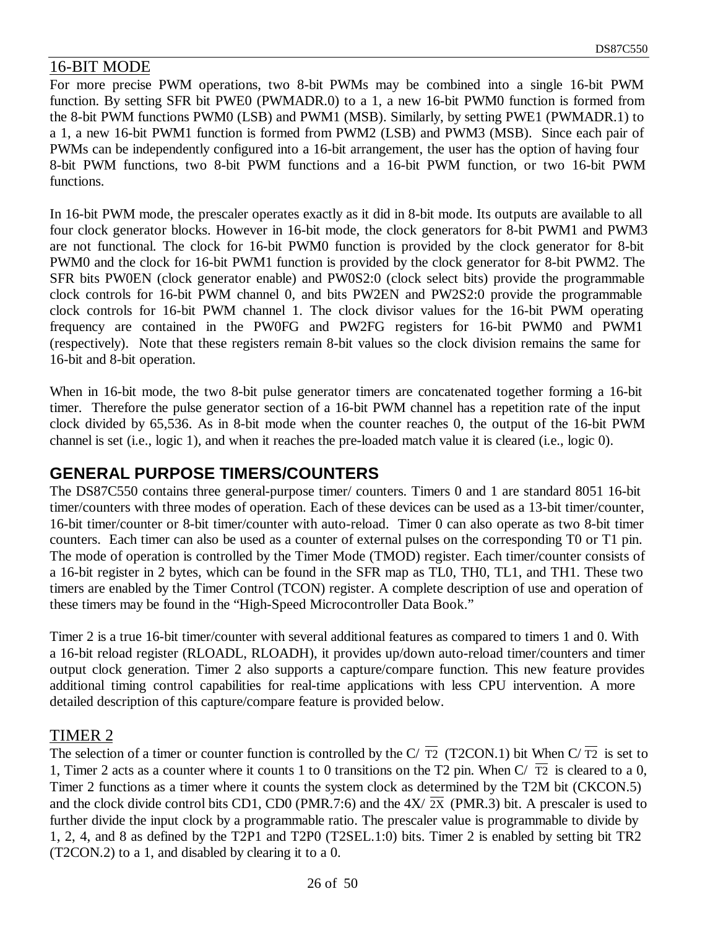#### 16-BIT MODE

For more precise PWM operations, two 8-bit PWMs may be combined into a single 16-bit PWM function. By setting SFR bit PWE0 (PWMADR.0) to a 1, a new 16-bit PWM0 function is formed from the 8-bit PWM functions PWM0 (LSB) and PWM1 (MSB). Similarly, by setting PWE1 (PWMADR.1) to a 1, a new 16-bit PWM1 function is formed from PWM2 (LSB) and PWM3 (MSB). Since each pair of PWMs can be independently configured into a 16-bit arrangement, the user has the option of having four 8-bit PWM functions, two 8-bit PWM functions and a 16-bit PWM function, or two 16-bit PWM functions.

In 16-bit PWM mode, the prescaler operates exactly as it did in 8-bit mode. Its outputs are available to all four clock generator blocks. However in 16-bit mode, the clock generators for 8-bit PWM1 and PWM3 are not functional. The clock for 16-bit PWM0 function is provided by the clock generator for 8-bit PWM0 and the clock for 16-bit PWM1 function is provided by the clock generator for 8-bit PWM2. The SFR bits PW0EN (clock generator enable) and PW0S2:0 (clock select bits) provide the programmable clock controls for 16-bit PWM channel 0, and bits PW2EN and PW2S2:0 provide the programmable clock controls for 16-bit PWM channel 1. The clock divisor values for the 16-bit PWM operating frequency are contained in the PW0FG and PW2FG registers for 16-bit PWM0 and PWM1 (respectively). Note that these registers remain 8-bit values so the clock division remains the same for 16-bit and 8-bit operation.

When in 16-bit mode, the two 8-bit pulse generator timers are concatenated together forming a 16-bit timer. Therefore the pulse generator section of a 16-bit PWM channel has a repetition rate of the input clock divided by 65,536. As in 8-bit mode when the counter reaches 0, the output of the 16-bit PWM channel is set (i.e., logic 1), and when it reaches the pre-loaded match value it is cleared (i.e., logic 0).

#### **GENERAL PURPOSE TIMERS/COUNTERS**

The DS87C550 contains three general-purpose timer/ counters. Timers 0 and 1 are standard 8051 16-bit timer/counters with three modes of operation. Each of these devices can be used as a 13-bit timer/counter, 16-bit timer/counter or 8-bit timer/counter with auto-reload. Timer 0 can also operate as two 8-bit timer counters. Each timer can also be used as a counter of external pulses on the corresponding T0 or T1 pin. The mode of operation is controlled by the Timer Mode (TMOD) register. Each timer/counter consists of a 16-bit register in 2 bytes, which can be found in the SFR map as TL0, TH0, TL1, and TH1. These two timers are enabled by the Timer Control (TCON) register. A complete description of use and operation of these timers may be found in the "High-Speed Microcontroller Data Book."

Timer 2 is a true 16-bit timer/counter with several additional features as compared to timers 1 and 0. With a 16-bit reload register (RLOADL, RLOADH), it provides up/down auto-reload timer/counters and timer output clock generation. Timer 2 also supports a capture/compare function. This new feature provides additional timing control capabilities for real-time applications with less CPU intervention. A more detailed description of this capture/compare feature is provided below.

#### TIMER 2

The selection of a timer or counter function is controlled by the C/ $\overline{T2}$  (T2CON.1) bit When C/ $\overline{T2}$  is set to 1, Timer 2 acts as a counter where it counts 1 to 0 transitions on the T2 pin. When  $C/\overline{T2}$  is cleared to a 0, Timer 2 functions as a timer where it counts the system clock as determined by the T2M bit (CKCON.5) and the clock divide control bits CD1, CD0 (PMR.7:6) and the  $4X/\overline{2X}$  (PMR.3) bit. A prescaler is used to further divide the input clock by a programmable ratio. The prescaler value is programmable to divide by 1, 2, 4, and 8 as defined by the T2P1 and T2P0 (T2SEL.1:0) bits. Timer 2 is enabled by setting bit TR2 (T2CON.2) to a 1, and disabled by clearing it to a 0.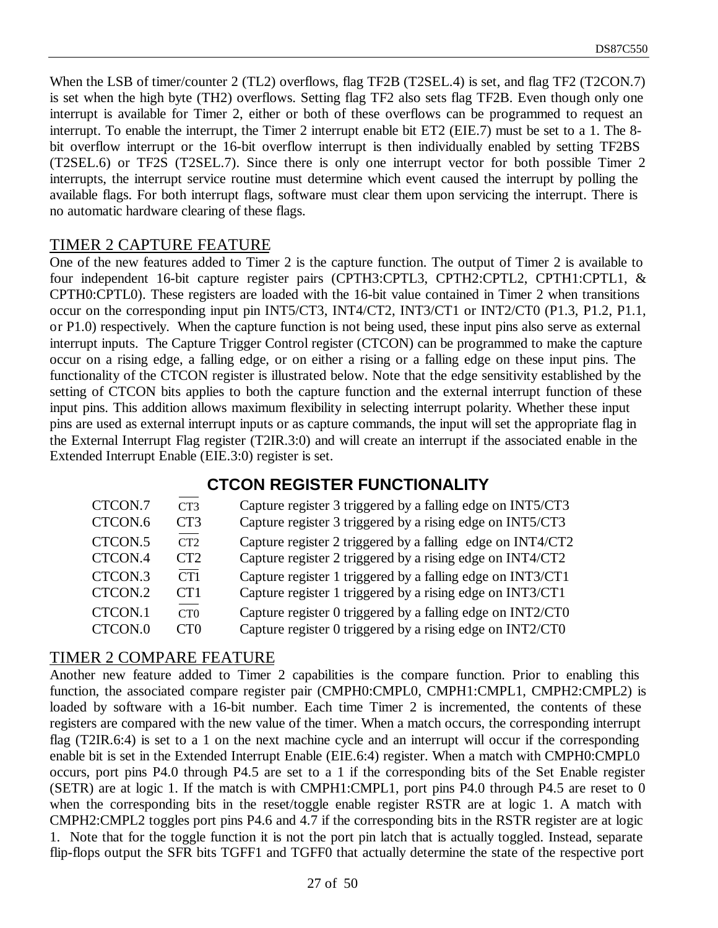When the LSB of timer/counter 2 (TL2) overflows, flag TF2B (T2SEL.4) is set, and flag TF2 (T2CON.7) is set when the high byte (TH2) overflows. Setting flag TF2 also sets flag TF2B. Even though only one interrupt is available for Timer 2, either or both of these overflows can be programmed to request an interrupt. To enable the interrupt, the Timer 2 interrupt enable bit ET2 (EIE.7) must be set to a 1. The 8 bit overflow interrupt or the 16-bit overflow interrupt is then individually enabled by setting TF2BS (T2SEL.6) or TF2S (T2SEL.7). Since there is only one interrupt vector for both possible Timer 2 interrupts, the interrupt service routine must determine which event caused the interrupt by polling the available flags. For both interrupt flags, software must clear them upon servicing the interrupt. There is no automatic hardware clearing of these flags.

#### TIMER 2 CAPTURE FEATURE

One of the new features added to Timer 2 is the capture function. The output of Timer 2 is available to four independent 16-bit capture register pairs (CPTH3:CPTL3, CPTH2:CPTL2, CPTH1:CPTL1, & CPTH0:CPTL0). These registers are loaded with the 16-bit value contained in Timer 2 when transitions occur on the corresponding input pin INT5/CT3, INT4/CT2, INT3/CT1 or INT2/CT0 (P1.3, P1.2, P1.1, or P1.0) respectively. When the capture function is not being used, these input pins also serve as external interrupt inputs. The Capture Trigger Control register (CTCON) can be programmed to make the capture occur on a rising edge, a falling edge, or on either a rising or a falling edge on these input pins. The functionality of the CTCON register is illustrated below. Note that the edge sensitivity established by the setting of CTCON bits applies to both the capture function and the external interrupt function of these input pins. This addition allows maximum flexibility in selecting interrupt polarity. Whether these input pins are used as external interrupt inputs or as capture commands, the input will set the appropriate flag in the External Interrupt Flag register (T2IR.3:0) and will create an interrupt if the associated enable in the Extended Interrupt Enable (EIE.3:0) register is set.

#### **CTCON REGISTER FUNCTIONALITY**

| CTCON.7 | CT <sub>3</sub> | Capture register 3 triggered by a falling edge on INT5/CT3 |
|---------|-----------------|------------------------------------------------------------|
| CTCON.6 | CT <sub>3</sub> | Capture register 3 triggered by a rising edge on INT5/CT3  |
| CTCON.5 | CT2             | Capture register 2 triggered by a falling edge on INT4/CT2 |
| CTCON.4 | CT <sub>2</sub> | Capture register 2 triggered by a rising edge on INT4/CT2  |
| CTCON.3 | CT1             | Capture register 1 triggered by a falling edge on INT3/CT1 |
| CTCON.2 | CT <sub>1</sub> | Capture register 1 triggered by a rising edge on INT3/CT1  |
| CTCON.1 | CT0             | Capture register 0 triggered by a falling edge on INT2/CT0 |
| CTCON.0 | CT0             | Capture register 0 triggered by a rising edge on INT2/CT0  |

#### TIMER 2 COMPARE FEATURE

Another new feature added to Timer 2 capabilities is the compare function. Prior to enabling this function, the associated compare register pair (CMPH0:CMPL0, CMPH1:CMPL1, CMPH2:CMPL2) is loaded by software with a 16-bit number. Each time Timer 2 is incremented, the contents of these registers are compared with the new value of the timer. When a match occurs, the corresponding interrupt flag (T2IR.6:4) is set to a 1 on the next machine cycle and an interrupt will occur if the corresponding enable bit is set in the Extended Interrupt Enable (EIE.6:4) register. When a match with CMPH0:CMPL0 occurs, port pins P4.0 through P4.5 are set to a 1 if the corresponding bits of the Set Enable register (SETR) are at logic 1. If the match is with CMPH1:CMPL1, port pins P4.0 through P4.5 are reset to 0 when the corresponding bits in the reset/toggle enable register RSTR are at logic 1. A match with CMPH2:CMPL2 toggles port pins P4.6 and 4.7 if the corresponding bits in the RSTR register are at logic 1. Note that for the toggle function it is not the port pin latch that is actually toggled. Instead, separate flip-flops output the SFR bits TGFF1 and TGFF0 that actually determine the state of the respective port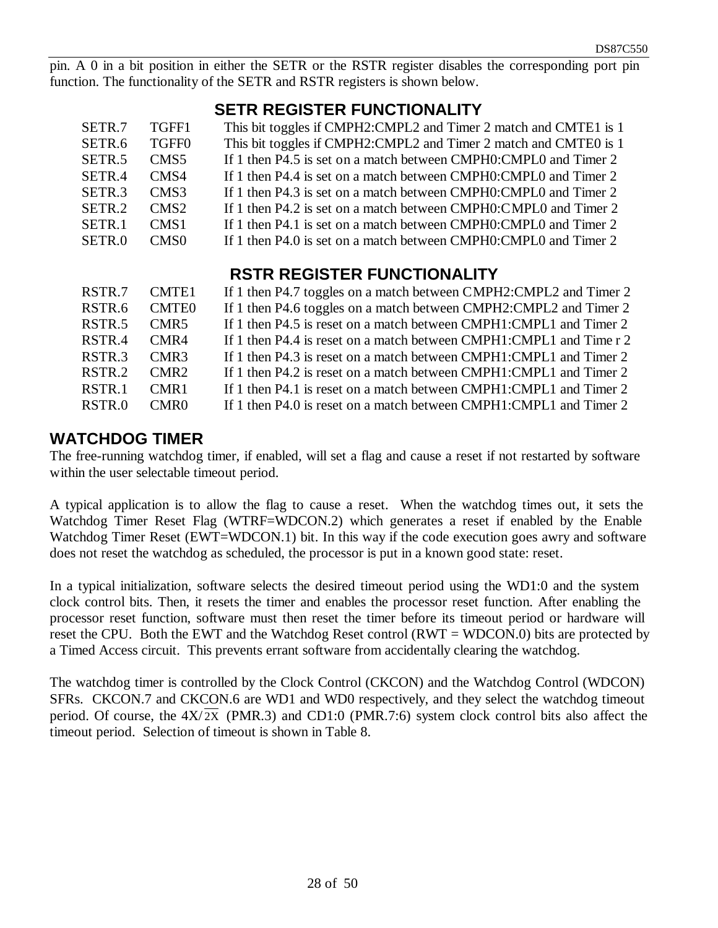pin. A 0 in a bit position in either the SETR or the RSTR register disables the corresponding port pin function. The functionality of the SETR and RSTR registers is shown below.

## **SETR REGISTER FUNCTIONALITY**

| SETR.7<br>SETR.6<br>SETR <sub>.5</sub><br>SETR.4<br>SETR <sub>3</sub><br>SETR <sub>.2</sub><br>SETR <sub>.1</sub> | TGFF1<br>TGFF0<br>CMS <sub>5</sub><br>CMS4<br>CMS3<br>CMS <sub>2</sub><br>CMS <sub>1</sub> | This bit toggles if CMPH2:CMPL2 and Timer 2 match and CMTE1 is 1<br>This bit toggles if CMPH2:CMPL2 and Timer 2 match and CMTE0 is 1<br>If 1 then P4.5 is set on a match between CMPH0:CMPL0 and Timer 2<br>If 1 then P4.4 is set on a match between CMPH0:CMPL0 and Timer 2<br>If 1 then P4.3 is set on a match between CMPH0:CMPL0 and Timer 2<br>If 1 then P4.2 is set on a match between CMPH0:CMPL0 and Timer 2<br>If 1 then P4.1 is set on a match between CMPH0:CMPL0 and Timer 2 |
|-------------------------------------------------------------------------------------------------------------------|--------------------------------------------------------------------------------------------|------------------------------------------------------------------------------------------------------------------------------------------------------------------------------------------------------------------------------------------------------------------------------------------------------------------------------------------------------------------------------------------------------------------------------------------------------------------------------------------|
|                                                                                                                   |                                                                                            |                                                                                                                                                                                                                                                                                                                                                                                                                                                                                          |
| SETR.0                                                                                                            | CMS <sub>0</sub>                                                                           | If 1 then P4.0 is set on a match between CMPH0:CMPL0 and Timer 2                                                                                                                                                                                                                                                                                                                                                                                                                         |

# **RSTR REGISTER FUNCTIONALITY**

| RSTR.7             | CMTE <sub>1</sub> | If 1 then P4.7 toggles on a match between CMPH2:CMPL2 and Timer 2   |
|--------------------|-------------------|---------------------------------------------------------------------|
| RSTR.6             | <b>CMTEO</b>      | If 1 then P4.6 toggles on a match between CMPH2:CMPL2 and Timer 2   |
| RSTR.5             | CMR5              | If 1 then P4.5 is reset on a match between CMPH1:CMPL1 and Timer 2  |
| RSTR.4             | CMR4              | If 1 then P4.4 is reset on a match between CMPH1:CMPL1 and Time r 2 |
| RSTR <sub>3</sub>  | CMR3              | If 1 then P4.3 is reset on a match between CMPH1:CMPL1 and Timer 2  |
| RSTR.2             | CMR <sub>2</sub>  | If 1 then P4.2 is reset on a match between CMPH1:CMPL1 and Timer 2  |
| RSTR <sub>.1</sub> | CMR <sub>1</sub>  | If 1 then P4.1 is reset on a match between CMPH1:CMPL1 and Timer 2  |
| RSTR.0             | CMR <sub>0</sub>  | If 1 then P4.0 is reset on a match between CMPH1:CMPL1 and Timer 2  |

#### **WATCHDOG TIMER**

The free-running watchdog timer, if enabled, will set a flag and cause a reset if not restarted by software within the user selectable timeout period.

A typical application is to allow the flag to cause a reset. When the watchdog times out, it sets the Watchdog Timer Reset Flag (WTRF=WDCON.2) which generates a reset if enabled by the Enable Watchdog Timer Reset (EWT=WDCON.1) bit. In this way if the code execution goes awry and software does not reset the watchdog as scheduled, the processor is put in a known good state: reset.

In a typical initialization, software selects the desired timeout period using the WD1:0 and the system clock control bits. Then, it resets the timer and enables the processor reset function. After enabling the processor reset function, software must then reset the timer before its timeout period or hardware will reset the CPU. Both the EWT and the Watchdog Reset control (RWT = WDCON.0) bits are protected by a Timed Access circuit. This prevents errant software from accidentally clearing the watchdog.

The watchdog timer is controlled by the Clock Control (CKCON) and the Watchdog Control (WDCON) SFRs. CKCON.7 and CKCON.6 are WD1 and WD0 respectively, and they select the watchdog timeout period. Of course, the  $4X/\overline{2X}$  (PMR.3) and CD1:0 (PMR.7:6) system clock control bits also affect the timeout period. Selection of timeout is shown in Table 8.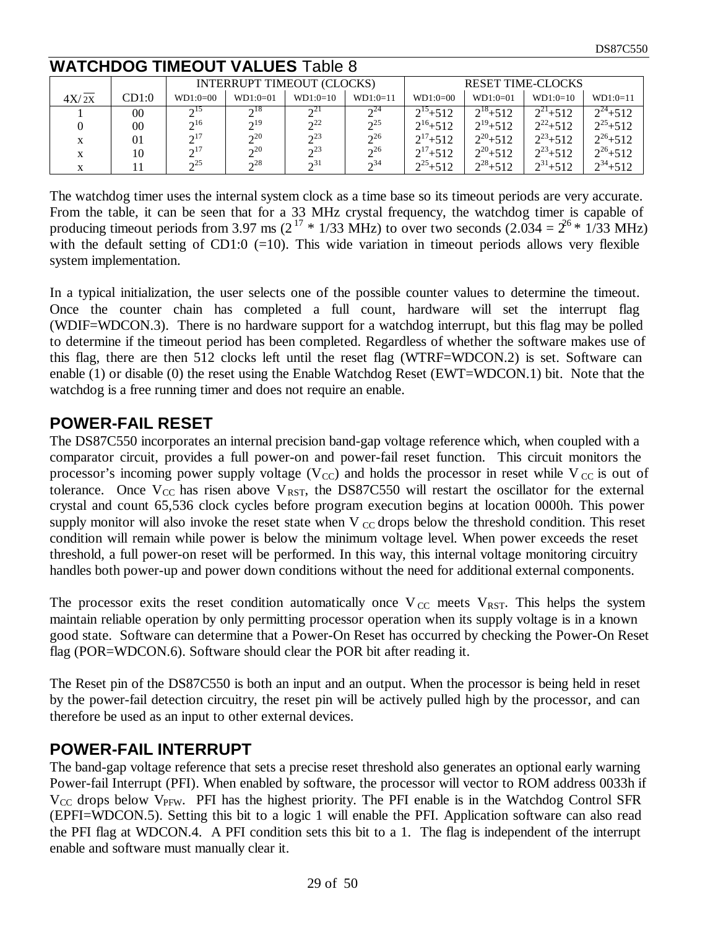## **WATCHDOG TIMEOUT VALUES** Table 8

|       |        |                 | <b>INTERRUPT TIMEOUT (CLOCKS)</b> |                        |                | <b>RESET TIME-CLOCKS</b> |              |              |              |
|-------|--------|-----------------|-----------------------------------|------------------------|----------------|--------------------------|--------------|--------------|--------------|
| 4X/2X | CD1:0  | $WD1:0=00$      | $WD1:0=01$                        | $WD1:0=10$             | $WD1:0=11$     | $WD1:0=00$               | $WD1:0=01$   | $WD1:0=10$   | $WD1:0=11$   |
|       | 00     | 215             | $\gamma$ <sup>18</sup>            | $\gamma^2$             | $\gamma^{24}$  | $2^{15}+512$             | $2^{18}+512$ | $2^{21}+512$ | $2^{24}+512$ |
|       | $00\,$ | $2^{16}$        | $2^{19}$                          | 2 <sup>22</sup>        | 2 <sub>2</sub> | $2^{16}+512$             | $2^{19}+512$ | $2^{22}+512$ | $2^{25}+512$ |
| X     | 01     | $2^{17}$        | $2^{20}$                          | $2^2$                  | $2^{26}$       | $2^{17}+512$             | $2^{20}+512$ | $2^{23}+512$ | $2^{26}+512$ |
|       | 10     | $2^{17}$        | $2^{20}$                          | $2^2$                  | $2^{26}$       | $2^{17}+512$             | $2^{20}+512$ | $2^{23}+512$ | $2^{26}+512$ |
|       |        | 2 <sub>25</sub> | $\gamma$ <sup>28</sup>            | $\gamma$ <sup>31</sup> | $\gamma^{34}$  | $2^{25}+512$             | $2^{28}+512$ | $2^{31}+512$ | $2^{34}+512$ |

The watchdog timer uses the internal system clock as a time base so its timeout periods are very accurate. From the table, it can be seen that for a 33 MHz crystal frequency, the watchdog timer is capable of producing timeout periods from 3.97 ms ( $2^{17}$  \* 1/33 MHz) to over two seconds (2.034 =  $2^{6}$  \* 1/33 MHz) with the default setting of CD1:0  $(=10)$ . This wide variation in timeout periods allows very flexible system implementation.

In a typical initialization, the user selects one of the possible counter values to determine the timeout. Once the counter chain has completed a full count, hardware will set the interrupt flag (WDIF=WDCON.3). There is no hardware support for a watchdog interrupt, but this flag may be polled to determine if the timeout period has been completed. Regardless of whether the software makes use of this flag, there are then 512 clocks left until the reset flag (WTRF=WDCON.2) is set. Software can enable (1) or disable (0) the reset using the Enable Watchdog Reset (EWT=WDCON.1) bit. Note that the watchdog is a free running timer and does not require an enable.

#### **POWER-FAIL RESET**

The DS87C550 incorporates an internal precision band-gap voltage reference which, when coupled with a comparator circuit, provides a full power-on and power-fail reset function. This circuit monitors the processor's incoming power supply voltage ( $V_{\text{CC}}$ ) and holds the processor in reset while V<sub>CC</sub> is out of tolerance. Once  $V_{CC}$  has risen above  $V_{RST}$ , the DS87C550 will restart the oscillator for the external crystal and count 65,536 clock cycles before program execution begins at location 0000h. This power supply monitor will also invoke the reset state when V  $_{CC}$  drops below the threshold condition. This reset condition will remain while power is below the minimum voltage level. When power exceeds the reset threshold, a full power-on reset will be performed. In this way, this internal voltage monitoring circuitry handles both power-up and power down conditions without the need for additional external components.

The processor exits the reset condition automatically once  $V_{\text{CC}}$  meets  $V_{\text{RST}}$ . This helps the system maintain reliable operation by only permitting processor operation when its supply voltage is in a known good state. Software can determine that a Power-On Reset has occurred by checking the Power-On Reset flag (POR=WDCON.6). Software should clear the POR bit after reading it.

The Reset pin of the DS87C550 is both an input and an output. When the processor is being held in reset by the power-fail detection circuitry, the reset pin will be actively pulled high by the processor, and can therefore be used as an input to other external devices.

## **POWER-FAIL INTERRUPT**

The band-gap voltage reference that sets a precise reset threshold also generates an optional early warning Power-fail Interrupt (PFI). When enabled by software, the processor will vector to ROM address 0033h if  $V_{CC}$  drops below  $V_{PFW}$ . PFI has the highest priority. The PFI enable is in the Watchdog Control SFR (EPFI=WDCON.5). Setting this bit to a logic 1 will enable the PFI. Application software can also read the PFI flag at WDCON.4. A PFI condition sets this bit to a 1. The flag is independent of the interrupt enable and software must manually clear it.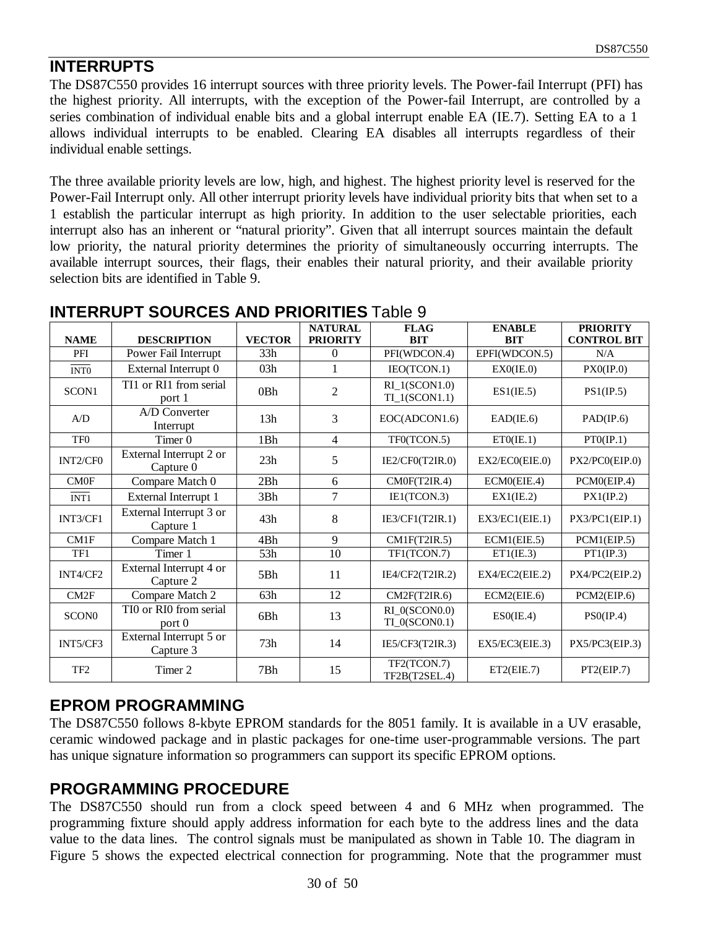# **INTERRUPTS**

The DS87C550 provides 16 interrupt sources with three priority levels. The Power-fail Interrupt (PFI) has the highest priority. All interrupts, with the exception of the Power-fail Interrupt, are controlled by a series combination of individual enable bits and a global interrupt enable EA (IE.7). Setting EA to a 1 allows individual interrupts to be enabled. Clearing EA disables all interrupts regardless of their individual enable settings.

The three available priority levels are low, high, and highest. The highest priority level is reserved for the Power-Fail Interrupt only. All other interrupt priority levels have individual priority bits that when set to a 1 establish the particular interrupt as high priority. In addition to the user selectable priorities, each interrupt also has an inherent or "natural priority". Given that all interrupt sources maintain the default low priority, the natural priority determines the priority of simultaneously occurring interrupts. The available interrupt sources, their flags, their enables their natural priority, and their available priority selection bits are identified in Table 9.

|                   |                                             |               | <b>NATURAL</b>  | <b>FLAG</b>                             | <b>ENABLE</b>  | <b>PRIORITY</b>    |
|-------------------|---------------------------------------------|---------------|-----------------|-----------------------------------------|----------------|--------------------|
| <b>NAME</b>       | <b>DESCRIPTION</b>                          | <b>VECTOR</b> | <b>PRIORITY</b> | <b>BIT</b>                              | <b>BIT</b>     | <b>CONTROL BIT</b> |
| PFI               | Power Fail Interrupt                        | 33h           | $\theta$        | PFI(WDCON.4)                            | EPFI(WDCON.5)  | N/A                |
| INT <sub>0</sub>  | External Interrupt 0                        | 03h           |                 | IEO(TCON.1)                             | EXO(IE.0)      | $PX0$ (IP.0)       |
| SCON1             | TI1 or RI1 from serial<br>port 1            | 0Bh           | $\overline{2}$  | $RI_1(SCON1.0)$<br>$TI_1(SCON1.1)$      | ES1(IE.5)      | PS1(IP.5)          |
| A/D               | A/D Converter<br>Interrupt                  | 13h           | 3               | EOC(ADCON1.6)                           | EAD(IE.6)      | PAD/IP.6)          |
| TF <sub>0</sub>   | Timer 0                                     | 1Bh           | $\overline{4}$  | TF0(TCON.5)                             | ETO(IE.1)      | PTO(IP.1)          |
| INT2/CF0          | External Interrupt 2 or<br>Capture 0        | 23h           | 5               | IE2/CF0(T2IR.0)                         | EX2/EC0(EIE.0) | PX2/PC0(EIP.0)     |
| CM0F              | Compare Match 0                             | 2Bh           | 6               | CM0F(T2IR.4)                            | ECM0(EIE.4)    | PCM0(EIP.4)        |
| INT <sub>1</sub>  | External Interrupt 1                        | 3Bh           | $\overline{7}$  | IE1(TCON.3)                             | EX1(IE.2)      | PX1(IP.2)          |
| INT3/CF1          | External Interrupt 3 or<br>Capture 1        | 43h           | 8               | IE3/CF1(T2IR.1)                         | EX3/EC1(EIE.1) | PX3/PC1(EIP.1)     |
| CM1F              | Compare Match 1                             | 4Bh           | 9               | CM1F(T2IR.5)                            | ECM1(EIE.5)    | PCM1(EIP.5)        |
| TF1               | Timer 1                                     | 53h           | 10              | TF1(TCON.7)                             | ET1(IE.3)      | PT1(IP.3)          |
| INT4/CF2          | External Interrupt 4 or<br>Capture 2        | 5Bh           | 11              | IE4/CF2(T2IR.2)                         | EX4/EC2(EIE.2) | PX4/PC2(EIP.2)     |
| CM2F              | Compare Match 2                             | 63h           | 12              | CM2F(T2IR.6)                            | ECM2(EIE.6)    | PCM2(EIP.6)        |
| SCON <sub>0</sub> | TI0 or RI0 from serial<br>port <sub>0</sub> | 6Bh           | 13              | $RI_0$ (SCON $0.0$ )<br>$TI_0(SCON0.1)$ | ESO(IE.4)      | PSO/IP.4)          |
| INT5/CF3          | External Interrupt 5 or<br>Capture 3        | 73h           | 14              | IE5/CF3(T2IR.3)                         | EX5/EC3(EIE.3) | PX5/PC3(EIP.3)     |
| TF <sub>2</sub>   | Timer 2                                     | 7Bh           | 15              | TF2(TCON.7)<br>TF2B(T2SEL.4)            | ET2(EIE.7)     | PT2(EIP.7)         |

## **INTERRUPT SOURCES AND PRIORITIES** Table 9

# **EPROM PROGRAMMING**

The DS87C550 follows 8-kbyte EPROM standards for the 8051 family. It is available in a UV erasable, ceramic windowed package and in plastic packages for one-time user-programmable versions. The part has unique signature information so programmers can support its specific EPROM options.

# **PROGRAMMING PROCEDURE**

The DS87C550 should run from a clock speed between 4 and 6 MHz when programmed. The programming fixture should apply address information for each byte to the address lines and the data value to the data lines. The control signals must be manipulated as shown in Table 10. The diagram in Figure 5 shows the expected electrical connection for programming. Note that the programmer must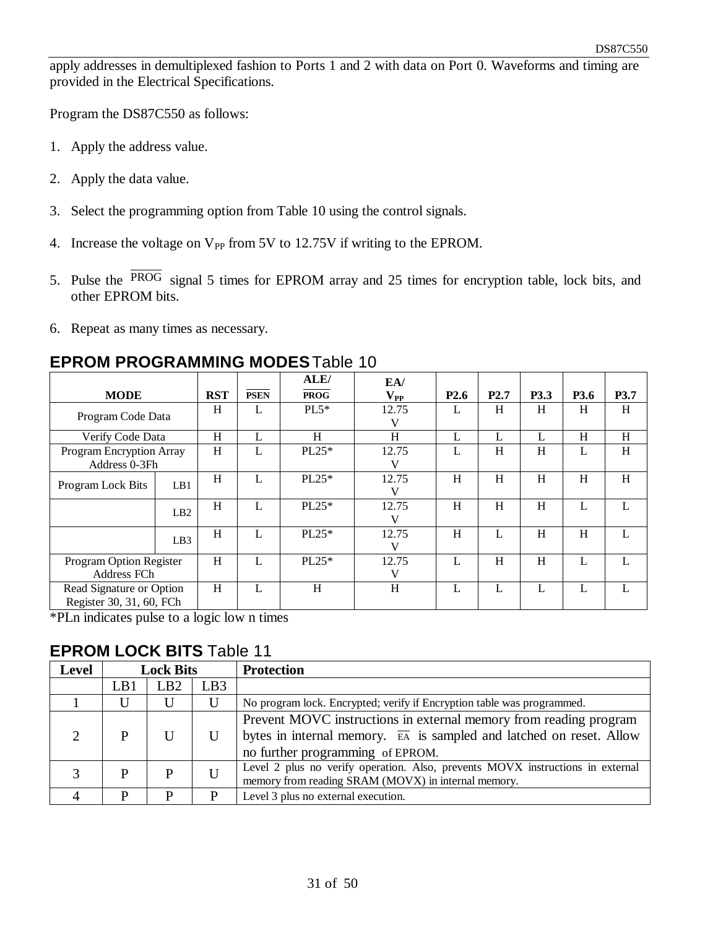apply addresses in demultiplexed fashion to Ports 1 and 2 with data on Port 0. Waveforms and timing are provided in the Electrical Specifications.

Program the DS87C550 as follows:

- 1. Apply the address value.
- 2. Apply the data value.
- 3. Select the programming option from Table 10 using the control signals.
- 4. Increase the voltage on  $V_{PP}$  from 5V to 12.75V if writing to the EPROM.
- 5. Pulse the PROG signal 5 times for EPROM array and 25 times for encryption table, lock bits, and other EPROM bits.
- 6. Repeat as many times as necessary.

#### **EPROM PROGRAMMING MODES** Table 10

|                                                      |                                           |            |             | ALE/        | EA/                        |                  |                  |      |      |      |
|------------------------------------------------------|-------------------------------------------|------------|-------------|-------------|----------------------------|------------------|------------------|------|------|------|
| <b>MODE</b>                                          |                                           | <b>RST</b> | <b>PSEN</b> | <b>PROG</b> | $\mathbf{V}_{\mathbf{PP}}$ | P <sub>2.6</sub> | P <sub>2.7</sub> | P3.3 | P3.6 | P3.7 |
| Program Code Data                                    |                                           | H          | L           | $PL5*$      | 12.75<br>V                 |                  | H                | H    | H    | H    |
| Verify Code Data                                     |                                           | H          | L           | H           | H                          | L                | L                | L    | H    | H    |
|                                                      | Program Encryption Array<br>Address 0-3Fh |            | Ι.          | $PL25*$     | 12.75<br>V                 |                  | H                | H    | L    | H    |
| Program Lock Bits                                    | LB1                                       | H          | L           | $PL25*$     | 12.75<br>V                 | H                | H                | H    | H    | H    |
|                                                      | LB2                                       | H          | L           | $PL25*$     | 12.75<br>V                 | H                | H                | H    | L    | L    |
|                                                      | LB3                                       | H          | L           | $PL25*$     | 12.75<br>V                 | H                | L                | H    | H    |      |
| Program Option Register<br>Address FCh               |                                           | H          | L           | $PL25*$     | 12.75<br>V                 |                  | Η                | H    | L    |      |
| Read Signature or Option<br>Register 30, 31, 60, FCh |                                           | H          | L           | H           | H                          |                  | L                | L    | L    |      |

\*PLn indicates pulse to a logic low n times

#### **EPROM LOCK BITS** Table 11

| Level | <b>Lock Bits</b> |                 |     | <b>Protection</b>                                                                                                                                                                         |
|-------|------------------|-----------------|-----|-------------------------------------------------------------------------------------------------------------------------------------------------------------------------------------------|
|       | LB1              | LB <sub>2</sub> | LB3 |                                                                                                                                                                                           |
|       |                  |                 | U   | No program lock. Encrypted; verify if Encryption table was programmed.                                                                                                                    |
|       |                  |                 |     | Prevent MOVC instructions in external memory from reading program<br>bytes in internal memory. $\overline{EA}$ is sampled and latched on reset. Allow<br>no further programming of EPROM. |
|       |                  |                 | U   | Level 2 plus no verify operation. Also, prevents MOVX instructions in external<br>memory from reading SRAM (MOVX) in internal memory.                                                     |
|       |                  | D               | D   | Level 3 plus no external execution.                                                                                                                                                       |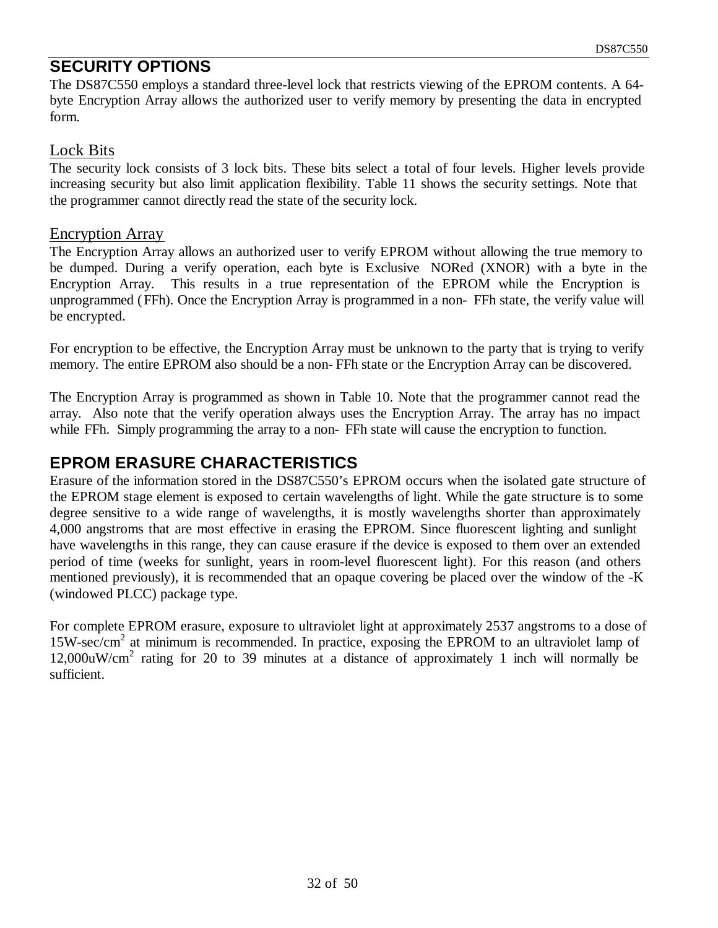## **SECURITY OPTIONS**

The DS87C550 employs a standard three-level lock that restricts viewing of the EPROM contents. A 64 byte Encryption Array allows the authorized user to verify memory by presenting the data in encrypted form.

#### Lock Bits

The security lock consists of 3 lock bits. These bits select a total of four levels. Higher levels provide increasing security but also limit application flexibility. Table 11 shows the security settings. Note that the programmer cannot directly read the state of the security lock.

#### Encryption Array

The Encryption Array allows an authorized user to verify EPROM without allowing the true memory to be dumped. During a verify operation, each byte is Exclusive NORed (XNOR) with a byte in the Encryption Array. This results in a true representation of the EPROM while the Encryption is unprogrammed (FFh). Once the Encryption Array is programmed in a non- FFh state, the verify value will be encrypted.

For encryption to be effective, the Encryption Array must be unknown to the party that is trying to verify memory. The entire EPROM also should be a non- FFh state or the Encryption Array can be discovered.

The Encryption Array is programmed as shown in Table 10. Note that the programmer cannot read the array. Also note that the verify operation always uses the Encryption Array. The array has no impact while FFh. Simply programming the array to a non-FFh state will cause the encryption to function.

## **EPROM ERASURE CHARACTERISTICS**

Erasure of the information stored in the DS87C550's EPROM occurs when the isolated gate structure of the EPROM stage element is exposed to certain wavelengths of light. While the gate structure is to some degree sensitive to a wide range of wavelengths, it is mostly wavelengths shorter than approximately 4,000 angstroms that are most effective in erasing the EPROM. Since fluorescent lighting and sunlight have wavelengths in this range, they can cause erasure if the device is exposed to them over an extended period of time (weeks for sunlight, years in room-level fluorescent light). For this reason (and others mentioned previously), it is recommended that an opaque covering be placed over the window of the -K (windowed PLCC) package type.

For complete EPROM erasure, exposure to ultraviolet light at approximately 2537 angstroms to a dose of 15W-sec/cm<sup>2</sup> at minimum is recommended. In practice, exposing the EPROM to an ultraviolet lamp of 12,000uW/cm<sup>2</sup> rating for 20 to 39 minutes at a distance of approximately 1 inch will normally be sufficient.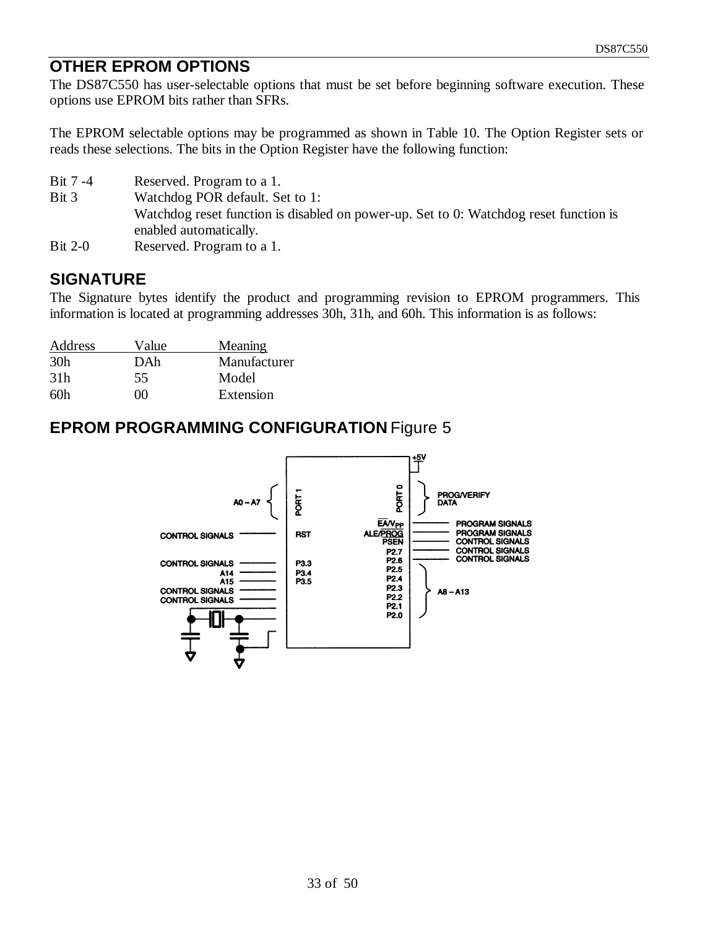## **OTHER EPROM OPTIONS**

The DS87C550 has user-selectable options that must be set before beginning software execution. These options use EPROM bits rather than SFRs.

The EPROM selectable options may be programmed as shown in Table 10. The Option Register sets or reads these selections. The bits in the Option Register have the following function:

- Bit 7 -4 Reserved. Program to a 1.
- Bit 3 Watchdog POR default. Set to 1: Watchdog reset function is disabled on power-up. Set to 0: Watchdog reset function is enabled automatically.
- Bit 2-0 Reserved. Program to a 1.

# **SIGNATURE**

The Signature bytes identify the product and programming revision to EPROM programmers. This information is located at programming addresses 30h, 31h, and 60h. This information is as follows:

| Address         | Value | Meaning      |
|-----------------|-------|--------------|
| 30 <sub>h</sub> | DAh   | Manufacturer |
| 31 <sub>h</sub> | 55    | Model        |
| 60h             | M     | Extension    |

## **EPROM PROGRAMMING CONFIGURATION** Figure 5

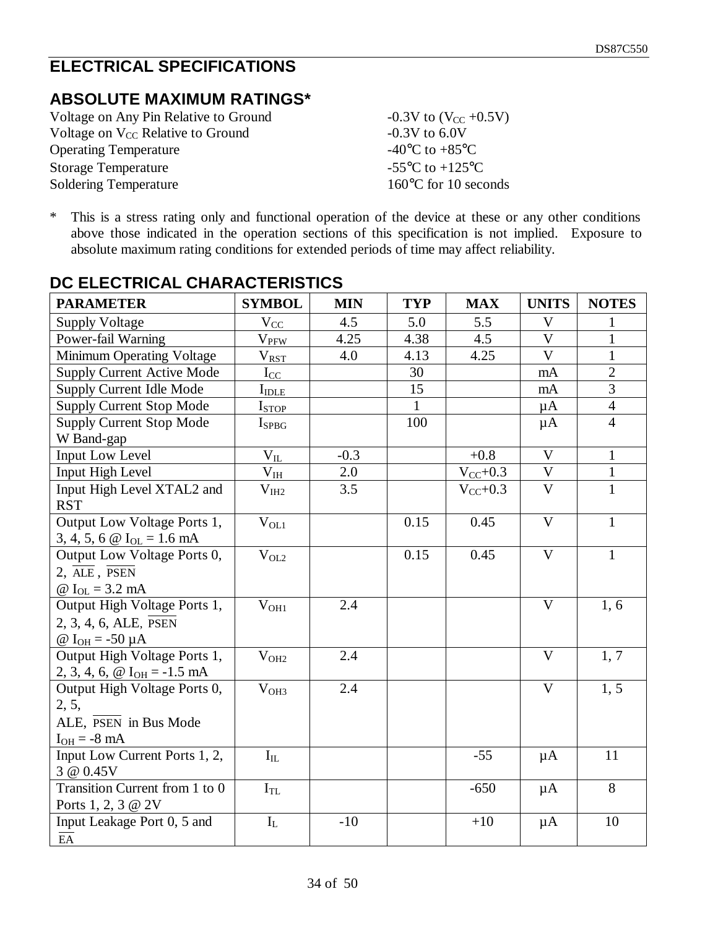# **ELECTRICAL SPECIFICATIONS**

# **ABSOLUTE MAXIMUM RATINGS\***

| Voltage on Any Pin Relative to Ground         | $-0.3V$ to $(V_{CC} +0.5V)$                           |
|-----------------------------------------------|-------------------------------------------------------|
| Voltage on V <sub>CC</sub> Relative to Ground | $-0.3V$ to 6.0V                                       |
| <b>Operating Temperature</b>                  | -40 $^{\circ}$ C to +85 $^{\circ}$ C                  |
| <b>Storage Temperature</b>                    | -55 $\mathrm{^{\circ}C}$ to +125 $\mathrm{^{\circ}C}$ |
| <b>Soldering Temperature</b>                  | $160^{\circ}$ C for 10 seconds                        |

\* This is a stress rating only and functional operation of the device at these or any other conditions above those indicated in the operation sections of this specification is not implied. Exposure to absolute maximum rating conditions for extended periods of time may affect reliability.

| <b>PARAMETER</b>                                                                                  | <b>SYMBOL</b>           | <b>MIN</b> | <b>TYP</b>   | <b>MAX</b>   | <b>UNITS</b>              | <b>NOTES</b>   |
|---------------------------------------------------------------------------------------------------|-------------------------|------------|--------------|--------------|---------------------------|----------------|
| <b>Supply Voltage</b>                                                                             | $V_{CC}$                | 4.5        | 5.0          | 5.5          | $\boldsymbol{\mathrm{V}}$ | 1              |
| Power-fail Warning                                                                                | $\rm V_{PFW}$           | 4.25       | 4.38         | 4.5          | $\mathbf{V}$              | $\mathbf{1}$   |
| Minimum Operating Voltage                                                                         | $V_{RST}$               | 4.0        | 4.13         | 4.25         | $\mathbf{V}$              | $\mathbf{1}$   |
| <b>Supply Current Active Mode</b>                                                                 | $I_{CC}$                |            | 30           |              | mA                        | $\overline{2}$ |
| Supply Current Idle Mode                                                                          | $I_{\rm IDLE}$          |            | 15           |              | mA                        | $\overline{3}$ |
| <b>Supply Current Stop Mode</b>                                                                   | I <sub>STOP</sub>       |            | $\mathbf{1}$ |              | $\mu A$                   | $\overline{4}$ |
| <b>Supply Current Stop Mode</b><br>W Band-gap                                                     | $I_{SPBG}$              |            | 100          |              | $\mu A$                   | $\overline{4}$ |
| Input Low Level                                                                                   | $V_{IL}$                | $-0.3$     |              | $+0.8$       | $\mathbf{V}$              | $\mathbf{1}$   |
| Input High Level                                                                                  | $\rm V_{IH}$            | 2.0        |              | $V_{CC}+0.3$ | $\mathbf V$               | $\mathbf{1}$   |
| Input High Level XTAL2 and<br><b>RST</b>                                                          | $\rm V_{IH2}$           | 3.5        |              | $V_{CC}+0.3$ | $\overline{\mathbf{V}}$   | $\mathbf{1}$   |
| Output Low Voltage Ports 1,<br>3, 4, 5, 6 $\textcircled{a}$ I <sub>OL</sub> = 1.6 mA              | $\rm V_{OL1}$           |            | 0.15         | 0.45         | $\overline{V}$            | $\mathbf{1}$   |
| Output Low Voltage Ports 0,<br>$2, \overline{ALE}, \overline{PSEN}$<br>@ $I_{OL} = 3.2$ mA        | $V_{OL2}$               |            | 0.15         | 0.45         | $\mathbf{V}$              | $\mathbf{1}$   |
| Output High Voltage Ports 1,<br>$2, 3, 4, 6, ALE, \overline{PSEN}$<br>$\omega I_{OH} = -50 \mu A$ | V <sub>OH1</sub>        | 2.4        |              |              | $\overline{\mathsf{V}}$   | 1, 6           |
| Output High Voltage Ports 1,<br>2, 3, 4, 6, $\omega I_{OH} = -1.5$ mA                             | $V_{OH2}$               | 2.4        |              |              | $\overline{V}$            | 1, 7           |
| Output High Voltage Ports 0,<br>2, 5,<br>ALE, PSEN in Bus Mode<br>$I_{OH} = -8 \text{ mA}$        | V <sub>OH3</sub>        | 2.4        |              |              | V                         | 1, 5           |
| Input Low Current Ports 1, 2,<br>3 @ 0.45V                                                        | $\mathbf{I}_{\rm IL}$   |            |              | $-55$        | $\mu A$                   | 11             |
| Transition Current from 1 to 0<br>Ports 1, 2, 3 @ 2V                                              | $I_{TL}$                |            |              | $-650$       | $\mu A$                   | 8              |
| Input Leakage Port 0, 5 and<br>$\overline{EA}$                                                    | $\mathbf{I}_{\text{L}}$ | $-10$      |              | $+10$        | $\mu A$                   | 10             |

# **DC ELECTRICAL CHARACTERISTICS**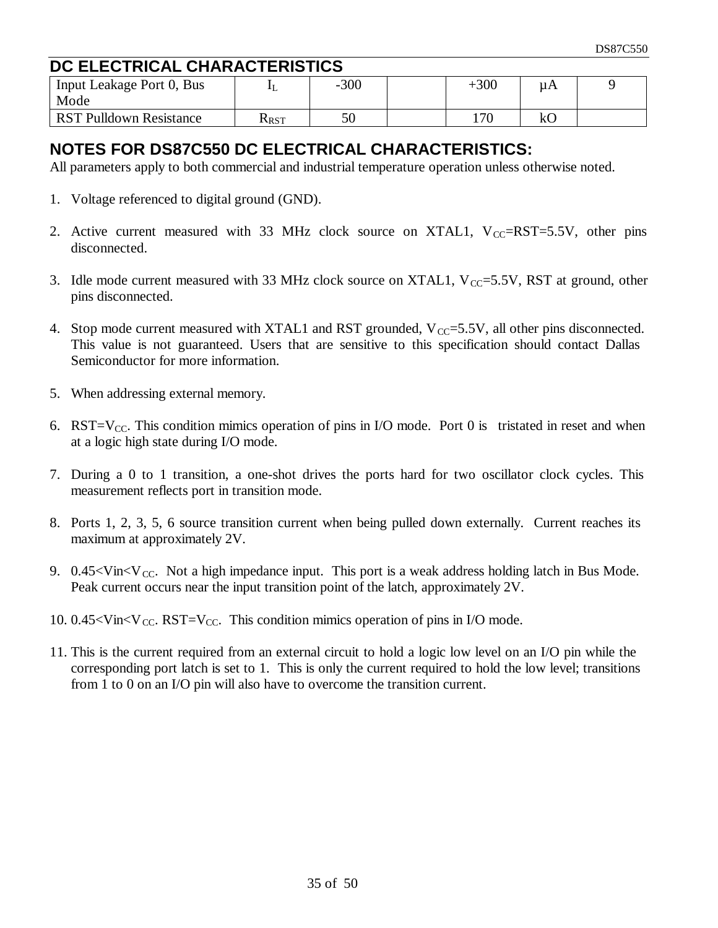# **DC ELECTRICAL CHARACTERISTICS**

| Input Leakage Port 0, Bus<br>Mode |             | $-300$ | $+300$ | μA  |  |
|-----------------------------------|-------------|--------|--------|-----|--|
| <b>RST Pulldown Resistance</b>    | <b>KRST</b> | 50     | 17C    | 1.C |  |

# **NOTES FOR DS87C550 DC ELECTRICAL CHARACTERISTICS:**

All parameters apply to both commercial and industrial temperature operation unless otherwise noted.

- 1. Voltage referenced to digital ground (GND).
- 2. Active current measured with 33 MHz clock source on XTAL1,  $V_{CC} = RST = 5.5V$ , other pins disconnected.
- 3. Idle mode current measured with 33 MHz clock source on XTAL1,  $V_{CC} = 5.5V$ , RST at ground, other pins disconnected.
- 4. Stop mode current measured with XTAL1 and RST grounded,  $V_{CC} = 5.5V$ , all other pins disconnected. This value is not guaranteed. Users that are sensitive to this specification should contact Dallas Semiconductor for more information.
- 5. When addressing external memory.
- 6. RST=V<sub>CC</sub>. This condition mimics operation of pins in I/O mode. Port 0 is tristated in reset and when at a logic high state during I/O mode.
- 7. During a 0 to 1 transition, a one-shot drives the ports hard for two oscillator clock cycles. This measurement reflects port in transition mode.
- 8. Ports 1, 2, 3, 5, 6 source transition current when being pulled down externally. Current reaches its maximum at approximately 2V.
- 9.  $0.45 <$ Vin $<$ V<sub>CC</sub>. Not a high impedance input. This port is a weak address holding latch in Bus Mode. Peak current occurs near the input transition point of the latch, approximately 2V.
- 10. 0.45  $\forall$  in  $\forall$  cc. RST =  $V_{CC}$ . This condition mimics operation of pins in I/O mode.
- 11. This is the current required from an external circuit to hold a logic low level on an I/O pin while the corresponding port latch is set to 1. This is only the current required to hold the low level; transitions from 1 to 0 on an I/O pin will also have to overcome the transition current.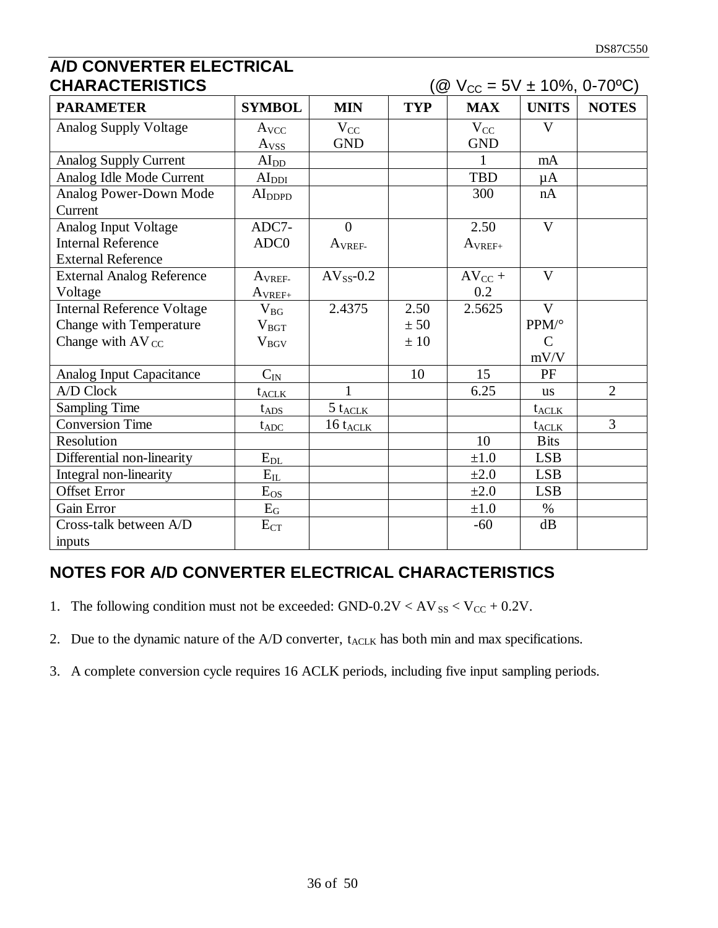# **A/D CONVERTER ELECTRICAL**

| <b>CHARACTERISTICS</b>            |                               | $Q$ V <sub>CC</sub> = 5V ± 10%, 0-70°C) |            |             |                         |                |
|-----------------------------------|-------------------------------|-----------------------------------------|------------|-------------|-------------------------|----------------|
| <b>PARAMETER</b>                  | <b>SYMBOL</b>                 | <b>MIN</b>                              | <b>TYP</b> | <b>MAX</b>  | <b>UNITS</b>            | <b>NOTES</b>   |
| <b>Analog Supply Voltage</b>      | A <sub>VCC</sub>              | $V_{CC}$                                |            | $V_{CC}$    | $\overline{\mathbf{V}}$ |                |
|                                   | A <sub>VSS</sub>              | <b>GND</b>                              |            | <b>GND</b>  |                         |                |
| <b>Analog Supply Current</b>      | AI <sub>DD</sub>              |                                         |            | 1           | mA                      |                |
| Analog Idle Mode Current          | AI <sub>DDI</sub>             |                                         |            | <b>TBD</b>  | $\mu A$                 |                |
| Analog Power-Down Mode<br>Current | AI <sub>DDPD</sub>            |                                         |            | 300         | nA                      |                |
| Analog Input Voltage              | ADC7-                         | $\theta$                                |            | 2.50        | $\mathbf{V}$            |                |
| <b>Internal Reference</b>         | ADC <sub>0</sub>              | A <sub>VREF-</sub>                      |            | $A_{VREF+}$ |                         |                |
| <b>External Reference</b>         |                               |                                         |            |             |                         |                |
| <b>External Analog Reference</b>  | $A_{VREF}$                    | $AV_{SS}$ -0.2                          |            | $AV_{CC}$ + | V                       |                |
| Voltage                           | $A_{VREF+}$                   |                                         |            | 0.2         |                         |                |
| <b>Internal Reference Voltage</b> | $V_{BG}$                      | 2.4375                                  | 2.50       | 2.5625      | $\mathbf{V}$            |                |
| Change with Temperature           | $V_{BGT}$                     |                                         | ± 50       |             | PPM/°                   |                |
| Change with $AV_{CC}$             | $V_{BGV}$                     |                                         | ± 10       |             | $\mathbf C$             |                |
|                                   |                               |                                         |            |             | mV/V                    |                |
| Analog Input Capacitance          | $C_{IN}$                      |                                         | 10         | 15          | PF                      |                |
| A/D Clock                         | $t_{\text{ACK}}$              |                                         |            | 6.25        | <b>us</b>               | $\overline{2}$ |
| <b>Sampling Time</b>              | $t_{ADS}$                     | $5 t_{\text{ACLK}}$                     |            |             | $t_{\text{ACLK}}$       |                |
| <b>Conversion Time</b>            | $t_{ADC}$                     | 16 t <sub>ACLK</sub>                    |            |             | t <sub>ACLK</sub>       | 3              |
| Resolution                        |                               |                                         |            | 10          | <b>B</b> its            |                |
| Differential non-linearity        | $E_{\underline{\textrm{DL}}}$ |                                         |            | $\pm 1.0$   | <b>LSB</b>              |                |
| Integral non-linearity            | $\rm E_{IL}$                  |                                         |            | $\pm 2.0$   | <b>LSB</b>              |                |
| <b>Offset Error</b>               | $E_{OS}$                      |                                         |            | $\pm 2.0$   | <b>LSB</b>              |                |
| Gain Error                        | $\mathrm{E_{G}}$              |                                         |            | $\pm 1.0$   | $\%$                    |                |
| Cross-talk between A/D            | $E_{CT}$                      |                                         |            | $-60$       | dB                      |                |
| inputs                            |                               |                                         |            |             |                         |                |

# **NOTES FOR A/D CONVERTER ELECTRICAL CHARACTERISTICS**

- 1. The following condition must not be exceeded:  $GND-0.2V < AV_{SS} < V_{CC} + 0.2V$ .
- 2. Due to the dynamic nature of the  $A/D$  converter,  $t_{ACLK}$  has both min and max specifications.
- 3. A complete conversion cycle requires 16 ACLK periods, including five input sampling periods.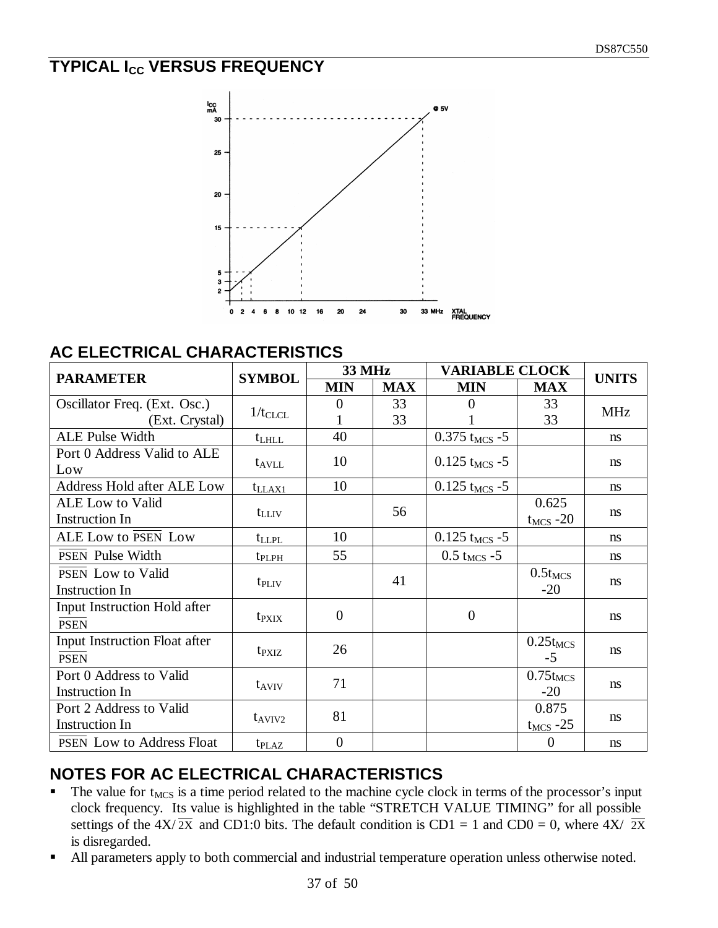# **TYPICAL I<sub>CC</sub> VERSUS FREQUENCY**



## **AC ELECTRICAL CHARACTERISTICS**

| <b>PARAMETER</b>                  | <b>SYMBOL</b>     | <b>33 MHz</b>  |            | <b>VARIABLE CLOCK</b>       | <b>UNITS</b>   |            |
|-----------------------------------|-------------------|----------------|------------|-----------------------------|----------------|------------|
|                                   |                   | <b>MIN</b>     | <b>MAX</b> | <b>MIN</b>                  | <b>MAX</b>     |            |
| Oscillator Freq. (Ext. Osc.)      | $1/t_{CLCL}$      | 0              | 33         | 0                           | 33             | <b>MHz</b> |
| (Ext. Crystal)                    |                   |                | 33         |                             | 33             |            |
| <b>ALE Pulse Width</b>            | $t_{LHLL}$        | 40             |            | $0.375$ t <sub>MCS</sub> -5 |                | ns         |
| Port 0 Address Valid to ALE       |                   | 10             |            |                             |                |            |
| Low                               | $t_{\rm AVLL}$    |                |            | $0.125$ t <sub>MCS</sub> -5 |                | ns         |
| <b>Address Hold after ALE Low</b> | $t_{LLAX1}$       | 10             |            | $0.125$ t <sub>MCS</sub> -5 |                | ns         |
| <b>ALE</b> Low to Valid           |                   |                | 56         |                             | 0.625          |            |
| <b>Instruction In</b>             | $t_{LLIV}$        |                |            |                             | $t_{MCS}$ -20  | ns         |
| <b>ALE Low to PSEN Low</b>        | t <sub>LLPL</sub> | 10             |            | $0.125$ t <sub>MCS</sub> -5 |                | ns         |
| <b>PSEN</b> Pulse Width           | t <sub>PLPH</sub> | 55             |            | $0.5 t_{MCS} - 5$           |                | ns         |
| <b>PSEN</b> Low to Valid          |                   |                | 41         |                             | $0.5t_{MCS}$   | ns         |
| Instruction In                    | t <sub>PLIV</sub> |                |            |                             | $-20$          |            |
| Input Instruction Hold after      |                   | $\overline{0}$ |            | $\theta$                    |                |            |
| <b>PSEN</b>                       | t <sub>PXIX</sub> |                |            |                             |                | ns         |
| Input Instruction Float after     |                   | 26             |            |                             | $0.25t_{MCS}$  |            |
| <b>PSEN</b>                       | t <sub>PXIZ</sub> |                |            |                             | $-5$           | ns         |
| Port 0 Address to Valid           |                   | 71             |            |                             | $0.75t_{MCS}$  |            |
| <b>Instruction In</b>             | $t_{AVIV}$        |                |            |                             | $-20$          | ns         |
| Port 2 Address to Valid           |                   | 81             |            |                             | 0.875          |            |
| Instruction In                    | $t_{AVIV2}$       |                |            |                             | $t_{MCS}$ -25  | ns         |
| <b>PSEN</b> Low to Address Float  | $t_{\text{PLAZ}}$ | $\overline{0}$ |            |                             | $\overline{0}$ | ns         |

# **NOTES FOR AC ELECTRICAL CHARACTERISTICS**

- $\blacksquare$  The value for t<sub>MCS</sub> is a time period related to the machine cycle clock in terms of the processor's input clock frequency. Its value is highlighted in the table "STRETCH VALUE TIMING" for all possible settings of the  $4X/\overline{2X}$  and CD1:0 bits. The default condition is CD1 = 1 and CD0 = 0, where  $4X/\overline{2X}$ is disregarded.
- All parameters apply to both commercial and industrial temperature operation unless otherwise noted.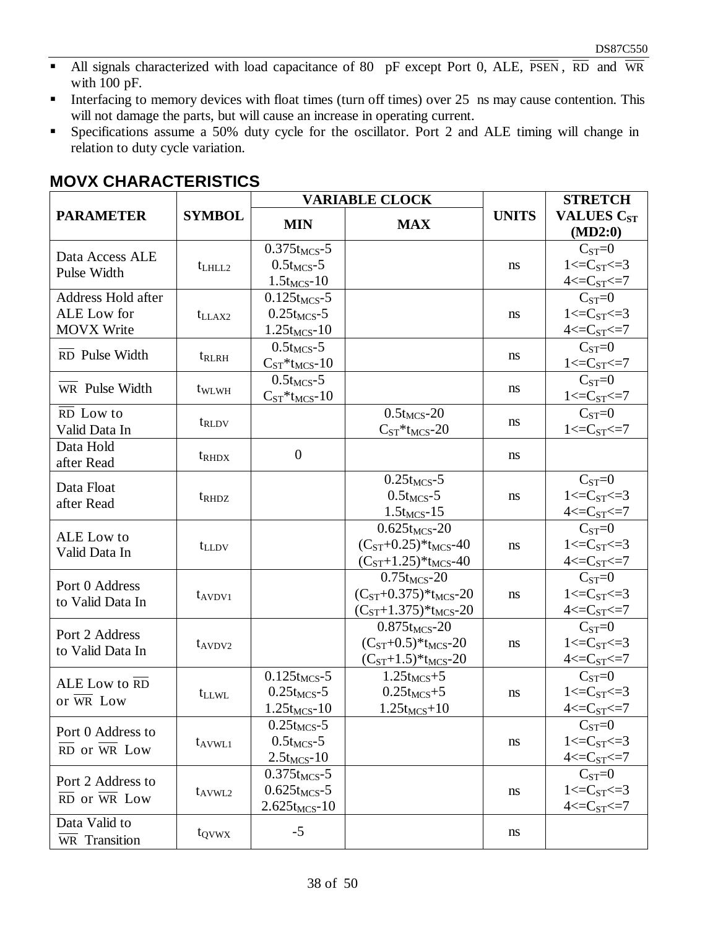- All signals characterized with load capacitance of 80 pF except Port 0, ALE,  $\overline{PSEN}$ ,  $\overline{RD}$  and  $\overline{WR}$ with 100 pF.
- **Interfacing to memory devices with float times (turn off times) over 25 ns may cause contention. This** will not damage the parts, but will cause an increase in operating current.
- **Specifications assume a 50% duty cycle for the oscillator. Port 2 and ALE timing will change in** relation to duty cycle variation.

|                                        |                   |                                      | <b>VARIABLE CLOCK</b>          |               | <b>STRETCH</b>                          |
|----------------------------------------|-------------------|--------------------------------------|--------------------------------|---------------|-----------------------------------------|
| <b>PARAMETER</b>                       | <b>SYMBOL</b>     | <b>MIN</b>                           | <b>MAX</b>                     | <b>UNITS</b>  | <b>VALUES C<sub>ST</sub></b><br>(MD2:0) |
|                                        |                   | $0.375$ t <sub>MCS</sub> -5          |                                |               | $C_{ST}=0$                              |
| Data Access ALE                        | $t$ LHLL2         | $0.5t_{MCS}$ -5                      |                                | ns            | $1 < = C_{ST} < = 3$                    |
| Pulse Width                            |                   | $1.5t_{MCS} - 10$                    |                                |               | $4 < = C_{ST} < 7$                      |
| Address Hold after                     |                   | $0.125t_{MCS} - 5$                   |                                |               | $C_{ST}=0$                              |
| ALE Low for                            | $t_{LLAX2}$       | $0.25t_{MCS}$ -5                     |                                | ns            | $1 < = C_{ST} < = 3$                    |
| <b>MOVX Write</b>                      |                   | $1.25t_{MCS} - 10$                   |                                |               | $4 < = C_{ST} < = 7$                    |
| RD Pulse Width                         | t <sub>RLRH</sub> | $0.5t_{MCS}$ -5                      |                                | ns            | $C_{ST}=0$                              |
|                                        |                   | $C_{ST}$ *t <sub>MCS</sub> -10       |                                |               | $1 < C_{ST} < 7$                        |
| WR Pulse Width                         | t <sub>WLWH</sub> | $0.5t_{MCS}$ -5                      |                                | ns            | $C_{ST}=0$                              |
|                                        |                   | $C_{ST} * t_{MCS} - 10$              |                                |               | $1 < = C_{ST} < = 7$                    |
| RD Low to                              | t <sub>RLDV</sub> |                                      | $0.5t_{MCS}$ -20               | ns            | $C_{ST}=0$                              |
| Valid Data In                          |                   |                                      | $C_{ST}$ *t <sub>MCS</sub> -20 |               | $1 < C_{ST} < 7$                        |
| Data Hold<br>after Read                | $t_{\rm RHDX}$    | $\overline{0}$                       |                                | ns            |                                         |
|                                        |                   |                                      | $0.25t_{MCS} - 5$              |               | $C_{ST}=0$                              |
| Data Float                             | t <sub>RHDZ</sub> |                                      | $0.5t_{MCS}$ -5                | ns            | $1 < = C_{ST} < = 3$                    |
| after Read                             |                   |                                      | $1.5t_{MCS} - 15$              |               | $4 < = C_{ST} < = 7$                    |
| ALE Low to                             |                   |                                      | $0.625t_{MCS} - 20$            |               | $CST=0$                                 |
| Valid Data In                          | t <sub>LLDV</sub> |                                      | $(C_{ST}+0.25)*t_{MCS}-40$     | <sub>ns</sub> | $1 < = C_{ST} < = 3$                    |
|                                        |                   |                                      | $(C_{ST}+1.25)*t_{MCS}-40$     |               | $4 < = C_{ST} < = 7$                    |
| Port 0 Address                         |                   |                                      | $0.75t_{MCS} - 20$             |               | $C_{ST}=0$                              |
| to Valid Data In                       | $t_{AVDV1}$       |                                      | $(C_{ST}+0.375)*t_{MCS}-20$    | ns            | $1 < = C_{ST} < = 3$                    |
|                                        |                   |                                      | $(C_{ST}+1.375)*t_{MCS}-20$    |               | $4 < = C_{ST} < = 7$                    |
| Port 2 Address                         |                   |                                      | $0.875t_{MCS} - 20$            |               | $C_{ST}=0$                              |
| to Valid Data In                       | $t_{AVDV2}$       |                                      | $(C_{ST}+0.5)*t_{MCS}-20$      | ns            | $1 < = C_{ST} < = 3$                    |
|                                        |                   |                                      | $(C_{ST}+1.5)*t_{MCS}-20$      |               | $4 < = C_{ST} < 7$                      |
| ALE Low to RD                          |                   | $0.125t_{MCS}$ -5                    | $1.25t_{MCS}+5$                |               | $C_{ST}=0$                              |
| or WR Low                              | $t_{LLWL}$        | $0.25t_{MCS} - 5$                    | $0.25t_{MCS}+5$                | ns            | $1 < C_{ST} < 3$                        |
|                                        |                   | $1.25t_{MCS} - 10$                   | $1.25t_{MCS}+10$               |               | $4 < = C_{ST} < = 7$                    |
| Port 0 Address to                      |                   | $0.25t_{MCS} - 5$<br>$0.5t_{MCS}$ -5 |                                |               | $C_{ST}=0$<br>$1 < = C_{ST} < = 3$      |
| $\overline{RD}$ or $\overline{WR}$ Low | $t_{AVWL1}$       | $2.5t_{MCS}$ -10                     |                                | ns            | $4 < = C_{ST} < = 7$                    |
|                                        |                   | $0.375t_{MCS}$ -5                    |                                |               | $C_{ST}=0$                              |
| Port 2 Address to                      | $t_{AVWL2}$       | $0.625$ t <sub>MCS</sub> -5          |                                | ns            | $1 < = C_{ST} < = 3$                    |
| RD or WR Low                           |                   | $2.625t_{MCS} - 10$                  |                                |               | $4 < = C_{ST} < = 7$                    |
| Data Valid to                          |                   |                                      |                                |               |                                         |
| WR Transition                          | t <sub>QVWX</sub> | $-5$                                 |                                | ns            |                                         |

#### **MOVX CHARACTERISTICS**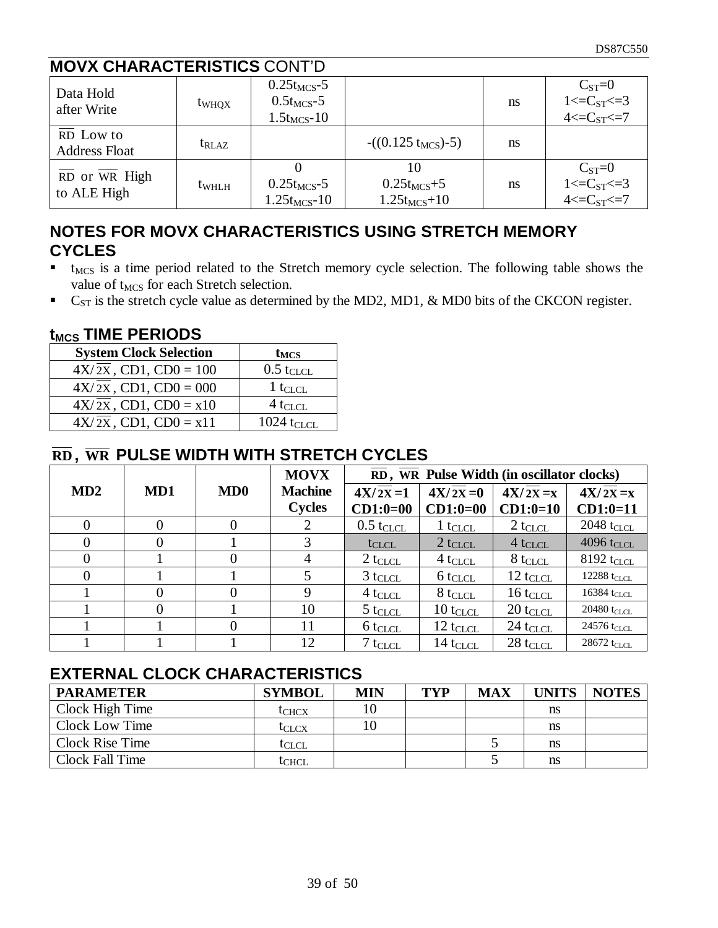# **MOVX CHARACTERISTICS** CONT'D

| Data Hold<br>after Write                               | t <sub>WHQX</sub> | $0.25t_{MCS}$ -5<br>$0.5t_{MCS}$ -5<br>$1.5t_{MCS}$ -10 |                                     | ns | $C_{ST}=0$<br>$1 < = C_{ST} < = 3$<br>$4 < = C_{ST} < = 7$ |
|--------------------------------------------------------|-------------------|---------------------------------------------------------|-------------------------------------|----|------------------------------------------------------------|
| RD Low to<br><b>Address Float</b>                      | $t_{\rm RLAZ}$    |                                                         | $-(0.125 t_{MCS})-5)$               | ns |                                                            |
| $\overline{RD}$ or $\overline{WR}$ High<br>to ALE High | t <sub>whlH</sub> | $0.25t_{MCS}$ -5<br>$1.25t_{MCS} - 10$                  | $0.25t_{MCS}+5$<br>$1.25t_{MCS}+10$ | ns | $C_{ST}=0$<br>$1 < C_{ST} < 3$<br>$4 < E_{ST} < 7$         |

# **NOTES FOR MOVX CHARACTERISTICS USING STRETCH MEMORY CYCLES**

- $\bullet$  t<sub>MCS</sub> is a time period related to the Stretch memory cycle selection. The following table shows the value of t<sub>MCS</sub> for each Stretch selection.
- $\bullet$  C<sub>ST</sub> is the stretch cycle value as determined by the MD2, MD1, & MD0 bits of the CKCON register.

#### **tMCS TIME PERIODS**

| <b>System Clock Selection</b>       | $t_{MCS}$                |
|-------------------------------------|--------------------------|
| $4X/\overline{2X}$ , CD1, CD0 = 100 | $0.5$ tclcl              |
| $4X/\overline{2X}$ , CD1, CD0 = 000 | $1 t_{CLCL}$             |
| $4X/\overline{2X}$ , CD1, CD0 = x10 | $4$ t <sub>CLCL</sub>    |
| $4X/\overline{2X}$ , CD1, CD0 = x11 | $1024$ t <sub>CLCL</sub> |

# **RD , WR PULSE WIDTH WITH STRETCH CYCLES**

|                |     |     | <b>MOVX</b>    | RD, WR Pulse Width (in oscillator clocks) |                        |                      |                           |  |  |
|----------------|-----|-----|----------------|-------------------------------------------|------------------------|----------------------|---------------------------|--|--|
| MD2            | MD1 | MD0 | <b>Machine</b> | $4X/2X=1$                                 | $4X/2X=0$              | $4X/2X = x$          | $4X/\overline{2X} = x$    |  |  |
|                |     |     | <b>Cycles</b>  | $CD1:0=00$                                | $CD1:0=00$             | $CD1:0=10$           | $CD1:0=11$                |  |  |
| $\overline{0}$ | 0   |     | 2              | $0.5 t_{CLCL}$                            | $1 t_{CLCL}$           | $2 t_{CLCL}$         | $2048$ t <sub>CLCL</sub>  |  |  |
| $\overline{0}$ |     |     | 3              | $t_{CLCL}$                                | $2 t_{CLCL}$           | $4 t_{CLCL}$         | 4096 tclcl                |  |  |
| $\theta$       |     |     | 4              | $2 t_{CLCL}$                              | $4 t_{CLCL}$           | $8$ t $_{\rm CLCL}$  | $8192$ t <sub>CLCL</sub>  |  |  |
| $\Omega$       |     |     |                | $3 t_{CLCL}$                              | $6 t_{CLCL}$           | $12 t_{CLCL}$        | $12288$ t <sub>CLCL</sub> |  |  |
|                |     |     | 9              | $4t_{CLCL}$                               | $8$ t $_{\rm CLCL}$    | $16$ t $_{CLCL}$     | 16384 t $_{\rm CLCL}$     |  |  |
|                |     |     | 10             | $5 t_{CLCL}$                              | $10$ t $_{\rm CLCL}$   | $20 t_{CLCL}$        | $20480$ t <sub>CLCL</sub> |  |  |
|                |     |     | 11             | $6$ t $CLCL$                              | $12$ t <sub>CLCL</sub> | $24$ tclcl           | $24576$ t <sub>CLCL</sub> |  |  |
|                |     |     | 12             | $7t_{CLCL}$                               | $14$ t <sub>CLCL</sub> | $28$ t $_{\rm CLCL}$ | $28672$ t <sub>CLCL</sub> |  |  |

## **EXTERNAL CLOCK CHARACTERISTICS**

| <b>PARAMETER</b>       | <b>SYMBOL</b> | <b>MIN</b> | TYP | <b>MAX</b> | UNITS | <b>NOTES</b> |
|------------------------|---------------|------------|-----|------------|-------|--------------|
| Clock High Time        | <b>L</b> CHCX | 10         |     |            | ns    |              |
| Clock Low Time         | tclcx         | 10         |     |            | ns    |              |
| <b>Clock Rise Time</b> | <b>I</b> CLCL |            |     |            | ns    |              |
| Clock Fall Time        | lchcl         |            |     |            | ns    |              |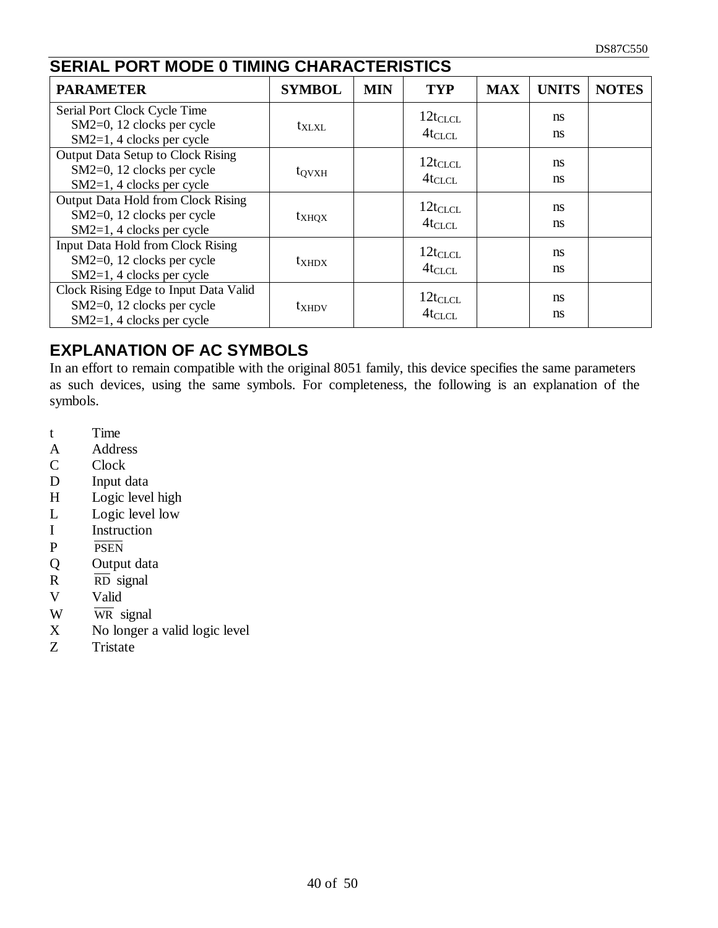| <b>SERIAL PORT MODE 0 TIMING CHARACTERISTICS</b>                                                    |                   |            |                             |            |                                |              |  |  |  |
|-----------------------------------------------------------------------------------------------------|-------------------|------------|-----------------------------|------------|--------------------------------|--------------|--|--|--|
| <b>PARAMETER</b>                                                                                    | <b>SYMBOL</b>     | <b>MIN</b> | <b>TYP</b>                  | <b>MAX</b> | <b>UNITS</b>                   | <b>NOTES</b> |  |  |  |
| Serial Port Clock Cycle Time<br>SM2=0, 12 clocks per cycle<br>$SM2=1, 4$ clocks per cycle           | $t_{\text{XLXL}}$ |            | $12t_{CLCL}$<br>$4t_{CLCL}$ |            | ns<br>ns                       |              |  |  |  |
| <b>Output Data Setup to Clock Rising</b><br>SM2=0, 12 clocks per cycle<br>SM2=1, 4 clocks per cycle | $t_{\rm OVXH}$    |            | $12t_{CLCL}$<br>$4t_{CLCL}$ |            | <sub>ns</sub><br>ns.           |              |  |  |  |
| Output Data Hold from Clock Rising<br>SM2=0, 12 clocks per cycle<br>SM2=1, 4 clocks per cycle       | $t_{XHQX}$        |            | $12t_{CLCL}$<br>$4t_{CLCL}$ |            | ns<br>ns                       |              |  |  |  |
| Input Data Hold from Clock Rising<br>SM2=0, 12 clocks per cycle<br>$SM2=1, 4$ clocks per cycle      | $t_{XHDX}$        |            | $12t_{CLCL}$<br>$4t_{CLCL}$ |            | <sub>ns</sub><br><sub>ns</sub> |              |  |  |  |
| Clock Rising Edge to Input Data Valid<br>SM2=0, 12 clocks per cycle<br>$SM2=1, 4$ clocks per cycle  | t <sub>XHDV</sub> |            | $12t_{CLCL}$<br>$4t_{CLCL}$ |            | <sub>ns</sub><br><sub>ns</sub> |              |  |  |  |

# **EXPLANATION OF AC SYMBOLS**

In an effort to remain compatible with the original 8051 family, this device specifies the same parameters as such devices, using the same symbols. For completeness, the following is an explanation of the symbols.

- t Time
- A Address
- C Clock
- D Input data
- H Logic level high
- L Logic level low
- I Instruction
- P PSEN
- Q Output data
- $R \overline{RD}$  signal
- V Valid
- W WR signal
- X No longer a valid logic level<br>Z Tristate
- **Tristate**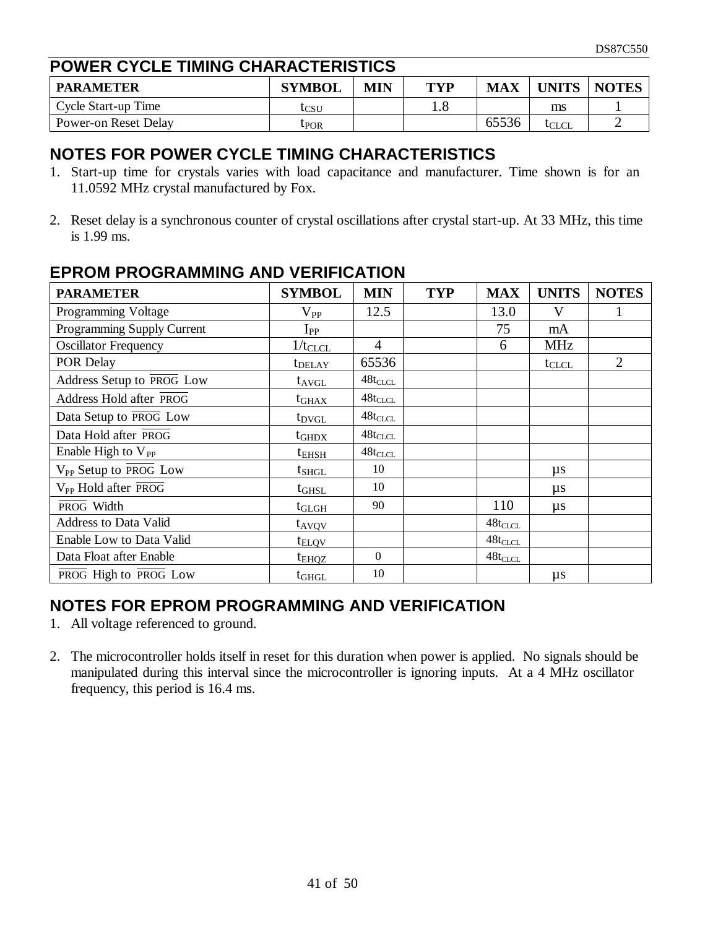## **POWER CYCLE TIMING CHARACTERISTICS**

| <b>PARAMETER</b>     | <b>SYMBOL</b>           | MIN | TVP | <b>MAX</b> | <b>UNITS</b> | <b>NOTES</b> |
|----------------------|-------------------------|-----|-----|------------|--------------|--------------|
| Cycle Start-up Time  | tcsu                    |     | 1.0 |            | ms           |              |
| Power-on Reset Delay | <b><sup>[POR]</sup></b> |     |     | 65536      | lclcl        |              |

#### **NOTES FOR POWER CYCLE TIMING CHARACTERISTICS**

- 1. Start-up time for crystals varies with load capacitance and manufacturer. Time shown is for an 11.0592 MHz crystal manufactured by Fox.
- 2. Reset delay is a synchronous counter of crystal oscillations after crystal start-up. At 33 MHz, this time is 1.99 ms.

| <b>PARAMETER</b>                  | <b>SYMBOL</b>      | <b>MIN</b>     | <b>TYP</b> | <b>MAX</b>    | <b>UNITS</b> | <b>NOTES</b>   |
|-----------------------------------|--------------------|----------------|------------|---------------|--------------|----------------|
| Programming Voltage               | $\rm V_{PP}$       | 12.5           |            | 13.0          | V            |                |
| Programming Supply Current        | $I_{PP}$           |                |            | 75            | mA           |                |
| <b>Oscillator Frequency</b>       | $1/t_{CLCL}$       | $\overline{4}$ |            | 6             | <b>MHz</b>   |                |
| POR Delay                         | t <sub>DELAY</sub> | 65536          |            |               | $t_{CLCL}$   | $\overline{2}$ |
| Address Setup to PROG Low         | $t_{AVGL}$         | $48t_{CLCL}$   |            |               |              |                |
| Address Hold after PROG           | $t_{\rm GHAX}$     | $48t_{CLCL}$   |            |               |              |                |
| Data Setup to PROG Low            | t <sub>DVGL</sub>  | $48t_{CLCL}$   |            |               |              |                |
| Data Hold after PROG              | $t_{\rm GHDX}$     | $48t_{CLCL}$   |            |               |              |                |
| Enable High to $V_{PP}$           | $t_{\rm EHSH}$     | $48t_{CLCL}$   |            |               |              |                |
| V <sub>PP</sub> Setup to PROG Low | $t_{SHGL}$         | 10             |            |               | $\mu s$      |                |
| V <sub>PP</sub> Hold after PROG   | $t_{\rm GHSL}$     | 10             |            |               | $\mu s$      |                |
| PROG Width                        | $t_{\rm GLGH}$     | 90             |            | 110           | $\mu s$      |                |
| <b>Address to Data Valid</b>      | t <sub>AVQV</sub>  |                |            | $48t_{CLCL}$  |              |                |
| Enable Low to Data Valid          | $t_{\text{ELOV}}$  |                |            | $48t_{CLCL}$  |              |                |
| Data Float after Enable           | t <sub>ehqz</sub>  | $\Omega$       |            | $48 t_{CLCL}$ |              |                |
| PROG High to PROG Low             | $t_{GHGL}$         | 10             |            |               | $\mu s$      |                |

#### **EPROM PROGRAMMING AND VERIFICATION**

## **NOTES FOR EPROM PROGRAMMING AND VERIFICATION**

- 1. All voltage referenced to ground.
- 2. The microcontroller holds itself in reset for this duration when power is applied. No signals should be manipulated during this interval since the microcontroller is ignoring inputs. At a 4 MHz oscillator frequency, this period is 16.4 ms.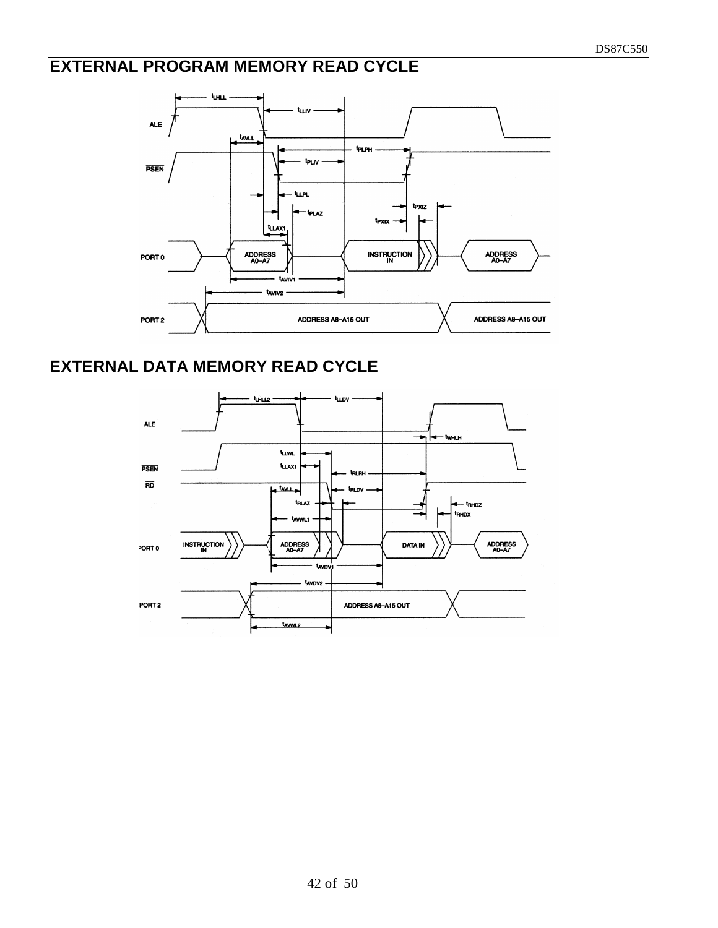# **EXTERNAL PROGRAM MEMORY READ CYCLE**



# **EXTERNAL DATA MEMORY READ CYCLE**

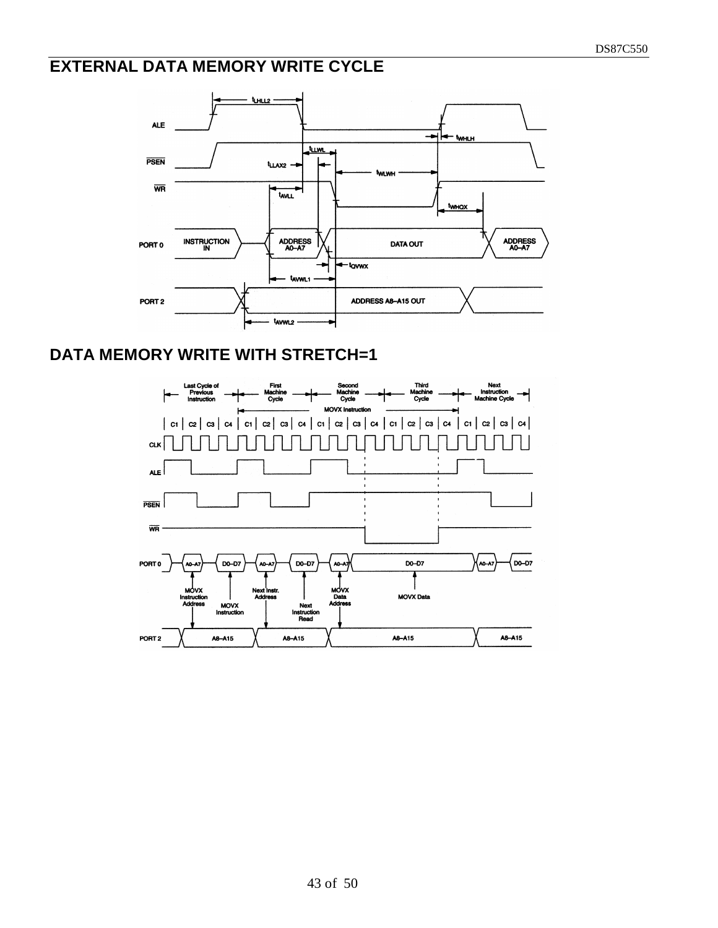# **EXTERNAL DATA MEMORY WRITE CYCLE**



#### **DATA MEMORY WRITE WITH STRETCH=1**

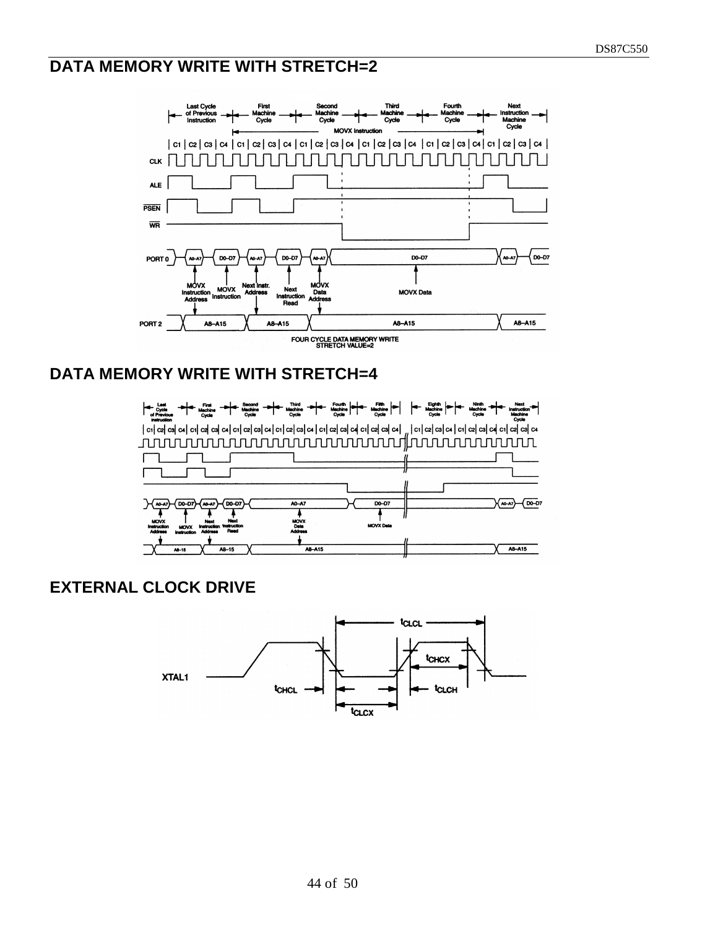# **DATA MEMORY WRITE WITH STRETCH=2**



#### **DATA MEMORY WRITE WITH STRETCH=4**



## **EXTERNAL CLOCK DRIVE**

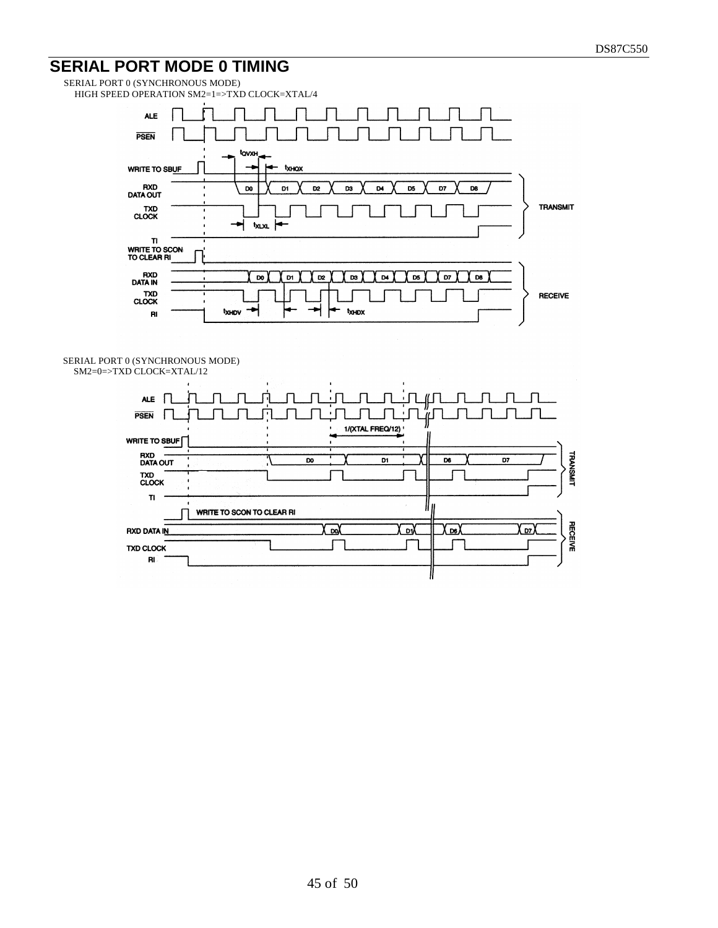# **SERIAL PORT MODE 0 TIMING**

SERIAL PORT 0 (SYNCHRONOUS MODE) HIGH SPEED OPERATION SM2=1=>TXD CLOCK=XTAL/4



SERIAL PORT 0 (SYNCHRONOUS MODE) SM2=0=>TXD CLOCK=XTAL/12

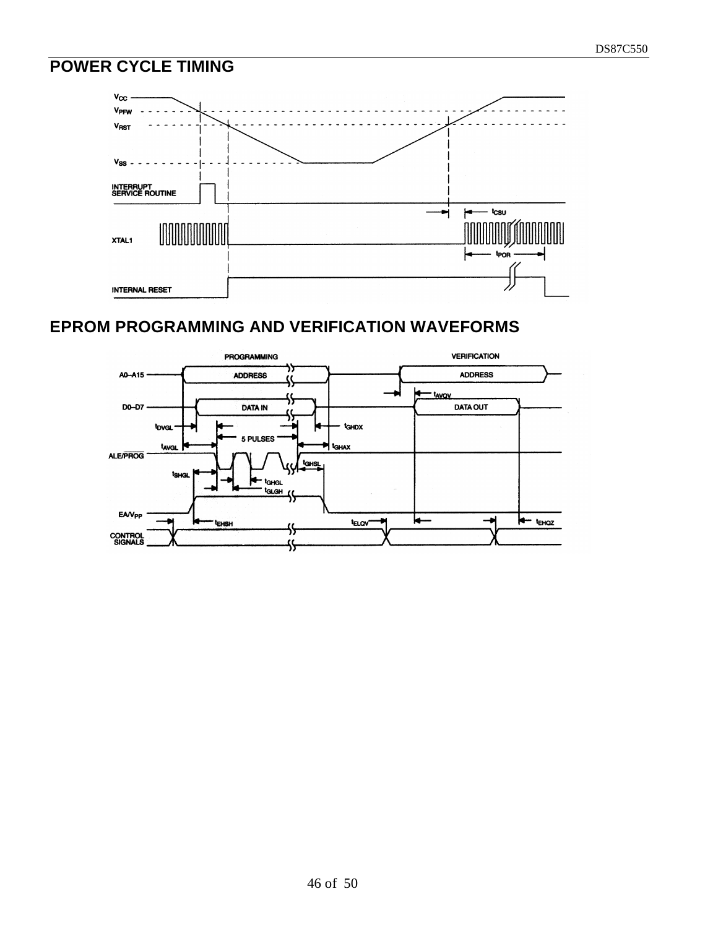# **POWER CYCLE TIMING**



# **EPROM PROGRAMMING AND VERIFICATION WAVEFORMS**

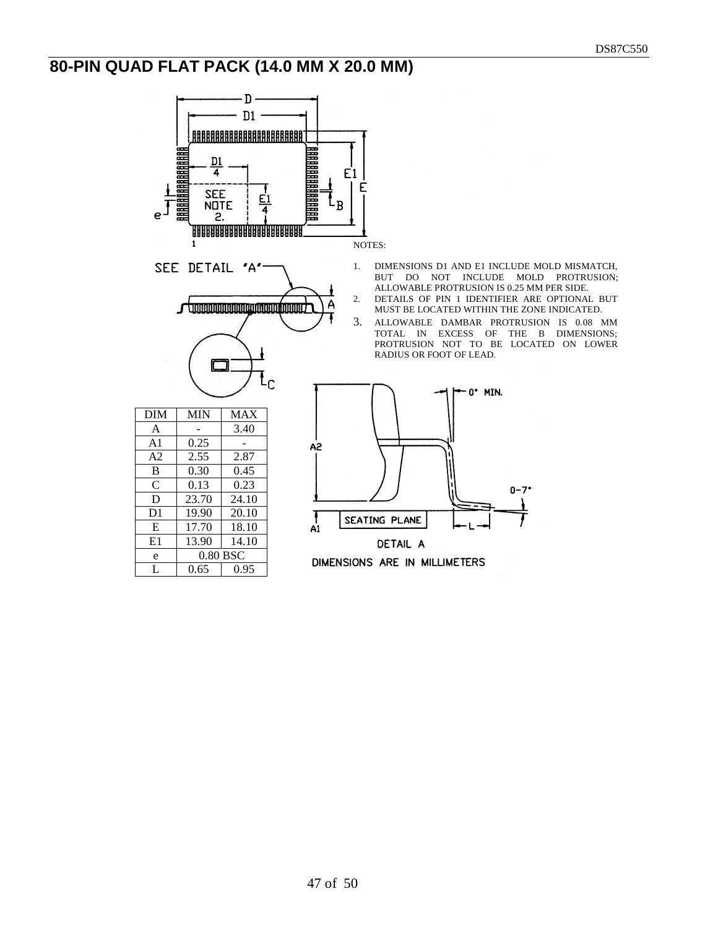# **80-PIN QUAD FLAT PACK (14.0 MM X 20.0 MM)**

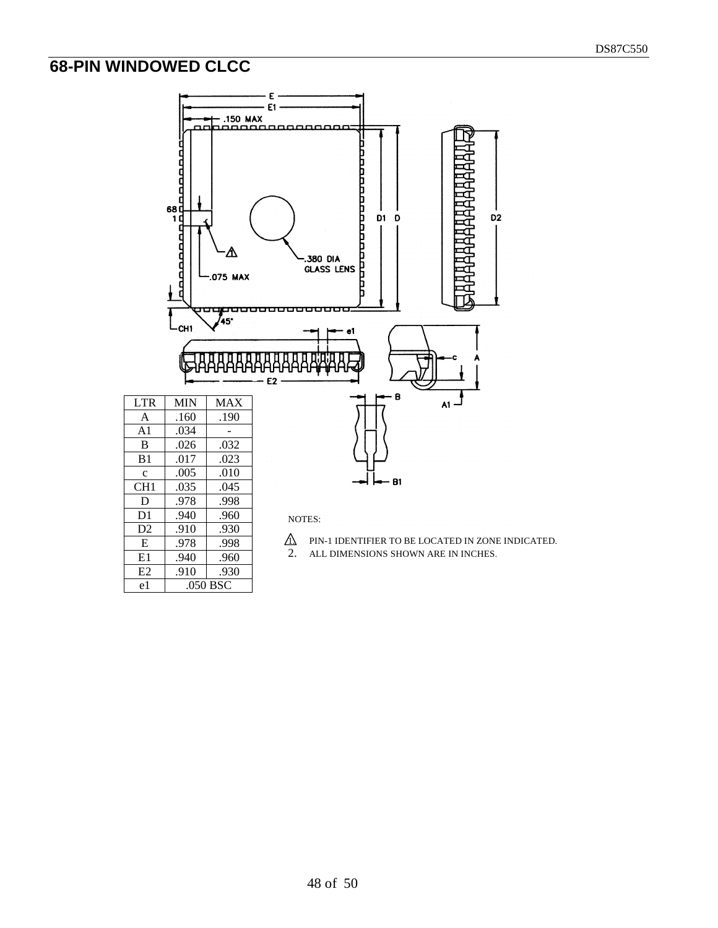# **68-PIN WINDOWED CLCC**

E .978 .998 E1 .940 .960 E2 .910 .930 e1 .050 BSC



- $\hat{\Lambda}$  PIN-1 IDENTIFIER TO BE LOCATED IN ZONE INDICATED.
- 2. ALL DIMENSIONS SHOWN ARE IN INCHES.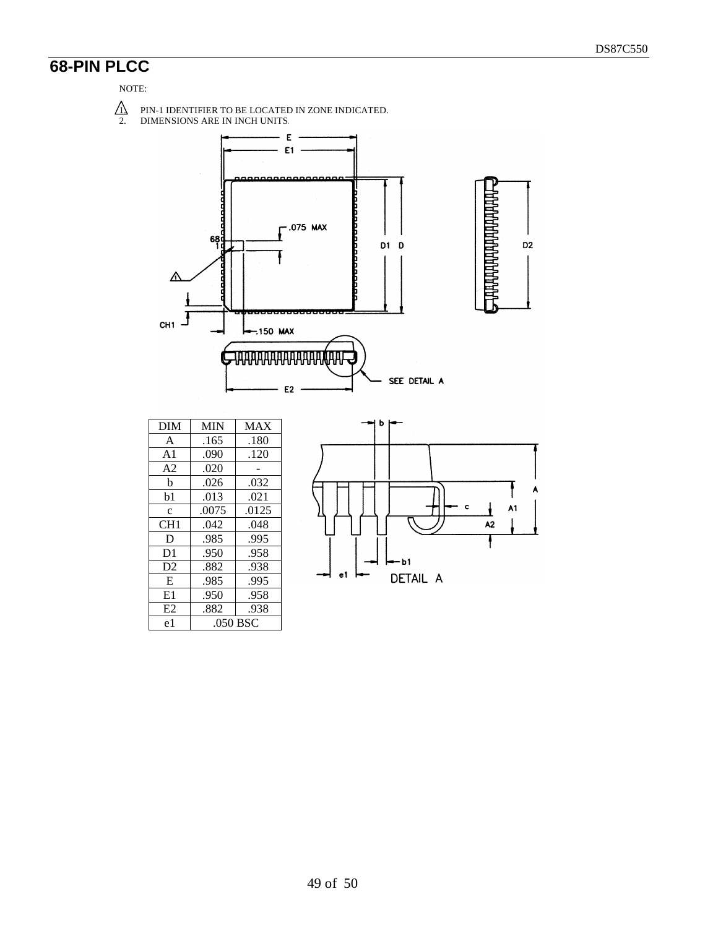# **68-PIN PLCC**

#### NOTE:



2. DIMENSIONS ARE IN INCH UNITS.



| <b>DIM</b>     | <b>MIN</b> | <b>MAX</b> |  |
|----------------|------------|------------|--|
| A              | .165       | .180       |  |
| A <sub>1</sub> | .090       | .120       |  |
| A <sub>2</sub> | .020       |            |  |
| b              | .026       | .032       |  |
| b1             | .013       | .021       |  |
| $\mathbf{c}$   | .0075      | .0125      |  |
| CH1            | .042       | .048       |  |
| D              | .985       | .995       |  |
| D <sub>1</sub> | .950       | .958       |  |
| D2             | .882       | .938       |  |
| E              | .985       | .995       |  |
| E1             | .950       | .958       |  |
| E2             | .882       | .938       |  |
| e1             | .050 BSC   |            |  |